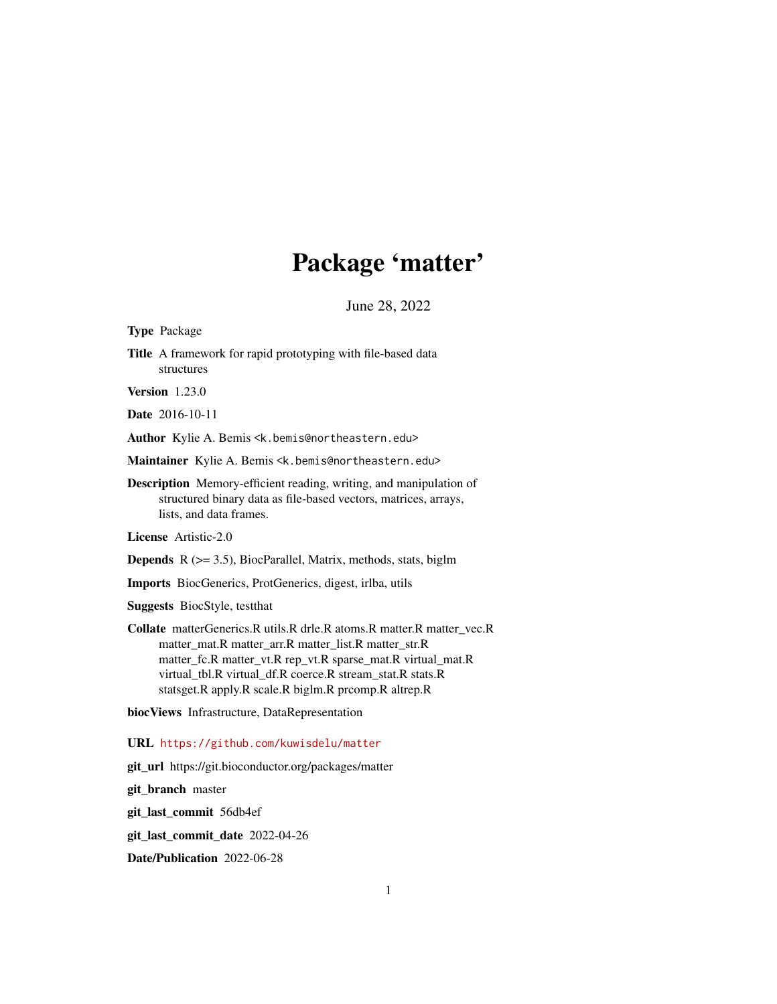# Package 'matter'

June 28, 2022

<span id="page-0-0"></span>Type Package

Title A framework for rapid prototyping with file-based data structures

Version 1.23.0

Date 2016-10-11

Author Kylie A. Bemis <k.bemis@northeastern.edu>

- Maintainer Kylie A. Bemis <k. bemis@northeastern.edu>
- Description Memory-efficient reading, writing, and manipulation of structured binary data as file-based vectors, matrices, arrays, lists, and data frames.

License Artistic-2.0

**Depends**  $R$  ( $> = 3.5$ ), BiocParallel, Matrix, methods, stats, biglm

Imports BiocGenerics, ProtGenerics, digest, irlba, utils

Suggests BiocStyle, testthat

Collate matterGenerics.R utils.R drle.R atoms.R matter.R matter\_vec.R matter\_mat.R matter\_arr.R matter\_list.R matter\_str.R matter\_fc.R matter\_vt.R rep\_vt.R sparse\_mat.R virtual\_mat.R virtual\_tbl.R virtual\_df.R coerce.R stream\_stat.R stats.R statsget.R apply.R scale.R biglm.R prcomp.R altrep.R

biocViews Infrastructure, DataRepresentation

URL <https://github.com/kuwisdelu/matter>

git\_url https://git.bioconductor.org/packages/matter

git\_branch master

git\_last\_commit 56db4ef

git\_last\_commit\_date 2022-04-26

Date/Publication 2022-06-28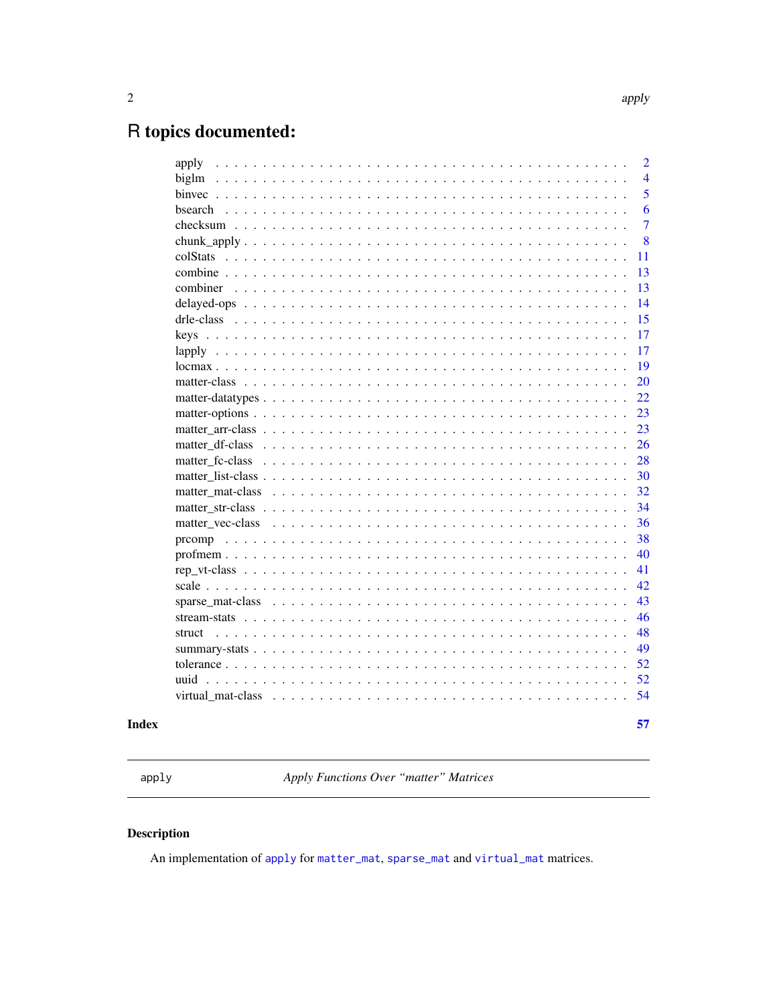## <span id="page-1-0"></span>R topics documented:

| apply                                                                                                                                              | $\overline{2}$ |
|----------------------------------------------------------------------------------------------------------------------------------------------------|----------------|
| biglm                                                                                                                                              | $\overline{4}$ |
|                                                                                                                                                    | 5              |
|                                                                                                                                                    | 6              |
|                                                                                                                                                    | $\overline{7}$ |
| chunk_apply                                                                                                                                        | 8              |
|                                                                                                                                                    | 11             |
|                                                                                                                                                    | 13             |
| combiner                                                                                                                                           | 13             |
|                                                                                                                                                    | 14             |
|                                                                                                                                                    | 15             |
|                                                                                                                                                    | 17             |
|                                                                                                                                                    | 17             |
|                                                                                                                                                    | 19             |
|                                                                                                                                                    | 20             |
|                                                                                                                                                    | 22             |
|                                                                                                                                                    | 23             |
|                                                                                                                                                    | 23             |
|                                                                                                                                                    | 26             |
|                                                                                                                                                    | 28             |
|                                                                                                                                                    | 30             |
| matter mat-class $\ldots$ , $\ldots$ , $\ldots$ , $\ldots$ , $\ldots$ , $\ldots$ , $\ldots$ , $\ldots$ , $\ldots$ , $\ldots$ , $\ldots$ , $\ldots$ | 32             |
|                                                                                                                                                    | 34             |
|                                                                                                                                                    | 36             |
|                                                                                                                                                    | 38             |
|                                                                                                                                                    | 40             |
|                                                                                                                                                    | 41             |
|                                                                                                                                                    | 42             |
|                                                                                                                                                    | 43             |
|                                                                                                                                                    | 46             |
|                                                                                                                                                    | 48             |
|                                                                                                                                                    | 49             |
|                                                                                                                                                    | 52             |
| uuid                                                                                                                                               | 52             |
| virtual mat-class                                                                                                                                  | 54             |
|                                                                                                                                                    |                |
|                                                                                                                                                    | 57             |

## **Index**

<span id="page-1-1"></span>apply

Apply Functions Over "matter" Matrices

## Description

An implementation of apply for matter\_mat, sparse\_mat and virtual\_mat matrices.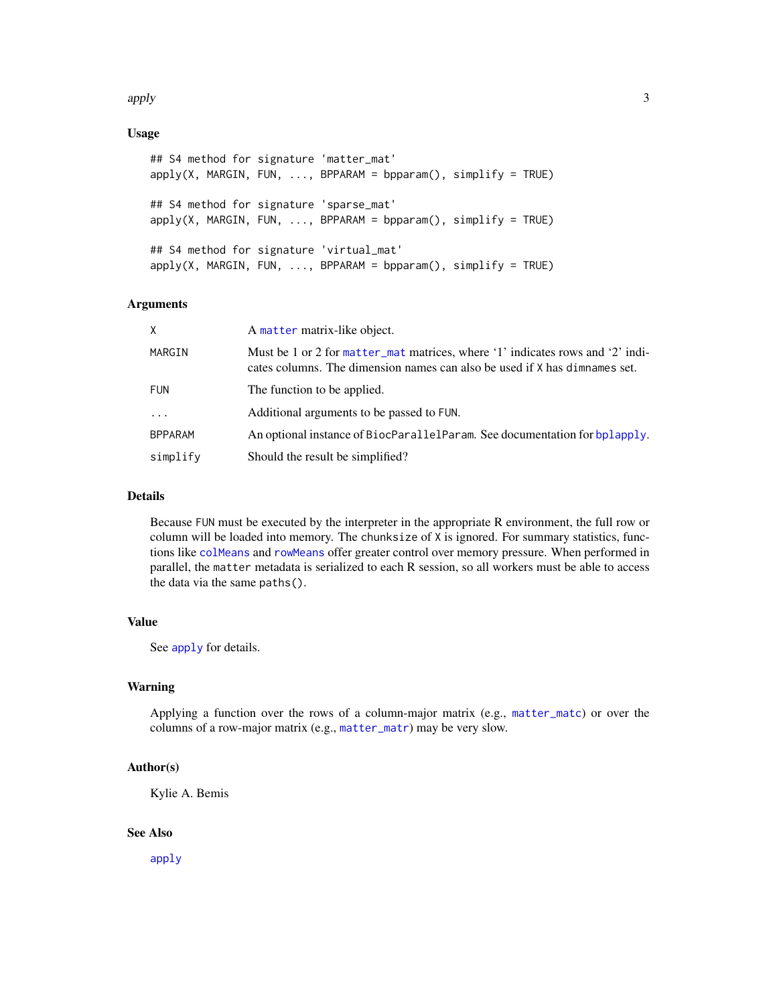#### <span id="page-2-0"></span>apply 3

## Usage

```
## S4 method for signature 'matter_mat'
apply(X, MARGIN, FUN, ..., BPPARAM = bpparam(), simplify = TRUE)## S4 method for signature 'sparse_mat'
apply(X, MARGIN, FUN, ..., BPPARAM = bpparam(), simplify = TRUE)## S4 method for signature 'virtual_mat'
apply(X, MARGIN, FUN, ..., BPPARAM = bpparam(), simplify = TRUE)
```
## Arguments

| X              | A matter matrix-like object.                                                                                                                                 |
|----------------|--------------------------------------------------------------------------------------------------------------------------------------------------------------|
| MARGIN         | Must be 1 or 2 for matter_mat matrices, where '1' indicates rows and '2' indi-<br>cates columns. The dimension names can also be used if X has dimnames set. |
| <b>FUN</b>     | The function to be applied.                                                                                                                                  |
| $\ddots$       | Additional arguments to be passed to FUN.                                                                                                                    |
| <b>BPPARAM</b> | An optional instance of BiocParallelParam. See documentation for bplapply.                                                                                   |
| simplify       | Should the result be simplified?                                                                                                                             |

## Details

Because FUN must be executed by the interpreter in the appropriate R environment, the full row or column will be loaded into memory. The chunksize of X is ignored. For summary statistics, functions like [colMeans](#page-0-0) and [rowMeans](#page-0-0) offer greater control over memory pressure. When performed in parallel, the matter metadata is serialized to each R session, so all workers must be able to access the data via the same paths().

#### Value

See [apply](#page-1-1) for details.

#### Warning

Applying a function over the rows of a column-major matrix (e.g., [matter\\_matc](#page-31-2)) or over the columns of a row-major matrix (e.g., [matter\\_matr](#page-31-2)) may be very slow.

## Author(s)

Kylie A. Bemis

#### See Also

[apply](#page-1-1)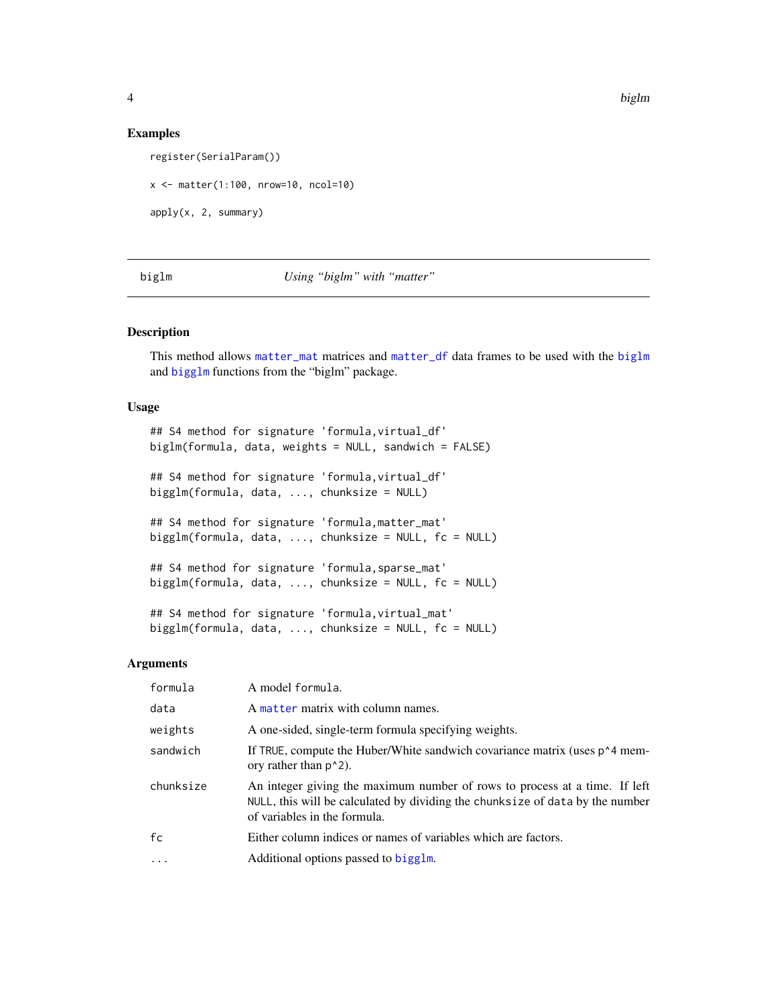#### Examples

register(SerialParam())

x <- matter(1:100, nrow=10, ncol=10)

apply(x, 2, summary)

#### <span id="page-3-1"></span>biglm *Using "biglm" with "matter"*

## <span id="page-3-2"></span>Description

This method allows [matter\\_mat](#page-31-1) matrices and [matter\\_df](#page-25-1) data frames to be used with the [biglm](#page-3-1) and [bigglm](#page-3-2) functions from the "biglm" package.

#### Usage

```
## S4 method for signature 'formula,virtual_df'
biglm(formula, data, weights = NULL, sandwich = FALSE)
## S4 method for signature 'formula,virtual_df'
bigglm(formula, data, ..., chunksize = NULL)
## S4 method for signature 'formula,matter_mat'
bigglm(formula, data, ..., chunksize = NULL, fc = NULL)
## S4 method for signature 'formula,sparse_mat'
bigglm(formula, data, ..., chunksize = NULL, fc = NULL)
## S4 method for signature 'formula,virtual_mat'
biggl (formula, data, ..., chunk size = NULL)
```
## Arguments

| formula   | A model formula.                                                                                                                                                                            |
|-----------|---------------------------------------------------------------------------------------------------------------------------------------------------------------------------------------------|
| data      | A matter matrix with column names.                                                                                                                                                          |
| weights   | A one-sided, single-term formula specifying weights.                                                                                                                                        |
| sandwich  | If TRUE, compute the Huber/White sandwich covariance matrix (uses $p^4$ mem-<br>ory rather than $p^2$ .                                                                                     |
| chunksize | An integer giving the maximum number of rows to process at a time. If left<br>NULL, this will be calculated by dividing the chunksize of data by the number<br>of variables in the formula. |
| fc        | Either column indices or names of variables which are factors.                                                                                                                              |
| $\cdot$   | Additional options passed to bigglm.                                                                                                                                                        |

<span id="page-3-0"></span>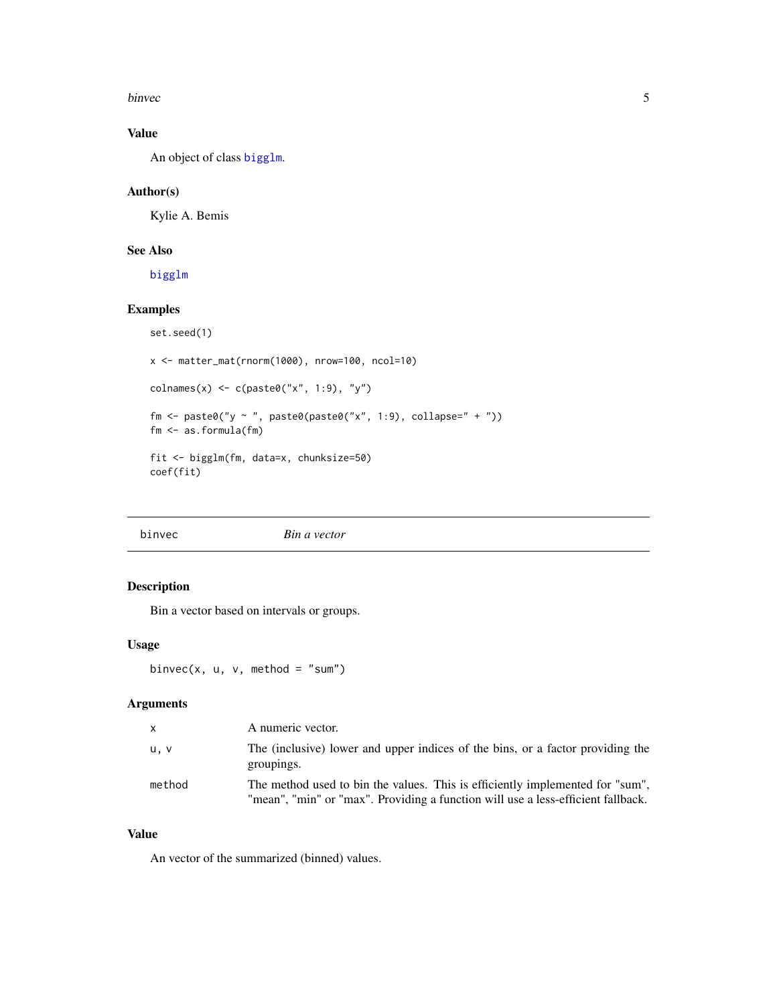<span id="page-4-0"></span>binvec 5

## Value

An object of class [bigglm](#page-3-2).

## Author(s)

Kylie A. Bemis

## See Also

[bigglm](#page-3-2)

## Examples

```
set.seed(1)
x <- matter_mat(rnorm(1000), nrow=100, ncol=10)
\text{colnames}(x) \leq c(\text{paste0("x", 1:9)}, "y")fm \leftarrow paste0("y ~ ", paste0(paste0("x", 1:9), collapse=" + "))
fm <- as.formula(fm)
fit <- bigglm(fm, data=x, chunksize=50)
coef(fit)
```
binvec *Bin a vector*

## Description

Bin a vector based on intervals or groups.

## Usage

binvec(x,  $u, v,$  method = "sum")

## Arguments

| $\times$ | A numeric vector.                                                                                                                                                 |
|----------|-------------------------------------------------------------------------------------------------------------------------------------------------------------------|
| u, v     | The (inclusive) lower and upper indices of the bins, or a factor providing the<br>groupings.                                                                      |
| method   | The method used to bin the values. This is efficiently implemented for "sum",<br>"mean", "min" or "max". Providing a function will use a less-efficient fallback. |

## Value

An vector of the summarized (binned) values.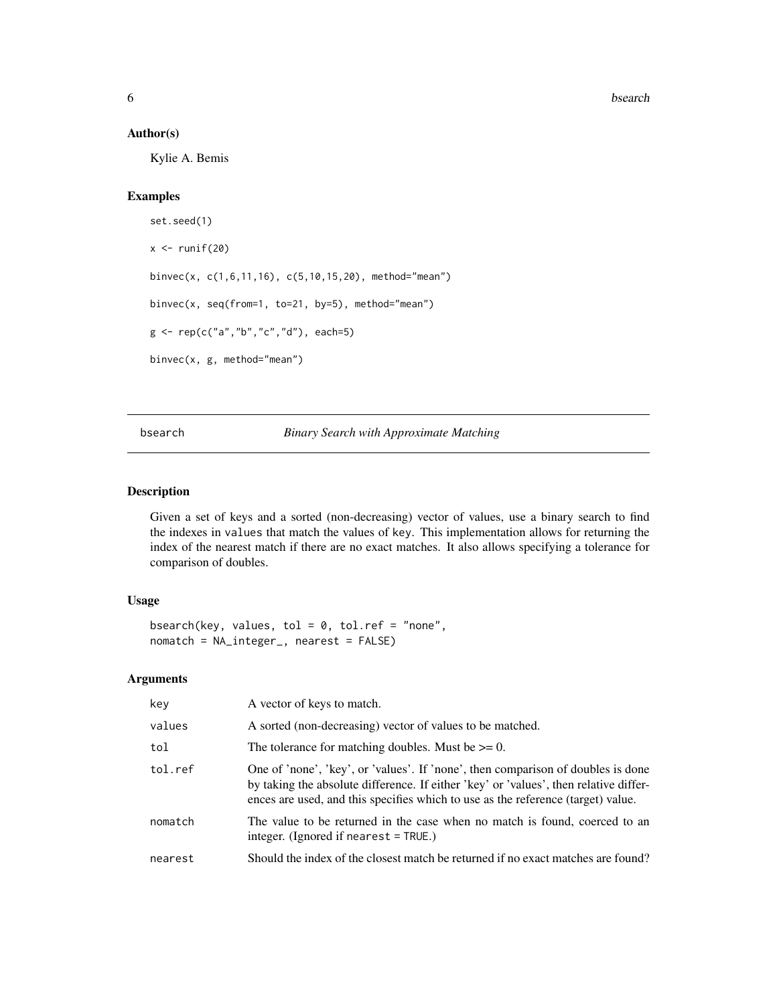## <span id="page-5-0"></span>Author(s)

Kylie A. Bemis

## Examples

```
set.seed(1)
x \leftarrow runif(20)binvec(x, c(1,6,11,16), c(5,10,15,20), method="mean")
binvec(x, seq(from=1, to=21, by=5), method="mean")
g <- rep(c("a","b","c","d"), each=5)
binvec(x, g, method="mean")
```
## bsearch *Binary Search with Approximate Matching*

#### Description

Given a set of keys and a sorted (non-decreasing) vector of values, use a binary search to find the indexes in values that match the values of key. This implementation allows for returning the index of the nearest match if there are no exact matches. It also allows specifying a tolerance for comparison of doubles.

## Usage

```
bsearch(key, values, tol = 0, tol.ref = "none",
nomatch = NA_integer_, nearest = FALSE)
```
## Arguments

| key     | A vector of keys to match.                                                                                                                                                                                                                                    |
|---------|---------------------------------------------------------------------------------------------------------------------------------------------------------------------------------------------------------------------------------------------------------------|
| values  | A sorted (non-decreasing) vector of values to be matched.                                                                                                                                                                                                     |
| tol     | The tolerance for matching doubles. Must be $\geq 0$ .                                                                                                                                                                                                        |
| tol.ref | One of 'none', 'key', or 'values'. If 'none', then comparison of doubles is done<br>by taking the absolute difference. If either 'key' or 'values', then relative differ-<br>ences are used, and this specifies which to use as the reference (target) value. |
| nomatch | The value to be returned in the case when no match is found, coerced to an<br>integer. (Ignored if nearest $=$ TRUE.)                                                                                                                                         |
| nearest | Should the index of the closest match be returned if no exact matches are found?                                                                                                                                                                              |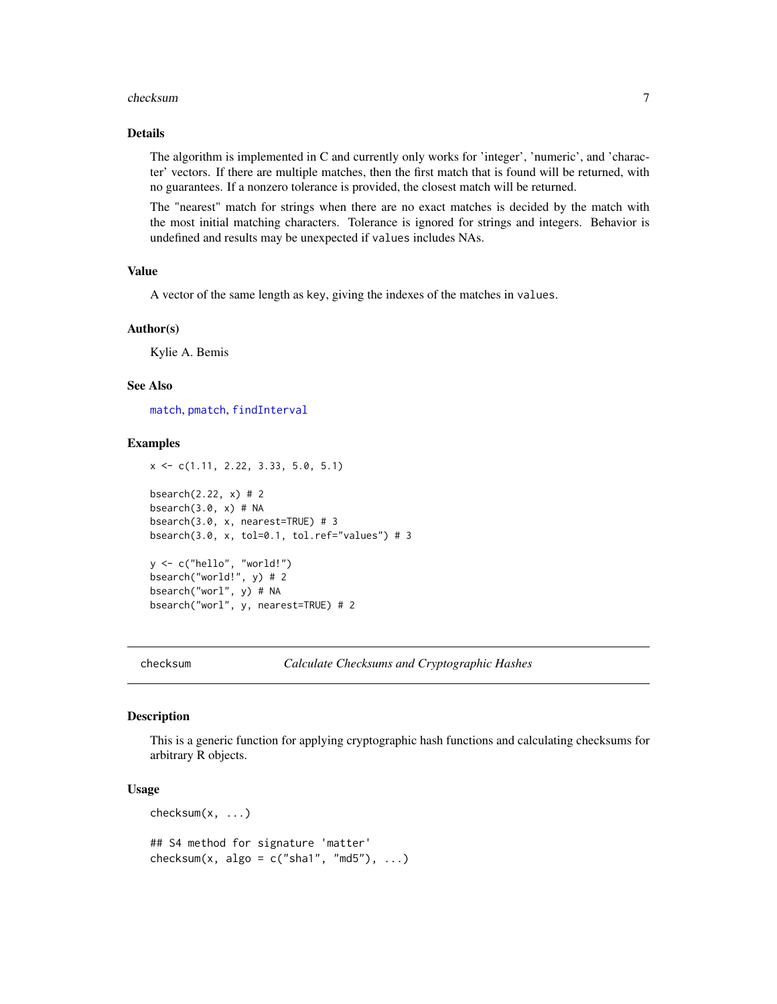#### <span id="page-6-0"></span>checksum 7

## Details

The algorithm is implemented in C and currently only works for 'integer', 'numeric', and 'character' vectors. If there are multiple matches, then the first match that is found will be returned, with no guarantees. If a nonzero tolerance is provided, the closest match will be returned.

The "nearest" match for strings when there are no exact matches is decided by the match with the most initial matching characters. Tolerance is ignored for strings and integers. Behavior is undefined and results may be unexpected if values includes NAs.

## Value

A vector of the same length as key, giving the indexes of the matches in values.

#### Author(s)

Kylie A. Bemis

## See Also

[match](#page-0-0), [pmatch](#page-0-0), [findInterval](#page-0-0)

#### Examples

```
x <- c(1.11, 2.22, 3.33, 5.0, 5.1)
bsearch(2.22, x) # 2
bsearch(3.0, x) # NA
bsearch(3.0, x, nearest=TRUE) # 3
bsearch(3.0, x, tol=0.1, tol.ref="values") # 3
y <- c("hello", "world!")
bsearch("world!", y) # 2
```
bsearch("worl", y) # NA bsearch("worl", y, nearest=TRUE) # 2

checksum *Calculate Checksums and Cryptographic Hashes*

#### Description

This is a generic function for applying cryptographic hash functions and calculating checksums for arbitrary R objects.

#### Usage

checksum(x, ...) ## S4 method for signature 'matter'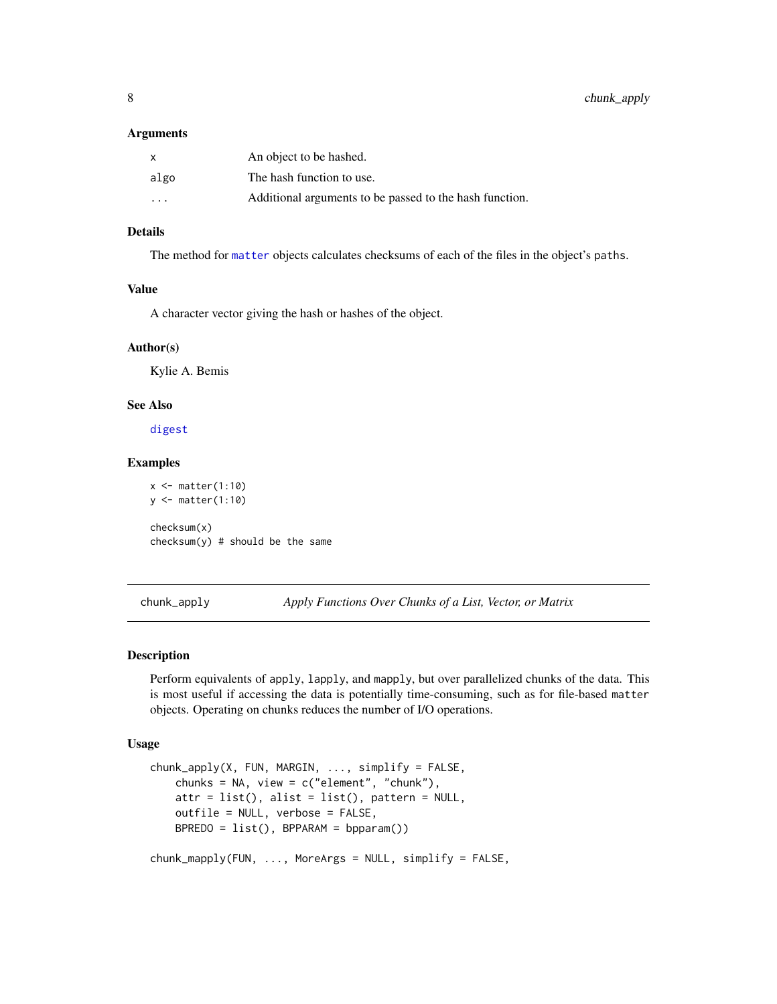#### <span id="page-7-0"></span>**Arguments**

| $\mathsf{x}$            | An object to be hashed.                                 |
|-------------------------|---------------------------------------------------------|
| algo                    | The hash function to use.                               |
| $\cdot$ $\cdot$ $\cdot$ | Additional arguments to be passed to the hash function. |

## Details

The method for [matter](#page-19-1) objects calculates checksums of each of the files in the object's paths.

#### Value

A character vector giving the hash or hashes of the object.

#### Author(s)

Kylie A. Bemis

## See Also

[digest](#page-0-0)

## Examples

```
x \leftarrow \text{matter}(1:10)y <- matter(1:10)
checksum(x)
checksum(y) # should be the same
```
chunk\_apply *Apply Functions Over Chunks of a List, Vector, or Matrix*

## Description

Perform equivalents of apply, lapply, and mapply, but over parallelized chunks of the data. This is most useful if accessing the data is potentially time-consuming, such as for file-based matter objects. Operating on chunks reduces the number of I/O operations.

#### Usage

```
chunk_apply(X, FUN, MARGIN, ..., simplify = FALSE,
   chunks = NA, view = c("element", "chunk"),attr = list(), alist = list(), pattern = NULL,outfile = NULL, verbose = FALSE,
   BPREDO = list(), BPPARAM = bpparam())
chunk_mapply(FUN, ..., MoreArgs = NULL, simplify = FALSE,
```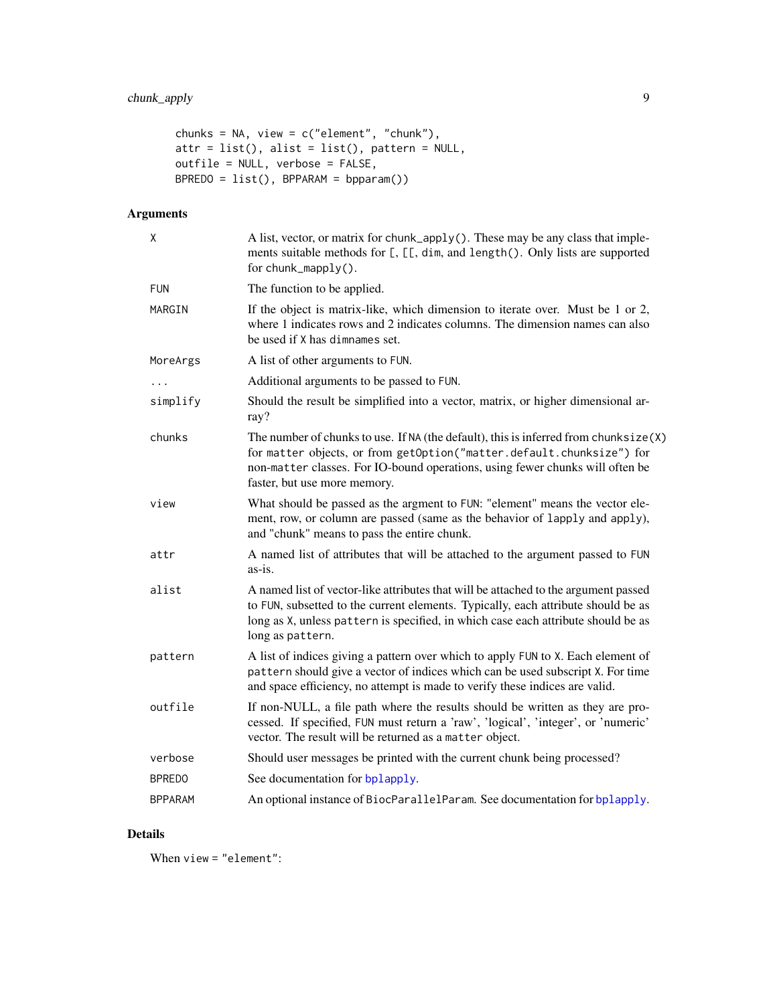```
chunks = NA, view = c("element", "chunk"),
attr = list(), alist = list(), pattern = NULL,
outfile = NULL, verbose = FALSE,
BPREDO = list(), BPPARAM = bpparam())
```
## Arguments

| χ              | A list, vector, or matrix for chunk_apply(). These may be any class that imple-<br>ments suitable methods for [, [[, dim, and length(). Only lists are supported<br>for chunk_mapply().                                                                                           |
|----------------|-----------------------------------------------------------------------------------------------------------------------------------------------------------------------------------------------------------------------------------------------------------------------------------|
| <b>FUN</b>     | The function to be applied.                                                                                                                                                                                                                                                       |
| MARGIN         | If the object is matrix-like, which dimension to iterate over. Must be 1 or 2,<br>where 1 indicates rows and 2 indicates columns. The dimension names can also<br>be used if X has dimnames set.                                                                                  |
| MoreArgs       | A list of other arguments to FUN.                                                                                                                                                                                                                                                 |
|                | Additional arguments to be passed to FUN.                                                                                                                                                                                                                                         |
| simplify       | Should the result be simplified into a vector, matrix, or higher dimensional ar-<br>ray?                                                                                                                                                                                          |
| chunks         | The number of chunks to use. If NA (the default), this is inferred from chunksize $(X)$<br>for matter objects, or from getOption("matter.default.chunksize") for<br>non-matter classes. For IO-bound operations, using fewer chunks will often be<br>faster, but use more memory. |
| view           | What should be passed as the argment to FUN: "element" means the vector ele-<br>ment, row, or column are passed (same as the behavior of lapply and apply),<br>and "chunk" means to pass the entire chunk.                                                                        |
| attr           | A named list of attributes that will be attached to the argument passed to FUN<br>as-is.                                                                                                                                                                                          |
| alist          | A named list of vector-like attributes that will be attached to the argument passed<br>to FUN, subsetted to the current elements. Typically, each attribute should be as<br>long as X, unless pattern is specified, in which case each attribute should be as<br>long as pattern. |
| pattern        | A list of indices giving a pattern over which to apply FUN to X. Each element of<br>pattern should give a vector of indices which can be used subscript X. For time<br>and space efficiency, no attempt is made to verify these indices are valid.                                |
| outfile        | If non-NULL, a file path where the results should be written as they are pro-<br>cessed. If specified, FUN must return a 'raw', 'logical', 'integer', or 'numeric'<br>vector. The result will be returned as a matter object.                                                     |
| verbose        | Should user messages be printed with the current chunk being processed?                                                                                                                                                                                                           |
| <b>BPREDO</b>  | See documentation for bplapply.                                                                                                                                                                                                                                                   |
| <b>BPPARAM</b> | An optional instance of BiocParallelParam. See documentation for bplapply.                                                                                                                                                                                                        |

## Details

When view = "element":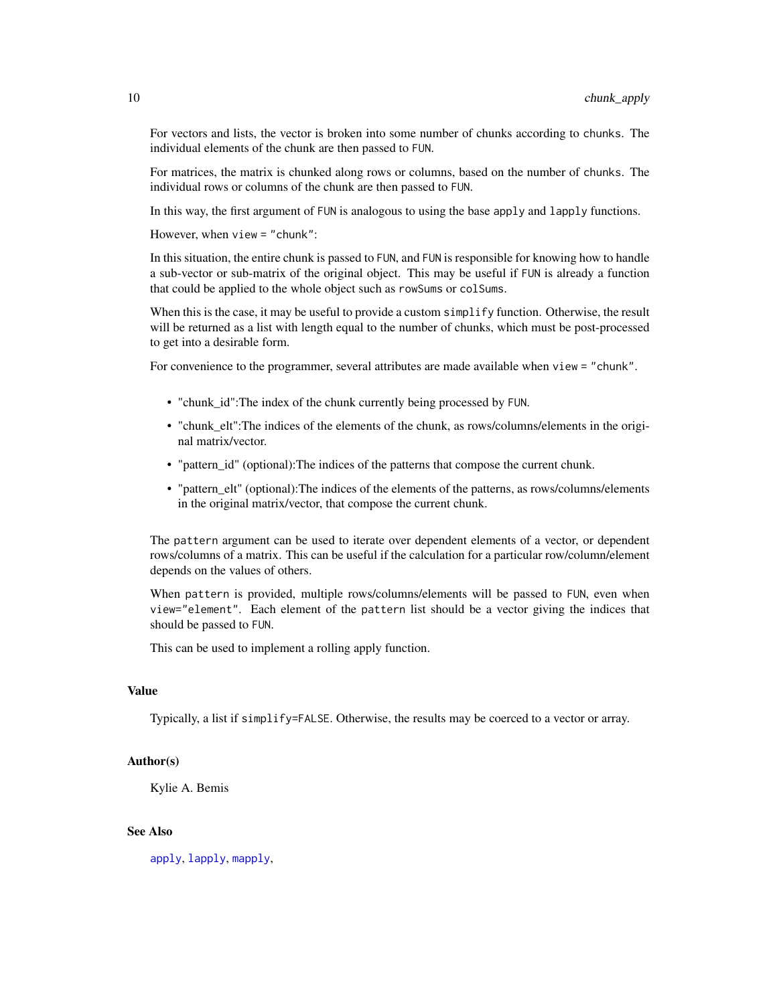For vectors and lists, the vector is broken into some number of chunks according to chunks. The individual elements of the chunk are then passed to FUN.

For matrices, the matrix is chunked along rows or columns, based on the number of chunks. The individual rows or columns of the chunk are then passed to FUN.

In this way, the first argument of FUN is analogous to using the base apply and lapply functions.

However, when view = "chunk":

In this situation, the entire chunk is passed to FUN, and FUN is responsible for knowing how to handle a sub-vector or sub-matrix of the original object. This may be useful if FUN is already a function that could be applied to the whole object such as rowSums or colSums.

When this is the case, it may be useful to provide a custom simplify function. Otherwise, the result will be returned as a list with length equal to the number of chunks, which must be post-processed to get into a desirable form.

For convenience to the programmer, several attributes are made available when view = "chunk".

- "chunk\_id":The index of the chunk currently being processed by FUN.
- "chunk\_elt":The indices of the elements of the chunk, as rows/columns/elements in the original matrix/vector.
- "pattern id" (optional):The indices of the patterns that compose the current chunk.
- "pattern\_elt" (optional):The indices of the elements of the patterns, as rows/columns/elements in the original matrix/vector, that compose the current chunk.

The pattern argument can be used to iterate over dependent elements of a vector, or dependent rows/columns of a matrix. This can be useful if the calculation for a particular row/column/element depends on the values of others.

When pattern is provided, multiple rows/columns/elements will be passed to FUN, even when view="element". Each element of the pattern list should be a vector giving the indices that should be passed to FUN.

This can be used to implement a rolling apply function.

## Value

Typically, a list if simplify=FALSE. Otherwise, the results may be coerced to a vector or array.

## Author(s)

Kylie A. Bemis

## See Also

[apply](#page-1-1), [lapply](#page-16-1), [mapply](#page-0-0),

<span id="page-9-0"></span>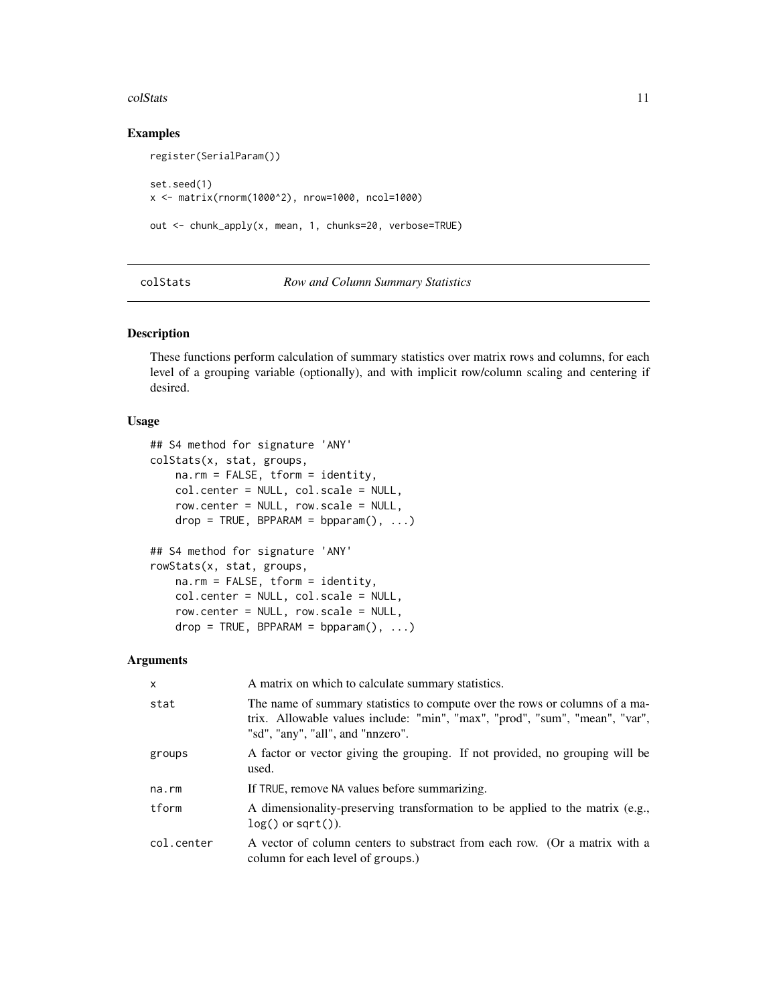#### <span id="page-10-0"></span>colStats 11

## Examples

```
register(SerialParam())
set.seed(1)
x <- matrix(rnorm(1000^2), nrow=1000, ncol=1000)
out <- chunk_apply(x, mean, 1, chunks=20, verbose=TRUE)
```
#### colStats *Row and Column Summary Statistics*

## Description

These functions perform calculation of summary statistics over matrix rows and columns, for each level of a grouping variable (optionally), and with implicit row/column scaling and centering if desired.

#### Usage

```
## S4 method for signature 'ANY'
colStats(x, stat, groups,
   na.rm = FALSE, tform = identity,
   col.center = NULL, col.scale = NULL,
   row.center = NULL, row.scale = NULL,
   drop = TRUE, BPPARAM = bpparam(), ...)## S4 method for signature 'ANY'
rowStats(x, stat, groups,
   na.rm = FALSE, tform = identity,
   col.center = NULL, col.scale = NULL,
   row.center = NULL, row.scale = NULL,
   drop = TRUE, BPPARAM = bpparam(), ...)
```
#### Arguments

| X          | A matrix on which to calculate summary statistics.                                                                                                                                              |
|------------|-------------------------------------------------------------------------------------------------------------------------------------------------------------------------------------------------|
| stat       | The name of summary statistics to compute over the rows or columns of a ma-<br>trix. Allowable values include: "min", "max", "prod", "sum", "mean", "var",<br>"sd", "any", "all", and "nnzero". |
| groups     | A factor or vector giving the grouping. If not provided, no grouping will be<br>used.                                                                                                           |
| na.rm      | If TRUE, remove NA values before summarizing.                                                                                                                                                   |
| tform      | A dimensionality-preserving transformation to be applied to the matrix (e.g.,<br>$log()$ or sqrt $()$ ).                                                                                        |
| col.center | A vector of column centers to substract from each row. (Or a matrix with a<br>column for each level of groups.)                                                                                 |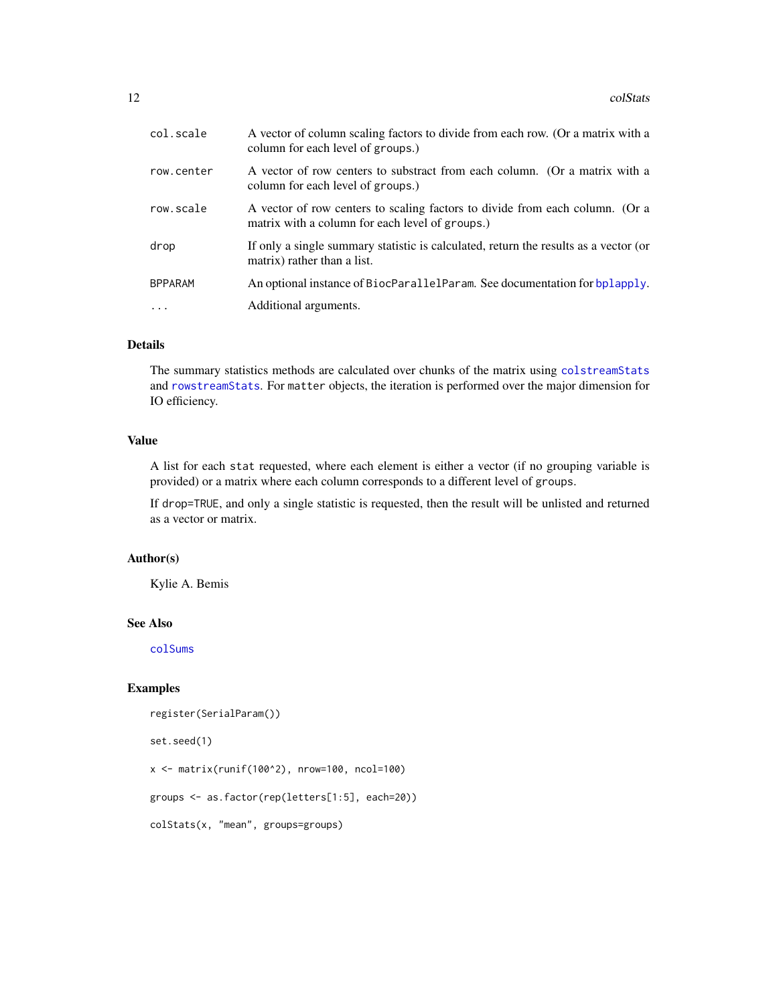<span id="page-11-0"></span>

| col.scale      | A vector of column scaling factors to divide from each row. (Or a matrix with a<br>column for each level of groups.)            |
|----------------|---------------------------------------------------------------------------------------------------------------------------------|
| row.center     | A vector of row centers to substract from each column. (Or a matrix with a<br>column for each level of groups.)                 |
| row.scale      | A vector of row centers to scaling factors to divide from each column. (Or a<br>matrix with a column for each level of groups.) |
| drop           | If only a single summary statistic is calculated, return the results as a vector (or<br>matrix) rather than a list.             |
| <b>BPPARAM</b> | An optional instance of BiocParallelParam. See documentation for bplapply.                                                      |
| $\cdot$        | Additional arguments.                                                                                                           |

## Details

The summary statistics methods are calculated over chunks of the matrix using [colstreamStats](#page-45-1) and [rowstreamStats](#page-45-1). For matter objects, the iteration is performed over the major dimension for IO efficiency.

## Value

A list for each stat requested, where each element is either a vector (if no grouping variable is provided) or a matrix where each column corresponds to a different level of groups.

If drop=TRUE, and only a single statistic is requested, then the result will be unlisted and returned as a vector or matrix.

## Author(s)

Kylie A. Bemis

## See Also

[colSums](#page-0-0)

## Examples

```
register(SerialParam())
```
set.seed(1)

 $x \le -$  matrix(runif(100^2), nrow=100, ncol=100)

```
groups <- as.factor(rep(letters[1:5], each=20))
```
colStats(x, "mean", groups=groups)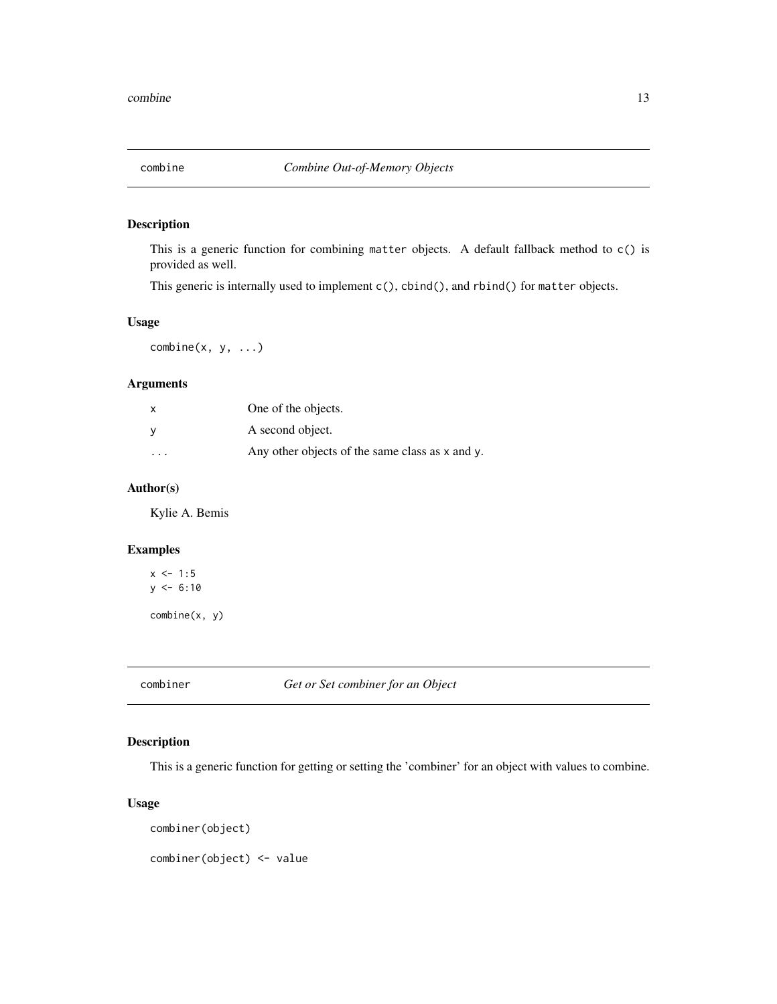<span id="page-12-0"></span>

## Description

This is a generic function for combining matter objects. A default fallback method to c() is provided as well.

This generic is internally used to implement c(), cbind(), and rbind() for matter objects.

## Usage

 $combine(x, y, ...)$ 

## Arguments

|                         | One of the objects.                                  |
|-------------------------|------------------------------------------------------|
|                         | A second object.                                     |
| $\cdot$ $\cdot$ $\cdot$ | Any other objects of the same class as $x$ and $y$ . |

## Author(s)

Kylie A. Bemis

## Examples

```
x \le -1:5y \le -6:10combine(x, y)
```
combiner *Get or Set combiner for an Object*

## Description

This is a generic function for getting or setting the 'combiner' for an object with values to combine.

## Usage

```
combiner(object)
```
combiner(object) <- value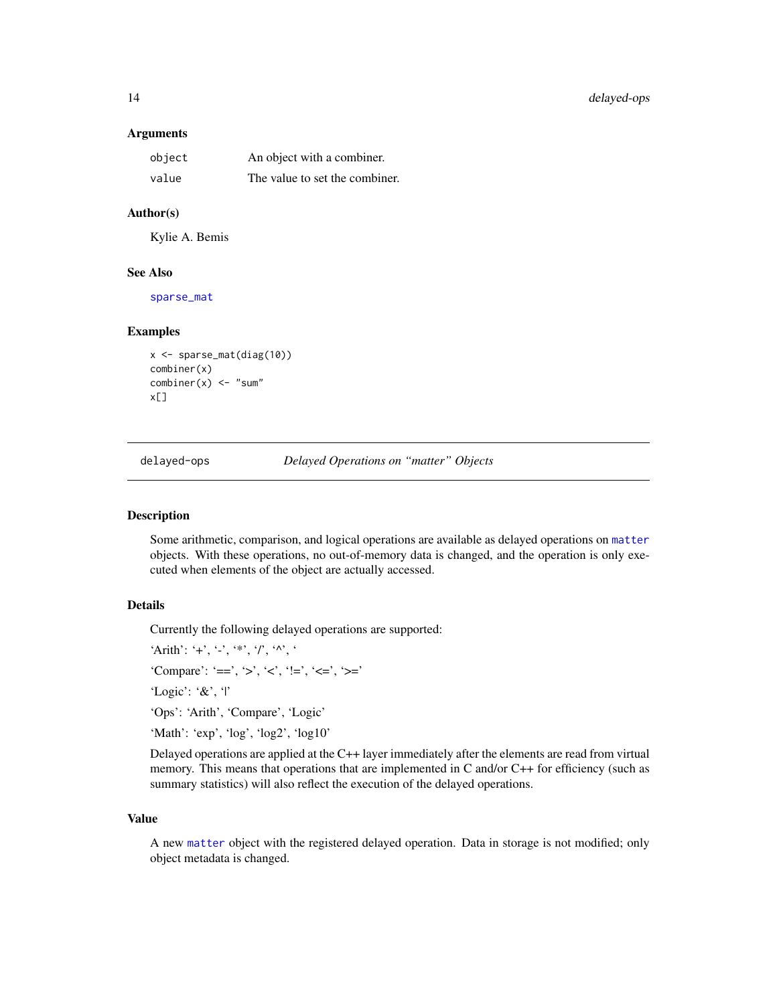#### <span id="page-13-0"></span>**Arguments**

| object | An object with a combiner.     |
|--------|--------------------------------|
| value  | The value to set the combiner. |

## Author(s)

Kylie A. Bemis

## See Also

[sparse\\_mat](#page-42-1)

#### Examples

```
x <- sparse_mat(diag(10))
combiner(x)
combiner(x) < - "sum"
x[]
```
delayed-ops *Delayed Operations on "matter" Objects*

## <span id="page-13-1"></span>Description

Some arithmetic, comparison, and logical operations are available as delayed operations on [matter](#page-19-1) objects. With these operations, no out-of-memory data is changed, and the operation is only executed when elements of the object are actually accessed.

## Details

Currently the following delayed operations are supported:

'Arith': '+', '-', '\*', '/', '^', '

'Compare': '==', '>', '<', '!=', '<=', '>='

'Logic': '&', '|'

'Ops': 'Arith', 'Compare', 'Logic'

'Math': 'exp', 'log', 'log2', 'log10'

Delayed operations are applied at the C++ layer immediately after the elements are read from virtual memory. This means that operations that are implemented in C and/or C++ for efficiency (such as summary statistics) will also reflect the execution of the delayed operations.

#### Value

A new [matter](#page-19-1) object with the registered delayed operation. Data in storage is not modified; only object metadata is changed.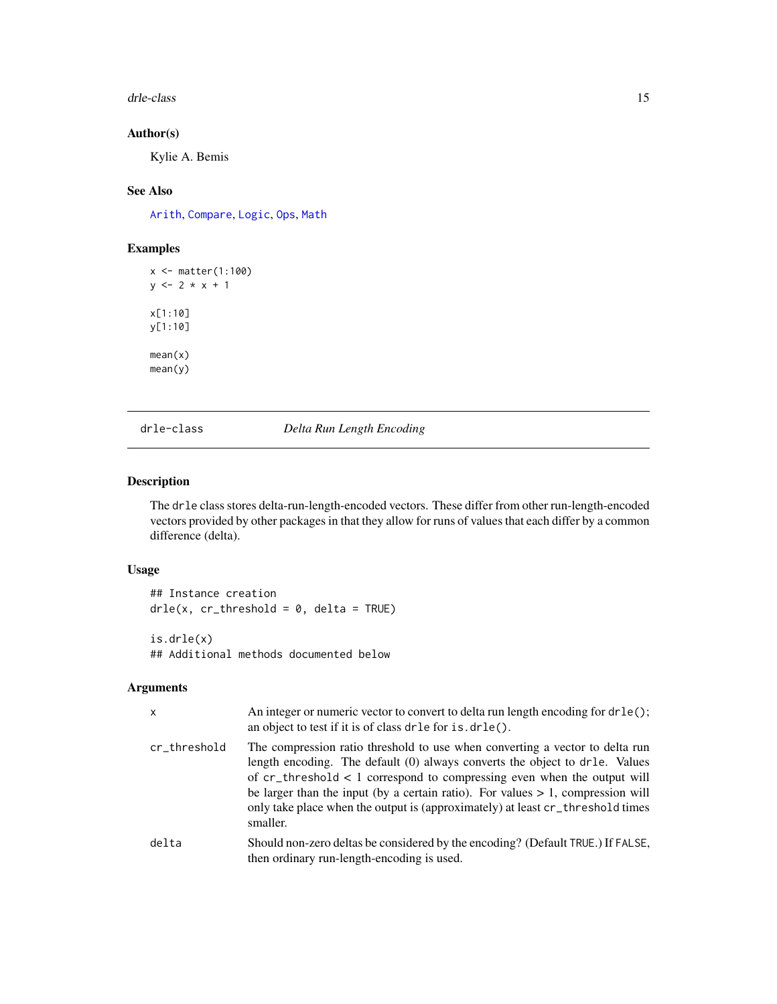#### <span id="page-14-0"></span>drle-class and the class the contract of the class of the class of the class of the class of the class of the class of the class of the class of the class of the class of the class of the class of the class of the class of

## Author(s)

Kylie A. Bemis

## See Also

[Arith](#page-13-1), [Compare](#page-13-1), [Logic](#page-13-1), [Ops](#page-13-1), [Math](#page-0-0)

## Examples

x <- matter(1:100)  $y \le -2 \times x + 1$ x[1:10] y[1:10] mean(x) mean(y)

## <span id="page-14-1"></span>drle-class *Delta Run Length Encoding*

## Description

The drle class stores delta-run-length-encoded vectors. These differ from other run-length-encoded vectors provided by other packages in that they allow for runs of values that each differ by a common difference (delta).

#### Usage

## Instance creation  $d$ rle(x, cr\_threshold = 0, delta = TRUE) is.drle(x)

## Additional methods documented below

#### Arguments

| $\boldsymbol{\mathsf{x}}$ | An integer or numeric vector to convert to delta run length encoding for dr le();<br>an object to test if it is of class drle for is.drle().                                                                                                                                                                                                                                                                                        |
|---------------------------|-------------------------------------------------------------------------------------------------------------------------------------------------------------------------------------------------------------------------------------------------------------------------------------------------------------------------------------------------------------------------------------------------------------------------------------|
| cr_threshold              | The compression ratio threshold to use when converting a vector to delta run<br>length encoding. The default (0) always converts the object to dr1e. Values<br>of $cr_\text{threshold}$ < 1 correspond to compressing even when the output will<br>be larger than the input (by a certain ratio). For values $> 1$ , compression will<br>only take place when the output is (approximately) at least cr_threshold times<br>smaller. |
| delta                     | Should non-zero deltas be considered by the encoding? (Default TRUE.) If FALSE,<br>then ordinary run-length-encoding is used.                                                                                                                                                                                                                                                                                                       |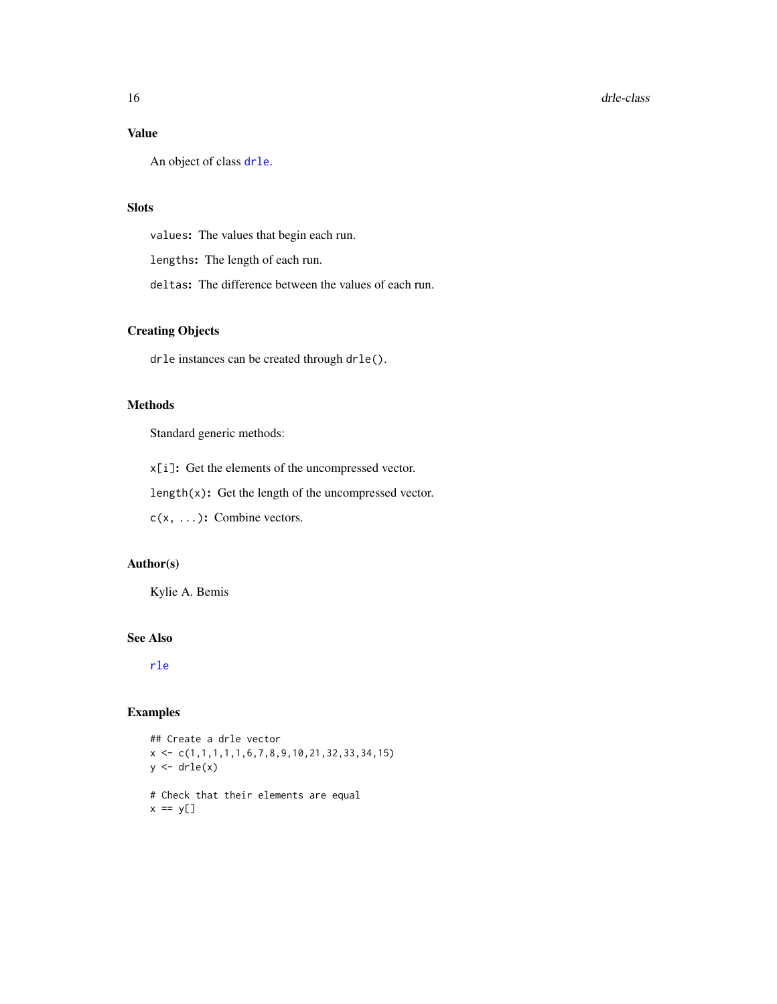## <span id="page-15-0"></span>Value

An object of class [drle](#page-14-1).

## Slots

values: The values that begin each run.

lengths: The length of each run.

deltas: The difference between the values of each run.

## Creating Objects

drle instances can be created through drle().

## Methods

Standard generic methods:

x[i]: Get the elements of the uncompressed vector.

length(x): Get the length of the uncompressed vector.

c(x, ...): Combine vectors.

## Author(s)

Kylie A. Bemis

## See Also

[rle](#page-0-0)

## Examples

## Create a drle vector  $x \leftarrow c(1,1,1,1,1,6,7,8,9,10,21,32,33,34,15)$  $y \leftarrow drle(x)$ # Check that their elements are equal  $x == y[]$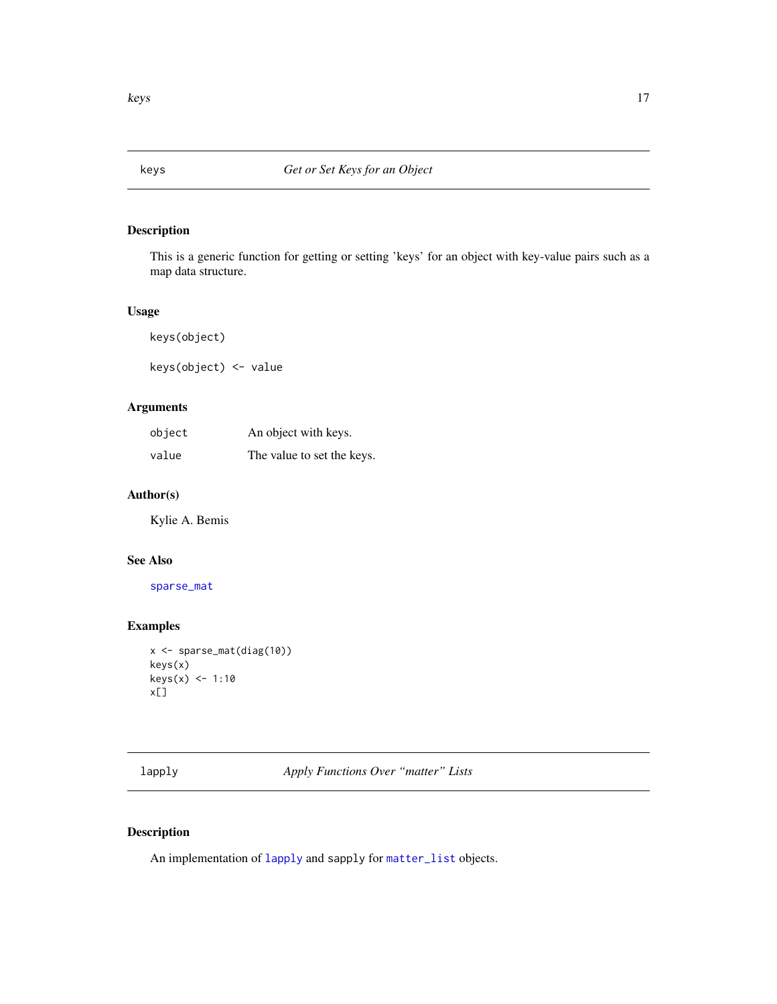<span id="page-16-0"></span>

## Description

This is a generic function for getting or setting 'keys' for an object with key-value pairs such as a map data structure.

## Usage

keys(object)

keys(object) <- value

## Arguments

| object | An object with keys.       |
|--------|----------------------------|
| value  | The value to set the keys. |

## Author(s)

Kylie A. Bemis

## See Also

[sparse\\_mat](#page-42-1)

## Examples

```
x <- sparse_mat(diag(10))
keys(x)
keys(x) <- 1:10
x[]
```
<span id="page-16-1"></span>lapply *Apply Functions Over "matter" Lists*

## Description

An implementation of [lapply](#page-16-1) and sapply for [matter\\_list](#page-29-1) objects.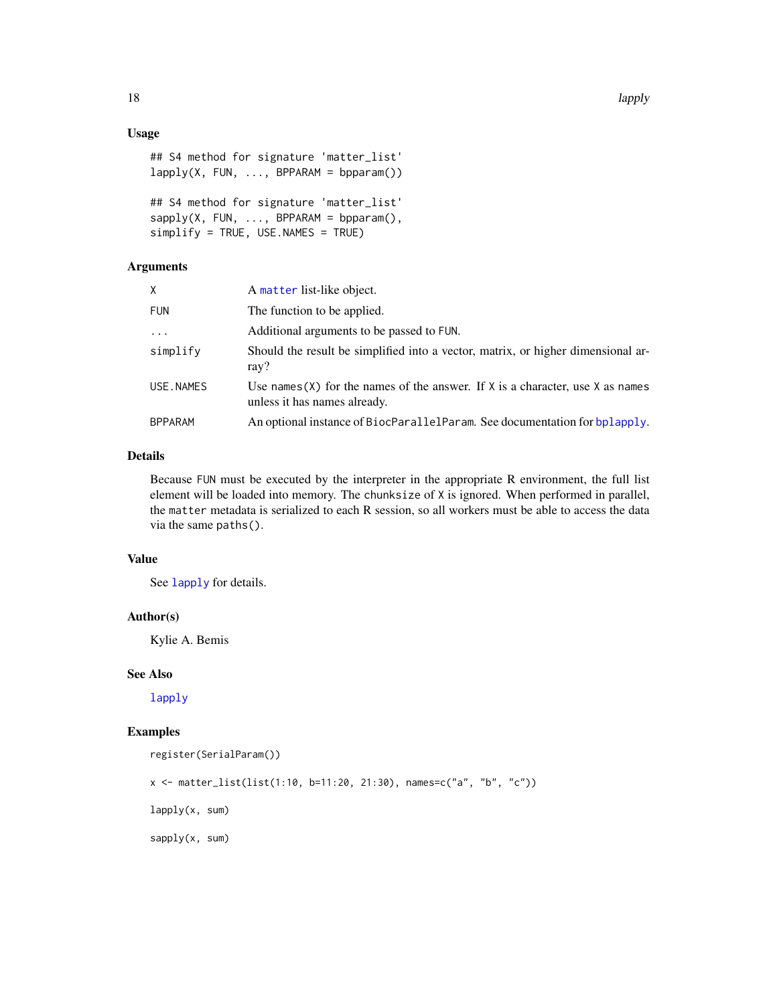## <span id="page-17-0"></span>Usage

```
## S4 method for signature 'matter_list'
lapply(X, FUN, ..., BPPARM = bpparam())## S4 method for signature 'matter_list'
sapply(X, FUN, ..., BPPARAM = bpparam(),simplify = TRUE, USE.NAMES = TRUE)
```
#### Arguments

| X.         | A matter list-like object.                                                                                         |
|------------|--------------------------------------------------------------------------------------------------------------------|
| <b>FUN</b> | The function to be applied.                                                                                        |
| $\cdots$   | Additional arguments to be passed to FUN.                                                                          |
| simplify   | Should the result be simplified into a vector, matrix, or higher dimensional ar-<br>ray?                           |
| USE.NAMES  | Use names (X) for the names of the answer. If $X$ is a character, use $X$ as names<br>unless it has names already. |
| BPPARAM    | An optional instance of BiocParallelParam. See documentation for bplapply.                                         |
|            |                                                                                                                    |

## Details

Because FUN must be executed by the interpreter in the appropriate R environment, the full list element will be loaded into memory. The chunksize of X is ignored. When performed in parallel, the matter metadata is serialized to each R session, so all workers must be able to access the data via the same paths().

## Value

See [lapply](#page-16-1) for details.

## Author(s)

Kylie A. Bemis

## See Also

[lapply](#page-16-1)

## Examples

```
register(SerialParam())
x <- matter_list(list(1:10, b=11:20, 21:30), names=c("a", "b", "c"))
lapply(x, sum)
```
sapply(x, sum)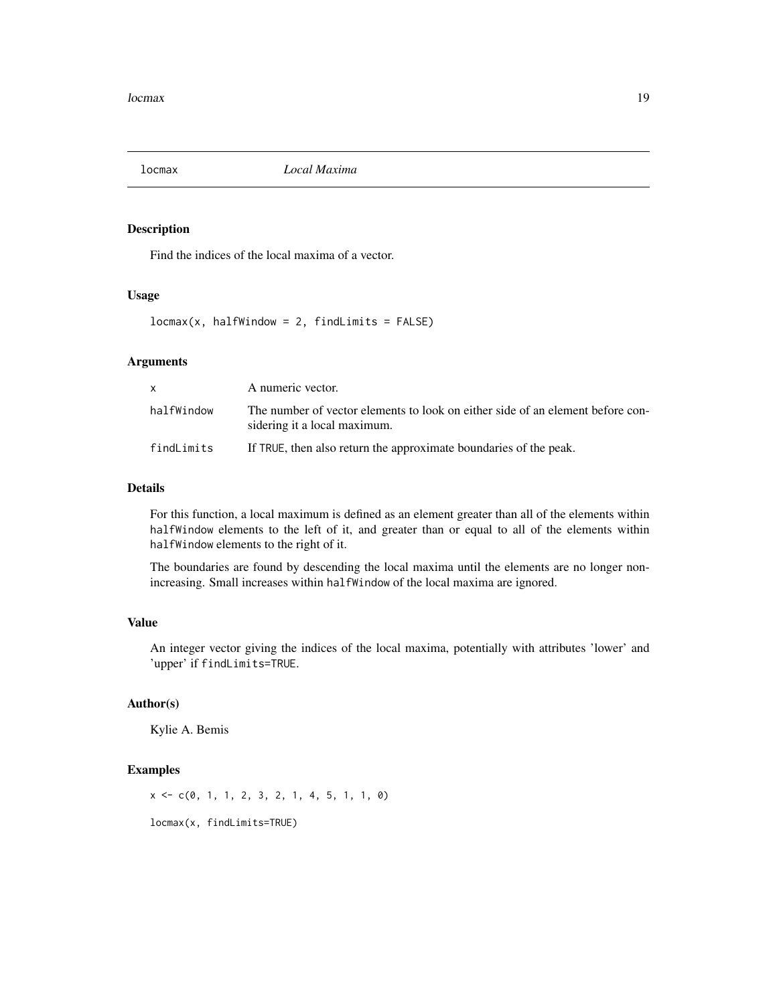<span id="page-18-0"></span>

## Description

Find the indices of the local maxima of a vector.

## Usage

 $locmax(x, halfWindow = 2, findLimits = FALSE)$ 

## Arguments

| $\mathsf{x}$ | A numeric vector.                                                                                              |
|--------------|----------------------------------------------------------------------------------------------------------------|
| halfWindow   | The number of vector elements to look on either side of an element before con-<br>sidering it a local maximum. |
| findLimits   | If TRUE, then also return the approximate boundaries of the peak.                                              |

## Details

For this function, a local maximum is defined as an element greater than all of the elements within halfWindow elements to the left of it, and greater than or equal to all of the elements within halfWindow elements to the right of it.

The boundaries are found by descending the local maxima until the elements are no longer nonincreasing. Small increases within halfWindow of the local maxima are ignored.

## Value

An integer vector giving the indices of the local maxima, potentially with attributes 'lower' and 'upper' if findLimits=TRUE.

## Author(s)

Kylie A. Bemis

#### Examples

x <- c(0, 1, 1, 2, 3, 2, 1, 4, 5, 1, 1, 0)

locmax(x, findLimits=TRUE)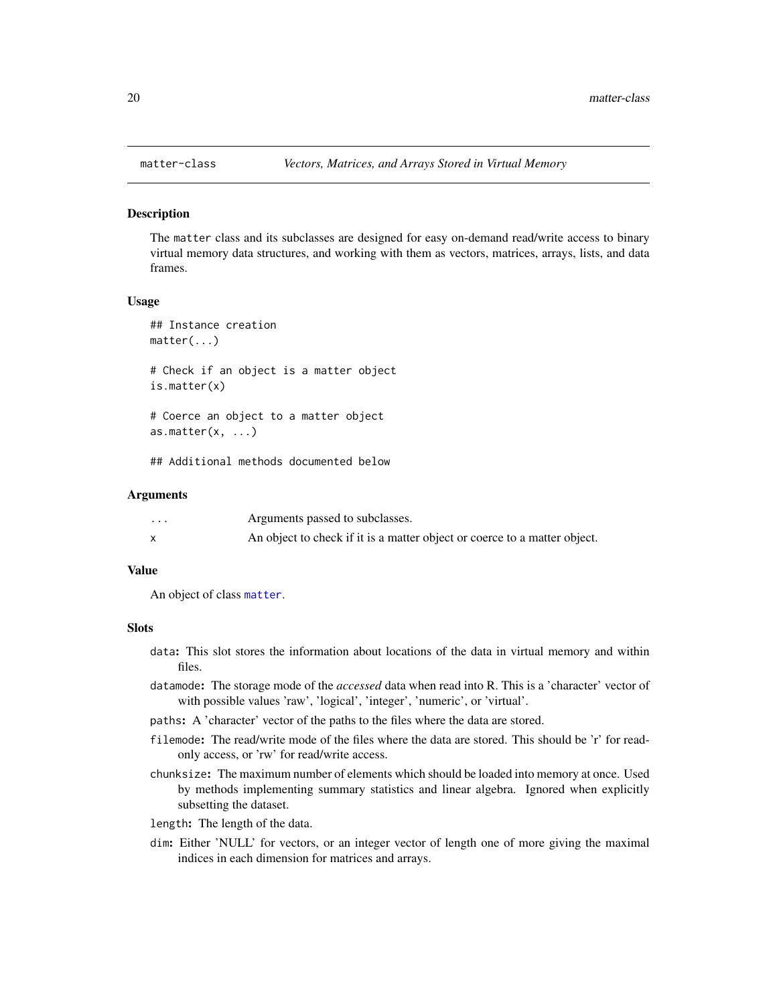<span id="page-19-1"></span><span id="page-19-0"></span>

#### Description

The matter class and its subclasses are designed for easy on-demand read/write access to binary virtual memory data structures, and working with them as vectors, matrices, arrays, lists, and data frames.

#### Usage

```
## Instance creation
matter(...)
# Check if an object is a matter object
is.matter(x)
# Coerce an object to a matter object
as.matter(x, \ldots)
```
## Additional methods documented below

#### Arguments

| $\cdot$ $\cdot$ $\cdot$ | Arguments passed to subclasses.                                           |
|-------------------------|---------------------------------------------------------------------------|
|                         | An object to check if it is a matter object or coerce to a matter object. |

## Value

An object of class [matter](#page-19-1).

## Slots

- data: This slot stores the information about locations of the data in virtual memory and within files.
- datamode: The storage mode of the *accessed* data when read into R. This is a 'character' vector of with possible values 'raw', 'logical', 'integer', 'numeric', or 'virtual'.
- paths: A 'character' vector of the paths to the files where the data are stored.
- filemode: The read/write mode of the files where the data are stored. This should be 'r' for readonly access, or 'rw' for read/write access.
- chunksize: The maximum number of elements which should be loaded into memory at once. Used by methods implementing summary statistics and linear algebra. Ignored when explicitly subsetting the dataset.
- length: The length of the data.
- dim: Either 'NULL' for vectors, or an integer vector of length one of more giving the maximal indices in each dimension for matrices and arrays.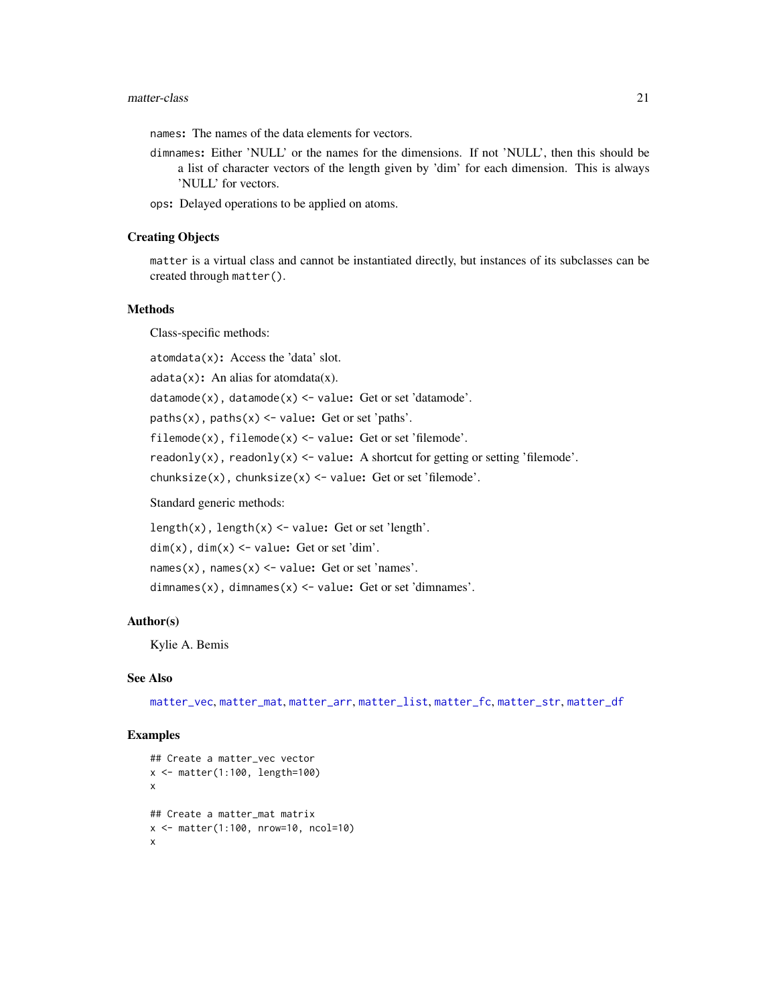#### <span id="page-20-0"></span>matter-class 21

names: The names of the data elements for vectors.

- dimnames: Either 'NULL' or the names for the dimensions. If not 'NULL', then this should be a list of character vectors of the length given by 'dim' for each dimension. This is always 'NULL' for vectors.
- ops: Delayed operations to be applied on atoms.

#### Creating Objects

matter is a virtual class and cannot be instantiated directly, but instances of its subclasses can be created through matter().

## Methods

Class-specific methods:

atomdata(x): Access the 'data' slot.

 $adata(x)$ : An alias for atomdata $(x)$ .

 $datamode(x)$ ,  $datamode(x) < -value$ : Get or set 'datamode'.

paths(x), paths(x)  $\le$  value: Get or set 'paths'.

 $filename(x)$ ,  $filename(x) < -value$ : Get or set 'filemode'.

readonly(x), readonly(x) <- value: A shortcut for getting or setting 'filemode'.

chunksize(x), chunksize(x) <- value: Get or set 'filemode'.

Standard generic methods:

length(x), length(x) <- value: Get or set 'length'.

 $dim(x)$ ,  $dim(x)$  <- value: Get or set 'dim'.

names(x), names(x)  $\le$  value: Get or set 'names'.

dimnames(x), dimnames(x)  $\le$  value: Get or set 'dimnames'.

#### Author(s)

Kylie A. Bemis

## See Also

[matter\\_vec](#page-35-1), [matter\\_mat](#page-31-1), [matter\\_arr](#page-22-1), [matter\\_list](#page-29-1), [matter\\_fc](#page-27-1), [matter\\_str](#page-33-1), [matter\\_df](#page-25-1)

#### Examples

```
## Create a matter_vec vector
x <- matter(1:100, length=100)
x
## Create a matter_mat matrix
x <- matter(1:100, nrow=10, ncol=10)
x
```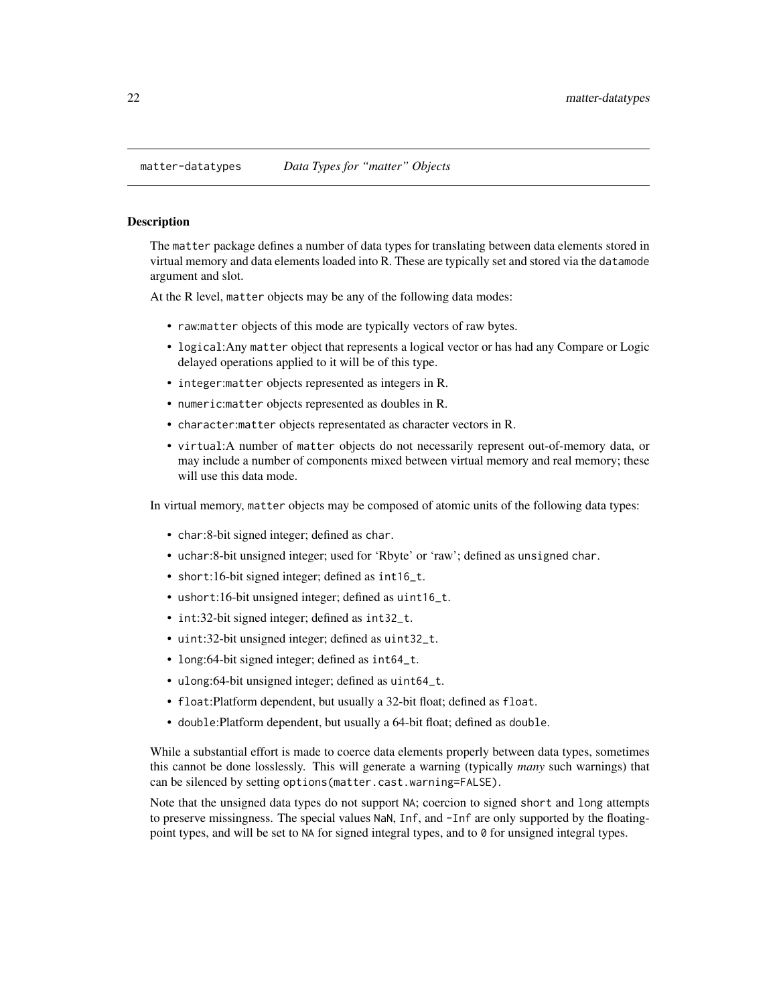<span id="page-21-0"></span>

#### **Description**

The matter package defines a number of data types for translating between data elements stored in virtual memory and data elements loaded into R. These are typically set and stored via the datamode argument and slot.

At the R level, matter objects may be any of the following data modes:

- raw:matter objects of this mode are typically vectors of raw bytes.
- logical:Any matter object that represents a logical vector or has had any Compare or Logic delayed operations applied to it will be of this type.
- integer:matter objects represented as integers in R.
- numeric:matter objects represented as doubles in R.
- character:matter objects representated as character vectors in R.
- virtual:A number of matter objects do not necessarily represent out-of-memory data, or may include a number of components mixed between virtual memory and real memory; these will use this data mode.

In virtual memory, matter objects may be composed of atomic units of the following data types:

- char:8-bit signed integer; defined as char.
- uchar:8-bit unsigned integer; used for 'Rbyte' or 'raw'; defined as unsigned char.
- short:16-bit signed integer; defined as int16\_t.
- ushort:16-bit unsigned integer; defined as uint16\_t.
- int:32-bit signed integer; defined as int32\_t.
- uint:32-bit unsigned integer; defined as uint32\_t.
- long:64-bit signed integer; defined as int64\_t.
- ulong:64-bit unsigned integer; defined as uint64\_t.
- float:Platform dependent, but usually a 32-bit float; defined as float.
- double:Platform dependent, but usually a 64-bit float; defined as double.

While a substantial effort is made to coerce data elements properly between data types, sometimes this cannot be done losslessly. This will generate a warning (typically *many* such warnings) that can be silenced by setting options(matter.cast.warning=FALSE).

Note that the unsigned data types do not support NA; coercion to signed short and long attempts to preserve missingness. The special values NaN, Inf, and -Inf are only supported by the floatingpoint types, and will be set to NA for signed integral types, and to 0 for unsigned integral types.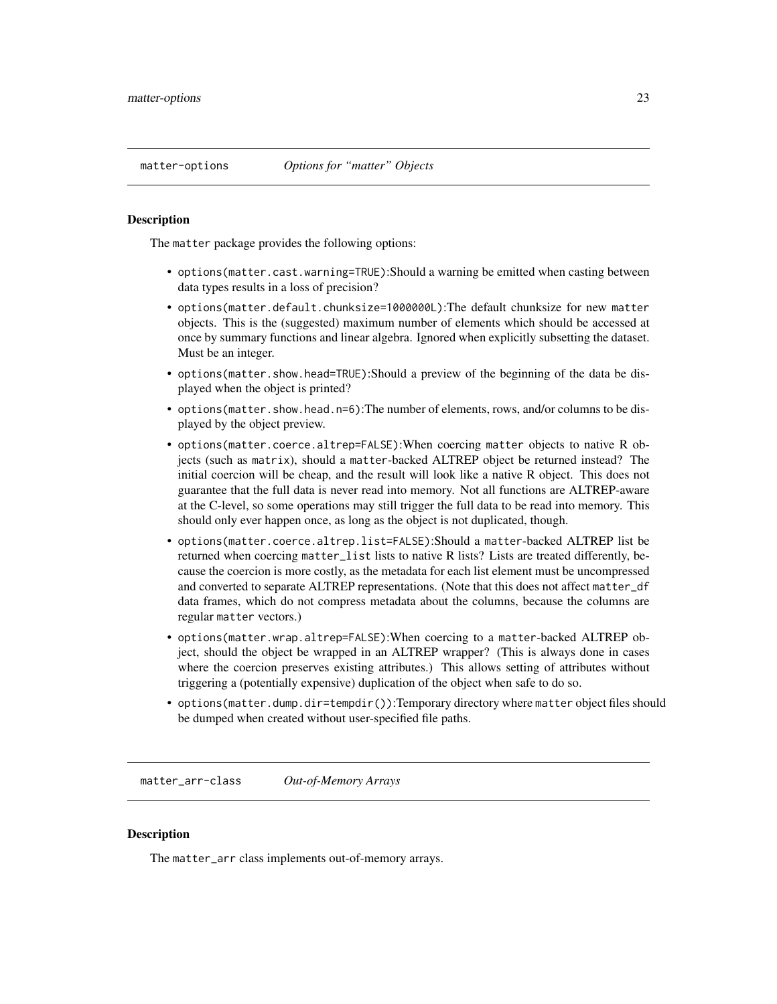#### <span id="page-22-0"></span>Description

The matter package provides the following options:

- options(matter.cast.warning=TRUE):Should a warning be emitted when casting between data types results in a loss of precision?
- options(matter.default.chunksize=1000000L):The default chunksize for new matter objects. This is the (suggested) maximum number of elements which should be accessed at once by summary functions and linear algebra. Ignored when explicitly subsetting the dataset. Must be an integer.
- options(matter.show.head=TRUE):Should a preview of the beginning of the data be displayed when the object is printed?
- options(matter.show.head.n=6):The number of elements, rows, and/or columns to be displayed by the object preview.
- options(matter.coerce.altrep=FALSE):When coercing matter objects to native R objects (such as matrix), should a matter-backed ALTREP object be returned instead? The initial coercion will be cheap, and the result will look like a native R object. This does not guarantee that the full data is never read into memory. Not all functions are ALTREP-aware at the C-level, so some operations may still trigger the full data to be read into memory. This should only ever happen once, as long as the object is not duplicated, though.
- options(matter.coerce.altrep.list=FALSE):Should a matter-backed ALTREP list be returned when coercing matter\_list lists to native R lists? Lists are treated differently, because the coercion is more costly, as the metadata for each list element must be uncompressed and converted to separate ALTREP representations. (Note that this does not affect matter\_df data frames, which do not compress metadata about the columns, because the columns are regular matter vectors.)
- options(matter.wrap.altrep=FALSE):When coercing to a matter-backed ALTREP object, should the object be wrapped in an ALTREP wrapper? (This is always done in cases where the coercion preserves existing attributes.) This allows setting of attributes without triggering a (potentially expensive) duplication of the object when safe to do so.
- options(matter.dump.dir=tempdir()):Temporary directory where matter object files should be dumped when created without user-specified file paths.

<span id="page-22-1"></span>matter\_arr-class *Out-of-Memory Arrays*

## **Description**

The matter\_arr class implements out-of-memory arrays.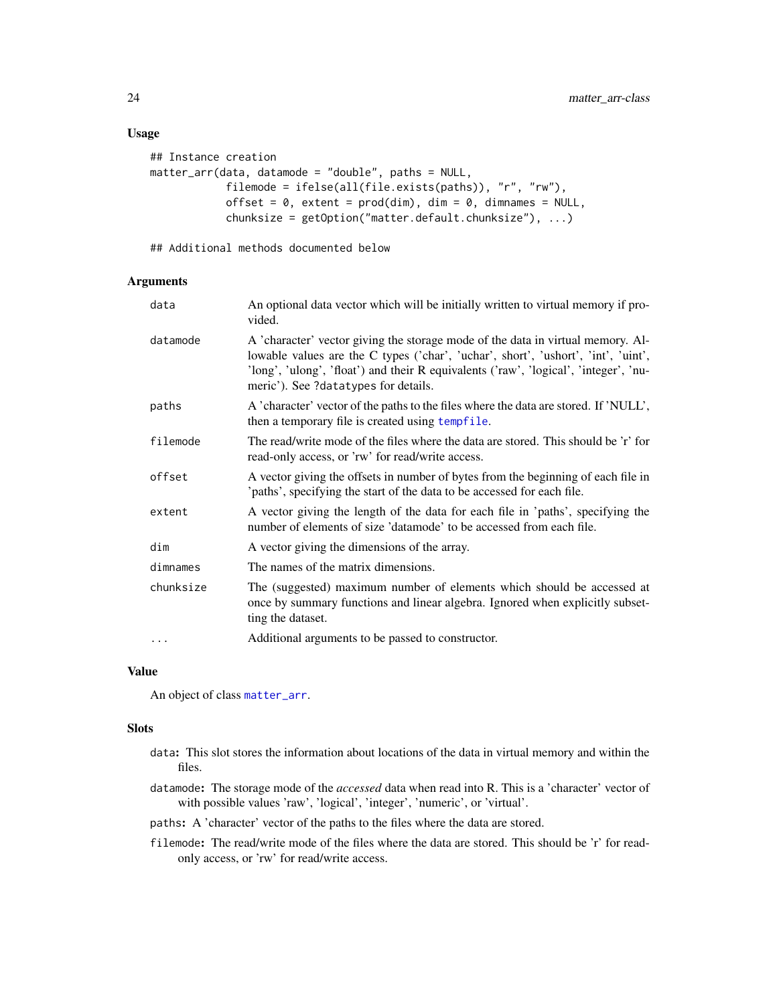#### Usage

```
## Instance creation
matter_arr(data, datamode = "double", paths = NULL,
            filemode = ifelse(all(file.exists(paths)), "r", "rw"),
            offset = 0, extent = prod(dim), dim = 0, dimnames = NULL,
            chunksize = getOption("matter.default.chunksize"), ...)
```
## Additional methods documented below

#### Arguments

| data      | An optional data vector which will be initially written to virtual memory if pro-<br>vided.                                                                                                                                                                                                          |
|-----------|------------------------------------------------------------------------------------------------------------------------------------------------------------------------------------------------------------------------------------------------------------------------------------------------------|
| datamode  | A 'character' vector giving the storage mode of the data in virtual memory. Al-<br>lowable values are the C types ('char', 'uchar', short', 'ushort', 'int', 'uint',<br>'long', 'ulong', 'float') and their R equivalents ('raw', 'logical', 'integer', 'nu-<br>meric'). See ?datatypes for details. |
| paths     | A 'character' vector of the paths to the files where the data are stored. If 'NULL',<br>then a temporary file is created using tempfile.                                                                                                                                                             |
| filemode  | The read/write mode of the files where the data are stored. This should be 'r' for<br>read-only access, or 'rw' for read/write access.                                                                                                                                                               |
| offset    | A vector giving the offsets in number of bytes from the beginning of each file in<br>'paths', specifying the start of the data to be accessed for each file.                                                                                                                                         |
| extent    | A vector giving the length of the data for each file in 'paths', specifying the<br>number of elements of size 'datamode' to be accessed from each file.                                                                                                                                              |
| dim       | A vector giving the dimensions of the array.                                                                                                                                                                                                                                                         |
| dimnames  | The names of the matrix dimensions.                                                                                                                                                                                                                                                                  |
| chunksize | The (suggested) maximum number of elements which should be accessed at<br>once by summary functions and linear algebra. Ignored when explicitly subset-<br>ting the dataset.                                                                                                                         |
| $\ddots$  | Additional arguments to be passed to constructor.                                                                                                                                                                                                                                                    |

#### Value

An object of class [matter\\_arr](#page-22-1).

#### **Slots**

- data: This slot stores the information about locations of the data in virtual memory and within the files.
- datamode: The storage mode of the *accessed* data when read into R. This is a 'character' vector of with possible values 'raw', 'logical', 'integer', 'numeric', or 'virtual'.
- paths: A 'character' vector of the paths to the files where the data are stored.
- filemode: The read/write mode of the files where the data are stored. This should be 'r' for readonly access, or 'rw' for read/write access.

<span id="page-23-0"></span>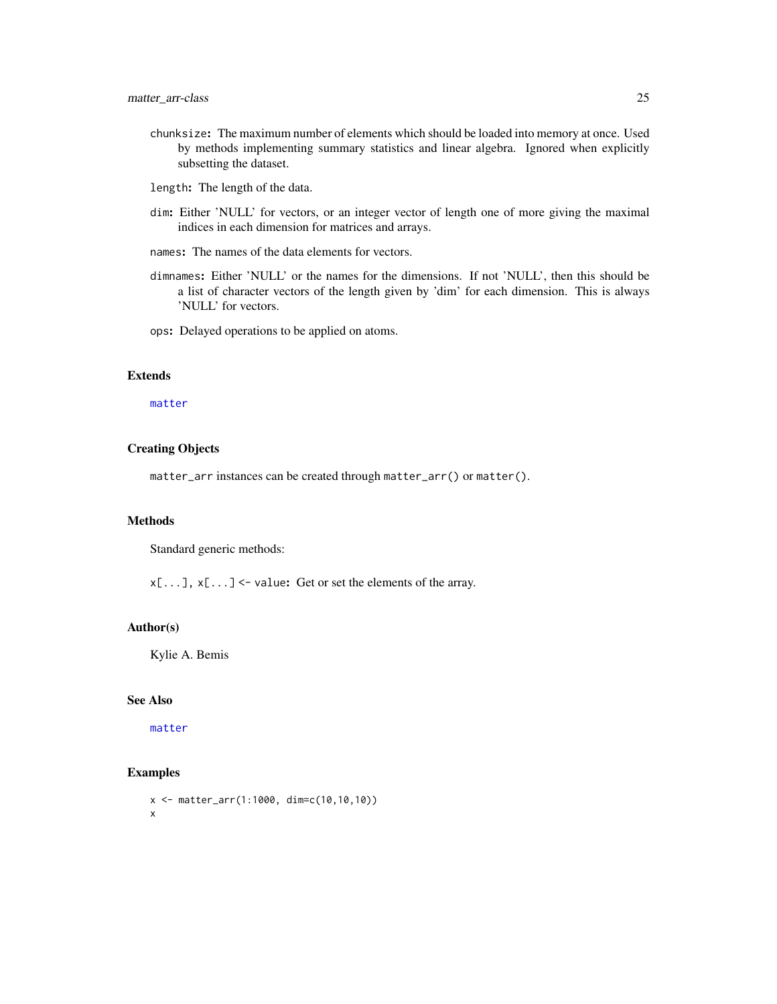- <span id="page-24-0"></span>chunksize: The maximum number of elements which should be loaded into memory at once. Used by methods implementing summary statistics and linear algebra. Ignored when explicitly subsetting the dataset.
- length: The length of the data.
- dim: Either 'NULL' for vectors, or an integer vector of length one of more giving the maximal indices in each dimension for matrices and arrays.
- names: The names of the data elements for vectors.
- dimnames: Either 'NULL' or the names for the dimensions. If not 'NULL', then this should be a list of character vectors of the length given by 'dim' for each dimension. This is always 'NULL' for vectors.
- ops: Delayed operations to be applied on atoms.

## Extends

#### [matter](#page-19-1)

#### Creating Objects

matter\_arr instances can be created through matter\_arr() or matter().

#### Methods

Standard generic methods:

 $x[\ldots]$ ,  $x[\ldots]$  <- value: Get or set the elements of the array.

#### Author(s)

Kylie A. Bemis

## See Also

[matter](#page-19-1)

## Examples

```
x <- matter_arr(1:1000, dim=c(10,10,10))
x
```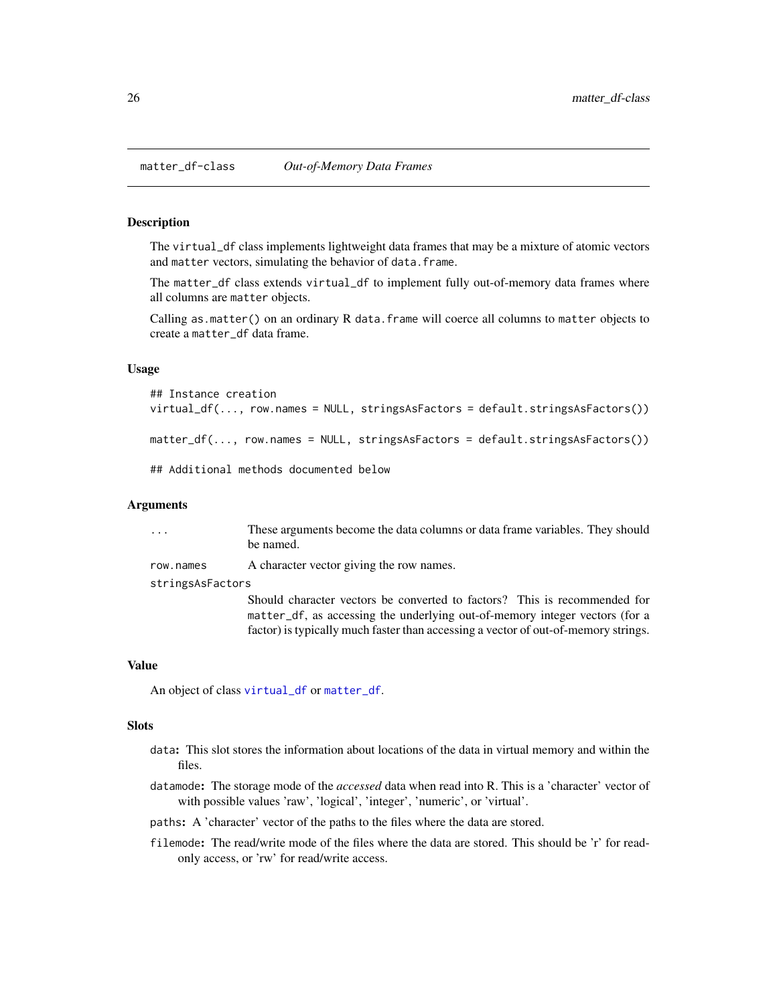<span id="page-25-1"></span><span id="page-25-0"></span>

## <span id="page-25-2"></span>Description

The virtual\_df class implements lightweight data frames that may be a mixture of atomic vectors and matter vectors, simulating the behavior of data.frame.

The matter\_df class extends virtual\_df to implement fully out-of-memory data frames where all columns are matter objects.

Calling as.matter() on an ordinary R data.frame will coerce all columns to matter objects to create a matter\_df data frame.

#### Usage

```
## Instance creation
virtual_df(..., row.names = NULL, stringsAsFactors = default.stringsAsFactors())
matter_df(..., row.names = NULL, stringsAsFactors = default.stringsAsFactors())
## Additional methods documented below
```
#### Arguments

| $\cdots$         | These arguments become the data columns or data frame variables. They should<br>be named. |  |
|------------------|-------------------------------------------------------------------------------------------|--|
| row.names        | A character vector giving the row names.                                                  |  |
| stringsAsFactors |                                                                                           |  |
|                  | Should character vectors be converted to factors? This is recommended for                 |  |
|                  | matter_df, as accessing the underlying out-of-memory integer vectors (for a               |  |
|                  | factor) is typically much faster than accessing a vector of out-of-memory strings.        |  |

#### Value

An object of class [virtual\\_df](#page-25-2) or [matter\\_df](#page-25-1).

#### Slots

- data: This slot stores the information about locations of the data in virtual memory and within the files.
- datamode: The storage mode of the *accessed* data when read into R. This is a 'character' vector of with possible values 'raw', 'logical', 'integer', 'numeric', or 'virtual'.
- paths: A 'character' vector of the paths to the files where the data are stored.
- filemode: The read/write mode of the files where the data are stored. This should be 'r' for readonly access, or 'rw' for read/write access.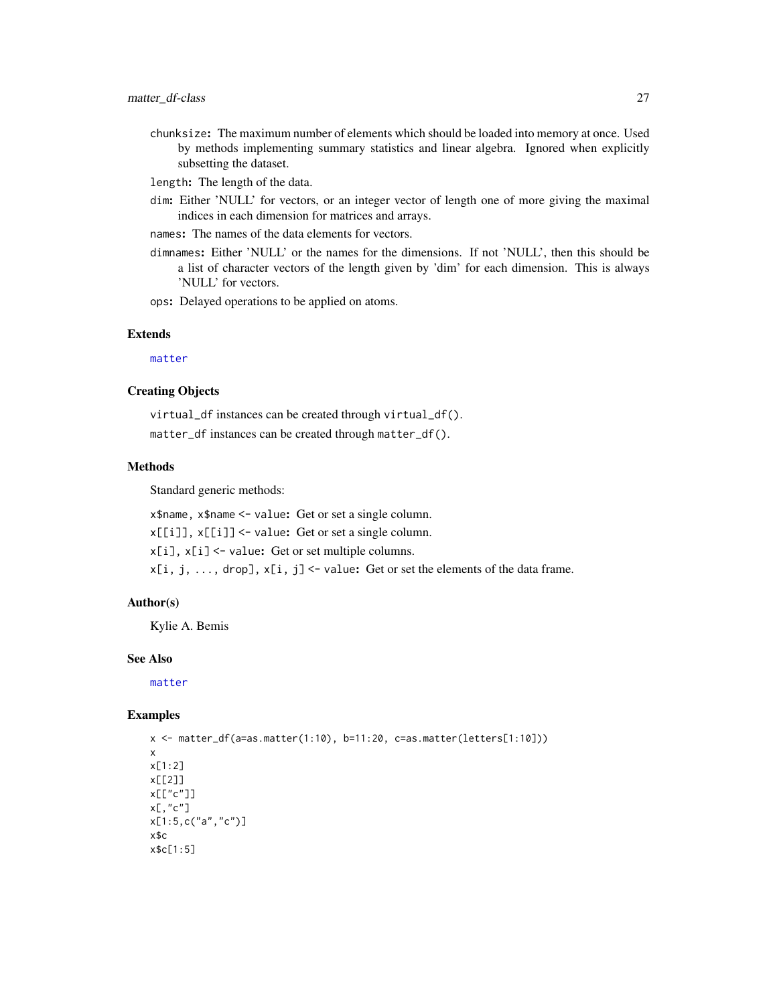<span id="page-26-0"></span>chunksize: The maximum number of elements which should be loaded into memory at once. Used by methods implementing summary statistics and linear algebra. Ignored when explicitly subsetting the dataset.

length: The length of the data.

- dim: Either 'NULL' for vectors, or an integer vector of length one of more giving the maximal indices in each dimension for matrices and arrays.
- names: The names of the data elements for vectors.
- dimnames: Either 'NULL' or the names for the dimensions. If not 'NULL', then this should be a list of character vectors of the length given by 'dim' for each dimension. This is always 'NULL' for vectors.

ops: Delayed operations to be applied on atoms.

## Extends

[matter](#page-19-1)

## Creating Objects

virtual\_df instances can be created through virtual\_df(). matter\_df instances can be created through matter\_df().

## Methods

Standard generic methods:

x\$name, x\$name <- value: Get or set a single column.  $x[[i]]$ ,  $x[[i]]$  <- value: Get or set a single column. x[i], x[i] <- value: Get or set multiple columns.  $x[i, j, \ldots, drop], x[i, j]$  <- value: Get or set the elements of the data frame.

#### Author(s)

Kylie A. Bemis

#### See Also

[matter](#page-19-1)

#### Examples

```
x <- matter_df(a=as.matter(1:10), b=11:20, c=as.matter(letters[1:10]))
x
x[1:2]
x[[2]]
x[["c"]]
x[,"c"]
x[1:5,c("a","c")]
x$c
x$c[1:5]
```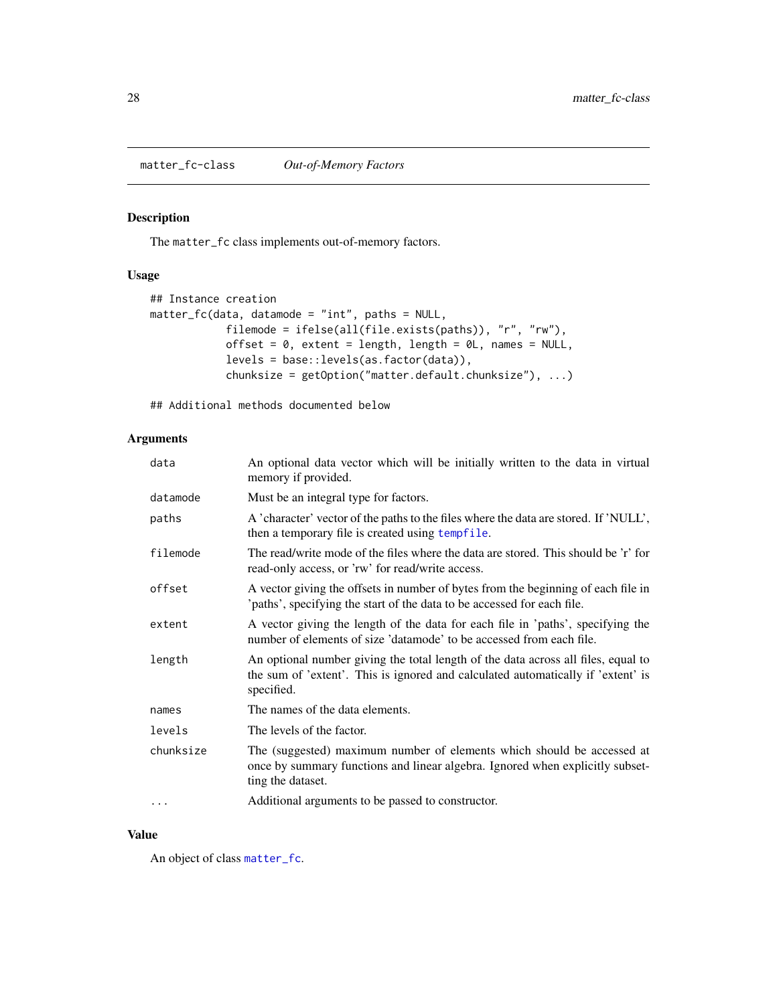<span id="page-27-1"></span><span id="page-27-0"></span>matter\_fc-class *Out-of-Memory Factors*

## Description

The matter\_fc class implements out-of-memory factors.

## Usage

```
## Instance creation
matter_fc(data, datamode = "int", paths = NULL,
            filemode = ifelse(all(file.exists(paths)), "r", "rw"),
            offset = 0, extent = length, length = 0L, names = NULL,
            levels = base::levels(as.factor(data)),
            chunksize = getOption("matter.default.chunksize"), ...)
```
## Additional methods documented below

## Arguments

| data      | An optional data vector which will be initially written to the data in virtual<br>memory if provided.                                                                               |
|-----------|-------------------------------------------------------------------------------------------------------------------------------------------------------------------------------------|
| datamode  | Must be an integral type for factors.                                                                                                                                               |
| paths     | A 'character' vector of the paths to the files where the data are stored. If 'NULL',<br>then a temporary file is created using tempfile.                                            |
| filemode  | The read/write mode of the files where the data are stored. This should be 'r' for<br>read-only access, or 'rw' for read/write access.                                              |
| offset    | A vector giving the offsets in number of bytes from the beginning of each file in<br>'paths', specifying the start of the data to be accessed for each file.                        |
| extent    | A vector giving the length of the data for each file in 'paths', specifying the<br>number of elements of size 'datamode' to be accessed from each file.                             |
| length    | An optional number giving the total length of the data across all files, equal to<br>the sum of 'extent'. This is ignored and calculated automatically if 'extent' is<br>specified. |
| names     | The names of the data elements.                                                                                                                                                     |
| levels    | The levels of the factor.                                                                                                                                                           |
| chunksize | The (suggested) maximum number of elements which should be accessed at<br>once by summary functions and linear algebra. Ignored when explicitly subset-<br>ting the dataset.        |
| .         | Additional arguments to be passed to constructor.                                                                                                                                   |

#### Value

An object of class [matter\\_fc](#page-27-1).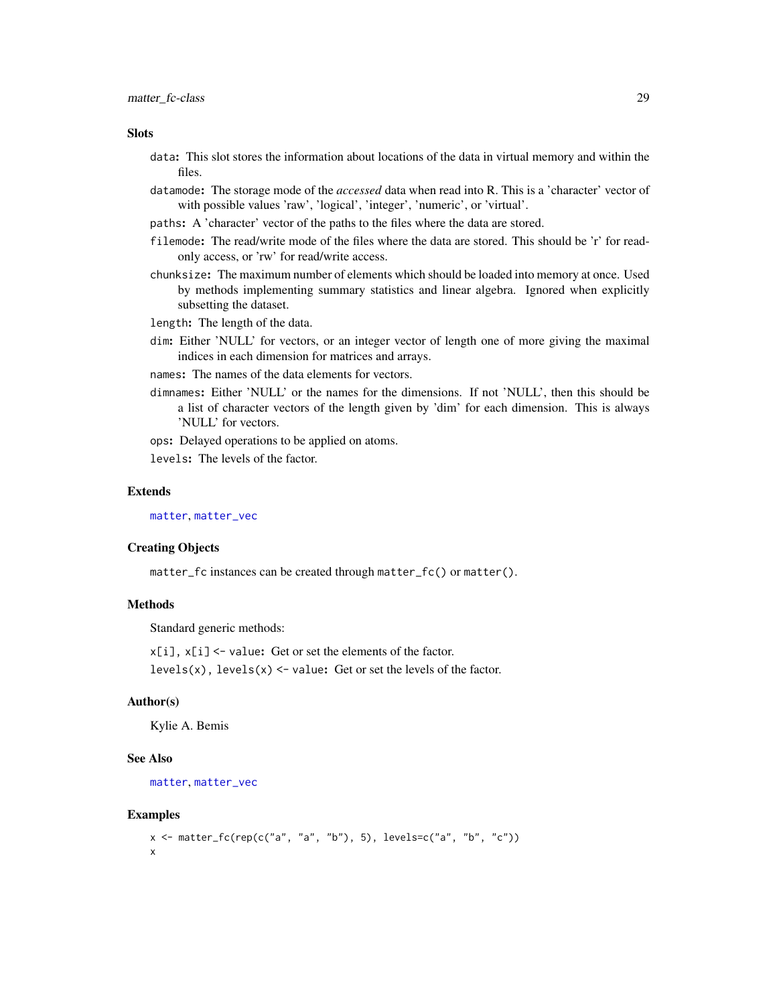#### <span id="page-28-0"></span>**Slots**

- data: This slot stores the information about locations of the data in virtual memory and within the files.
- datamode: The storage mode of the *accessed* data when read into R. This is a 'character' vector of with possible values 'raw', 'logical', 'integer', 'numeric', or 'virtual'.
- paths: A 'character' vector of the paths to the files where the data are stored.
- filemode: The read/write mode of the files where the data are stored. This should be 'r' for readonly access, or 'rw' for read/write access.
- chunksize: The maximum number of elements which should be loaded into memory at once. Used by methods implementing summary statistics and linear algebra. Ignored when explicitly subsetting the dataset.
- length: The length of the data.
- dim: Either 'NULL' for vectors, or an integer vector of length one of more giving the maximal indices in each dimension for matrices and arrays.
- names: The names of the data elements for vectors.
- dimnames: Either 'NULL' or the names for the dimensions. If not 'NULL', then this should be a list of character vectors of the length given by 'dim' for each dimension. This is always 'NULL' for vectors.

ops: Delayed operations to be applied on atoms.

levels: The levels of the factor.

#### Extends

[matter](#page-19-1), [matter\\_vec](#page-35-1)

#### Creating Objects

matter\_fc instances can be created through matter\_fc() or matter().

#### Methods

Standard generic methods:

 $x[i]$ ,  $x[i]$  <- value: Get or set the elements of the factor.

levels(x), levels(x) <- value: Get or set the levels of the factor.

#### Author(s)

Kylie A. Bemis

#### See Also

```
matter, matter_vec
```
#### Examples

```
x \le matter_fc(rep(c("a", "a", "b"), 5), levels=c("a", "b", "c"))
x
```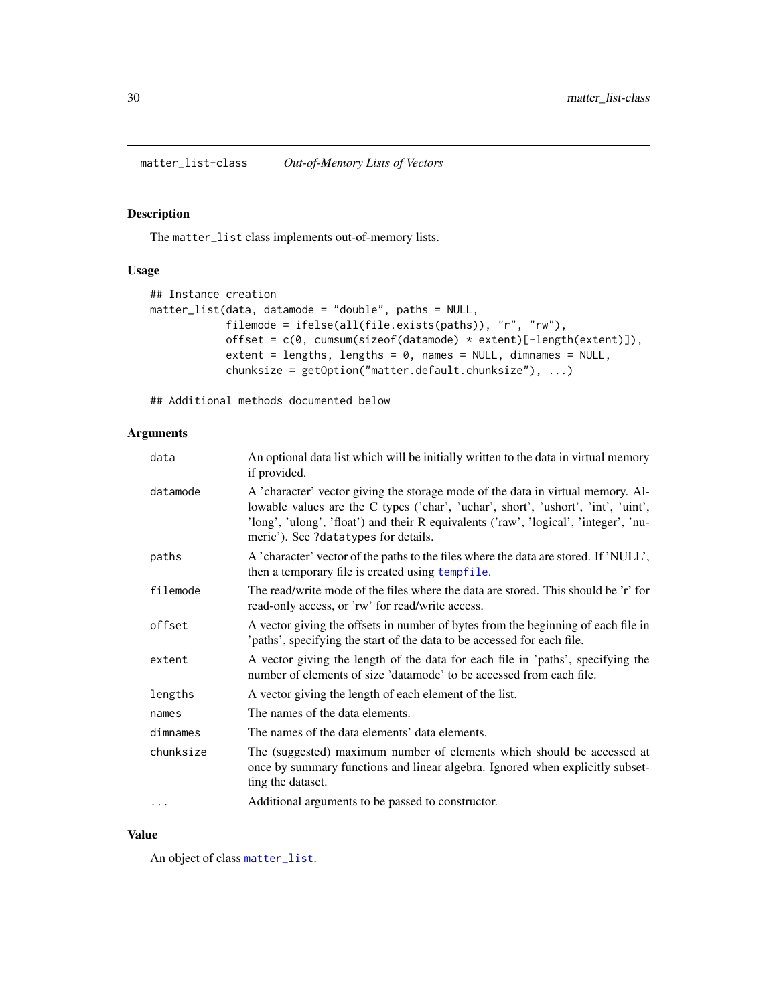<span id="page-29-1"></span><span id="page-29-0"></span>matter\_list-class *Out-of-Memory Lists of Vectors*

#### Description

The matter\_list class implements out-of-memory lists.

## Usage

```
## Instance creation
matter_list(data, datamode = "double", paths = NULL,
            filemode = ifelse(all(file.exists(paths)), "r", "rw"),
            offset = c(0, cumsum(sizeof(datamode) * extent)[-length(extent)]),
            extent = lengths, lengths = 0, names = NULL, dimnames = NULL,
            chunksize = getOption("matter.default.chunksize"), ...)
```
## Additional methods documented below

## Arguments

| data      | An optional data list which will be initially written to the data in virtual memory<br>if provided.                                                                                                                                                                                                  |
|-----------|------------------------------------------------------------------------------------------------------------------------------------------------------------------------------------------------------------------------------------------------------------------------------------------------------|
| datamode  | A 'character' vector giving the storage mode of the data in virtual memory. Al-<br>lowable values are the C types ('char', 'uchar', short', 'ushort', 'int', 'uint',<br>'long', 'ulong', 'float') and their R equivalents ('raw', 'logical', 'integer', 'nu-<br>meric'). See ?datatypes for details. |
| paths     | A 'character' vector of the paths to the files where the data are stored. If 'NULL',<br>then a temporary file is created using tempfile.                                                                                                                                                             |
| filemode  | The read/write mode of the files where the data are stored. This should be 'r' for<br>read-only access, or 'rw' for read/write access.                                                                                                                                                               |
| offset    | A vector giving the offsets in number of bytes from the beginning of each file in<br>'paths', specifying the start of the data to be accessed for each file.                                                                                                                                         |
| extent    | A vector giving the length of the data for each file in 'paths', specifying the<br>number of elements of size 'datamode' to be accessed from each file.                                                                                                                                              |
| lengths   | A vector giving the length of each element of the list.                                                                                                                                                                                                                                              |
| names     | The names of the data elements.                                                                                                                                                                                                                                                                      |
| dimnames  | The names of the data elements' data elements.                                                                                                                                                                                                                                                       |
| chunksize | The (suggested) maximum number of elements which should be accessed at<br>once by summary functions and linear algebra. Ignored when explicitly subset-<br>ting the dataset.                                                                                                                         |
| $\cdots$  | Additional arguments to be passed to constructor.                                                                                                                                                                                                                                                    |

## Value

An object of class [matter\\_list](#page-29-1).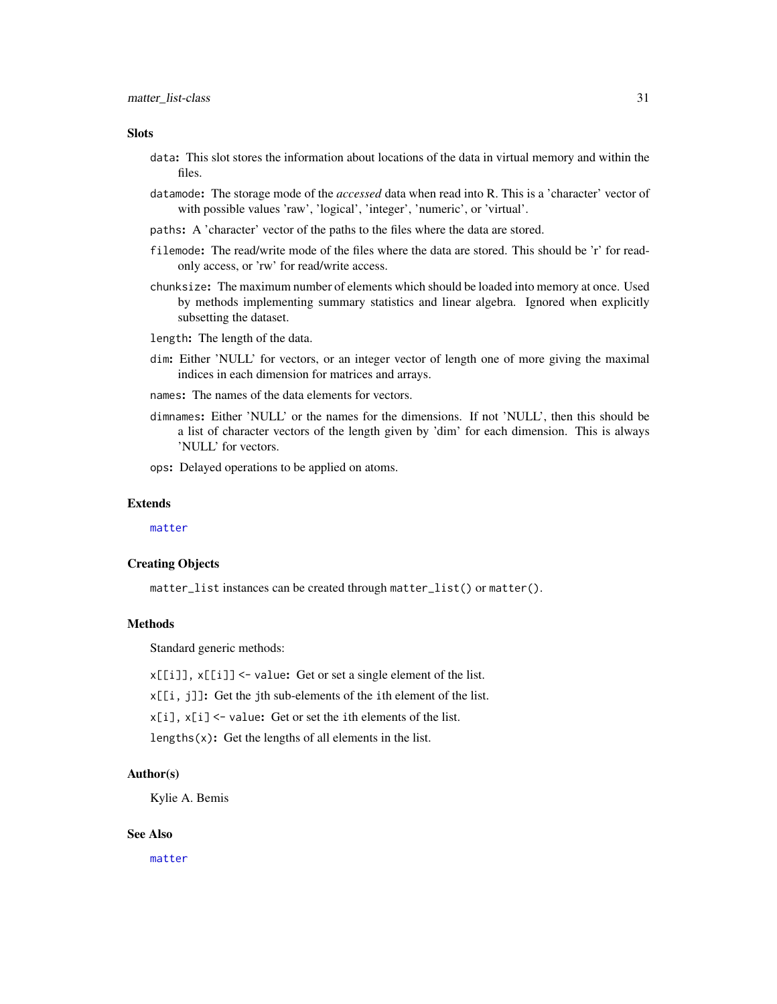#### <span id="page-30-0"></span>**Slots**

- data: This slot stores the information about locations of the data in virtual memory and within the files.
- datamode: The storage mode of the *accessed* data when read into R. This is a 'character' vector of with possible values 'raw', 'logical', 'integer', 'numeric', or 'virtual'.
- paths: A 'character' vector of the paths to the files where the data are stored.
- filemode: The read/write mode of the files where the data are stored. This should be 'r' for readonly access, or 'rw' for read/write access.
- chunksize: The maximum number of elements which should be loaded into memory at once. Used by methods implementing summary statistics and linear algebra. Ignored when explicitly subsetting the dataset.
- length: The length of the data.
- dim: Either 'NULL' for vectors, or an integer vector of length one of more giving the maximal indices in each dimension for matrices and arrays.
- names: The names of the data elements for vectors.
- dimnames: Either 'NULL' or the names for the dimensions. If not 'NULL', then this should be a list of character vectors of the length given by 'dim' for each dimension. This is always 'NULL' for vectors.

ops: Delayed operations to be applied on atoms.

#### Extends

[matter](#page-19-1)

## Creating Objects

matter\_list instances can be created through matter\_list() or matter().

## Methods

Standard generic methods:

 $x[[i]]$ ,  $x[[i]]$  <- value: Get or set a single element of the list.

x[[i, j]]: Get the jth sub-elements of the ith element of the list.

 $x[i], x[i]$  <- value: Get or set the ith elements of the list.

lengths $(x)$ : Get the lengths of all elements in the list.

#### Author(s)

Kylie A. Bemis

#### See Also

[matter](#page-19-1)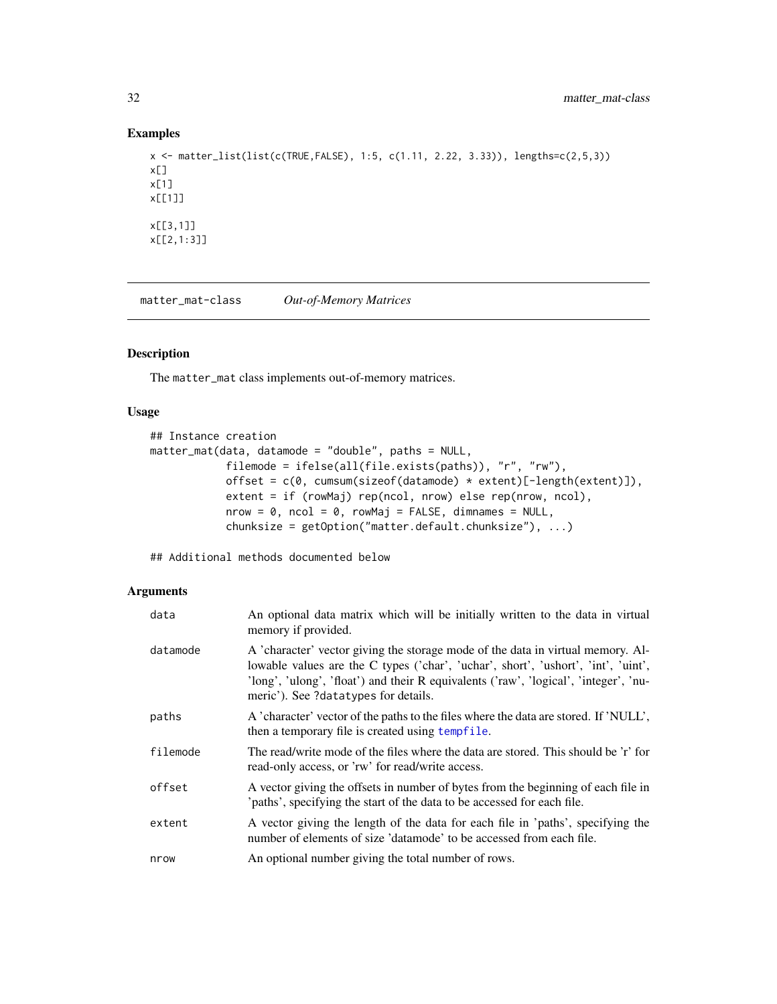## Examples

```
x <- matter_list(list(c(TRUE,FALSE), 1:5, c(1.11, 2.22, 3.33)), lengths=c(2,5,3))
x[]
x[1]
x[[1]]
x[[3,1]]
x[[2,1:3]]
```
<span id="page-31-1"></span>matter\_mat-class *Out-of-Memory Matrices*

## <span id="page-31-2"></span>Description

The matter\_mat class implements out-of-memory matrices.

## Usage

```
## Instance creation
matter_mat(data, datamode = "double", paths = NULL,
            filemode = ifelse(all(file.exists(paths)), "r", "rw"),
            offset = c(0, cumsum(sizeof(datamode) * extent)[-length(extent)]),
            extent = if (rowMaj) rep(ncol, nrow) else rep(nrow, ncol),
            nrow = 0, ncol = 0, rowMaj = FALSE, dimnames = NULL,
            chunksize = getOption("matter.default.chunksize"), ...)
```
## Additional methods documented below

#### Arguments

| data     | An optional data matrix which will be initially written to the data in virtual<br>memory if provided.                                                                                                                                                                                                |
|----------|------------------------------------------------------------------------------------------------------------------------------------------------------------------------------------------------------------------------------------------------------------------------------------------------------|
| datamode | A 'character' vector giving the storage mode of the data in virtual memory. Al-<br>lowable values are the C types ('char', 'uchar', short', 'ushort', 'int', 'uint',<br>'long', 'ulong', 'float') and their R equivalents ('raw', 'logical', 'integer', 'nu-<br>meric'). See ?datatypes for details. |
| paths    | A 'character' vector of the paths to the files where the data are stored. If 'NULL',<br>then a temporary file is created using tempfile.                                                                                                                                                             |
| filemode | The read/write mode of the files where the data are stored. This should be 'r' for<br>read-only access, or 'rw' for read/write access.                                                                                                                                                               |
| offset   | A vector giving the offsets in number of bytes from the beginning of each file in<br>'paths', specifying the start of the data to be accessed for each file.                                                                                                                                         |
| extent   | A vector giving the length of the data for each file in 'paths', specifying the<br>number of elements of size 'datamode' to be accessed from each file.                                                                                                                                              |
| nrow     | An optional number giving the total number of rows.                                                                                                                                                                                                                                                  |

<span id="page-31-0"></span>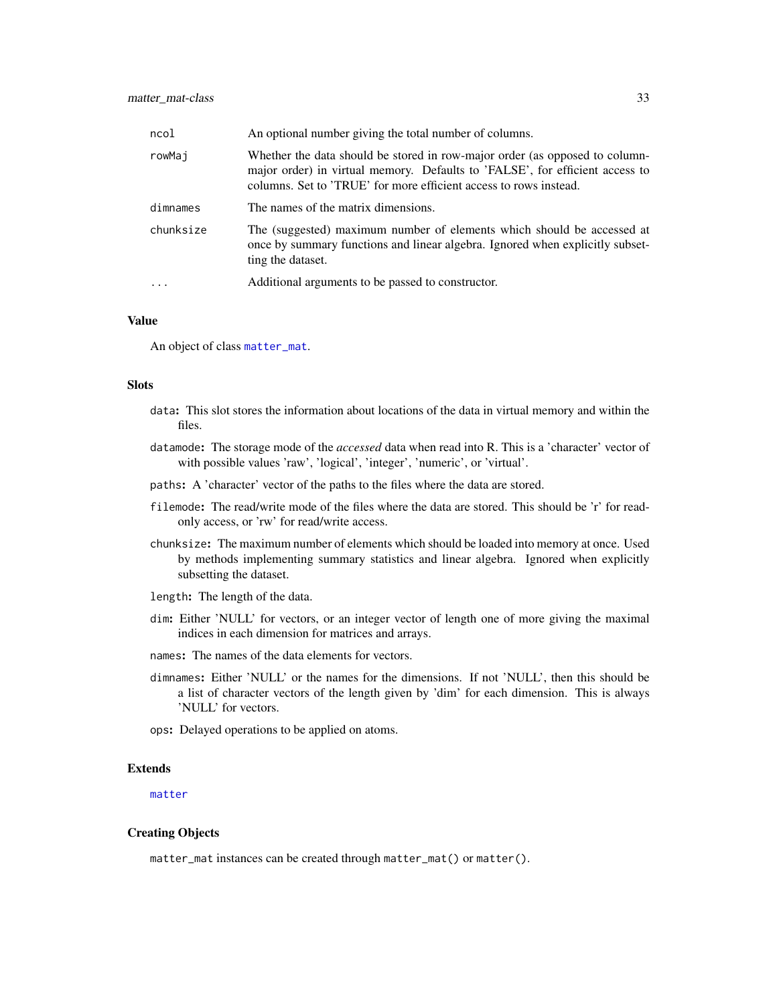<span id="page-32-0"></span>

| ncol      | An optional number giving the total number of columns.                                                                                                                                                                           |
|-----------|----------------------------------------------------------------------------------------------------------------------------------------------------------------------------------------------------------------------------------|
| rowMaj    | Whether the data should be stored in row-major order (as opposed to column-<br>major order) in virtual memory. Defaults to 'FALSE', for efficient access to<br>columns. Set to 'TRUE' for more efficient access to rows instead. |
| dimnames  | The names of the matrix dimensions.                                                                                                                                                                                              |
| chunksize | The (suggested) maximum number of elements which should be accessed at<br>once by summary functions and linear algebra. Ignored when explicitly subset-<br>ting the dataset.                                                     |
|           | Additional arguments to be passed to constructor.                                                                                                                                                                                |

#### Value

An object of class [matter\\_mat](#page-31-1).

#### Slots

- data: This slot stores the information about locations of the data in virtual memory and within the files.
- datamode: The storage mode of the *accessed* data when read into R. This is a 'character' vector of with possible values 'raw', 'logical', 'integer', 'numeric', or 'virtual'.
- paths: A 'character' vector of the paths to the files where the data are stored.
- filemode: The read/write mode of the files where the data are stored. This should be 'r' for readonly access, or 'rw' for read/write access.
- chunksize: The maximum number of elements which should be loaded into memory at once. Used by methods implementing summary statistics and linear algebra. Ignored when explicitly subsetting the dataset.
- length: The length of the data.
- dim: Either 'NULL' for vectors, or an integer vector of length one of more giving the maximal indices in each dimension for matrices and arrays.
- names: The names of the data elements for vectors.
- dimnames: Either 'NULL' or the names for the dimensions. If not 'NULL', then this should be a list of character vectors of the length given by 'dim' for each dimension. This is always 'NULL' for vectors.
- ops: Delayed operations to be applied on atoms.

#### Extends

[matter](#page-19-1)

#### Creating Objects

matter\_mat instances can be created through matter\_mat() or matter().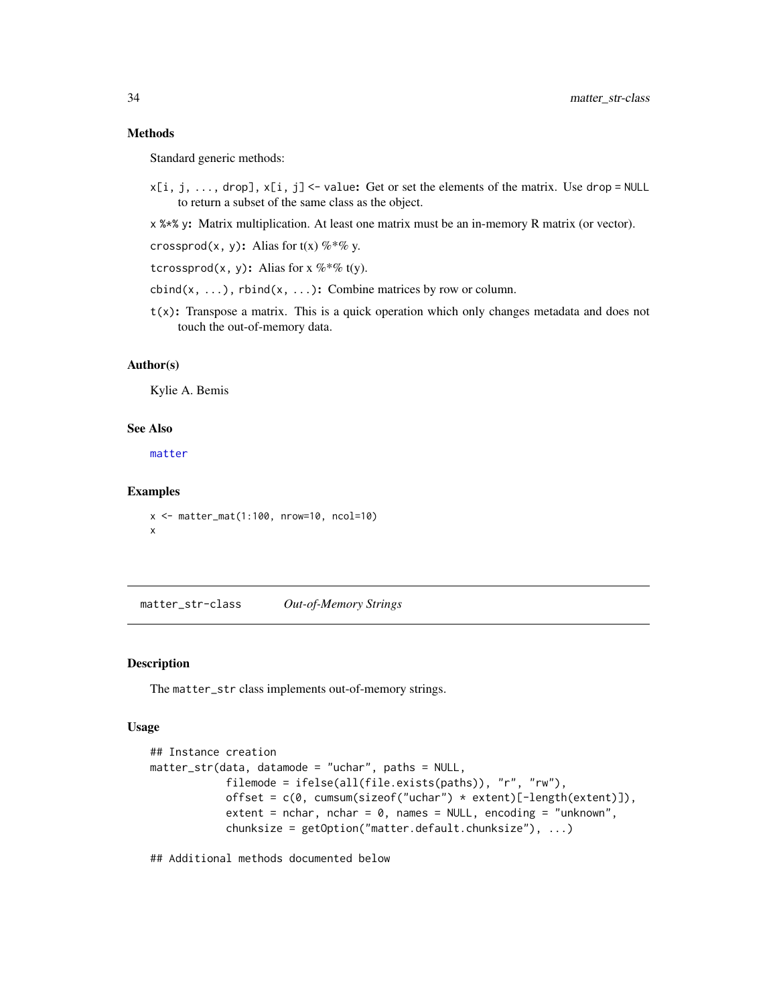#### <span id="page-33-0"></span>Methods

Standard generic methods:

 $x[i, j, ..., drop], x[i, j]$  <- value: Get or set the elements of the matrix. Use drop = NULL to return a subset of the same class as the object.

x %\*% y: Matrix multiplication. At least one matrix must be an in-memory R matrix (or vector).

crossprod(x, y): Alias for  $t(x)$  %\*% y.

tcrossprod(x, y): Alias for  $x \, \%^* \%$  t(y).

cbind(x, ...), rbind(x, ...): Combine matrices by row or column.

 $t(x)$ : Transpose a matrix. This is a quick operation which only changes metadata and does not touch the out-of-memory data.

#### Author(s)

Kylie A. Bemis

#### See Also

[matter](#page-19-1)

#### Examples

```
x <- matter_mat(1:100, nrow=10, ncol=10)
x
```
<span id="page-33-1"></span>matter\_str-class *Out-of-Memory Strings*

#### Description

The matter\_str class implements out-of-memory strings.

#### Usage

```
## Instance creation
matter_str(data, datamode = "uchar", paths = NULL,
            filemode = ifelse(all(file.exists(paths)), "r", "rw"),
            offset = c(0, cumsum(sizeof("uchar") * extent)[-length(extent)]),
            extent = nchar, nchar = 0, names = NULL, encoding = "unknown",
            chunksize = getOption("matter.default.chunksize"), ...)
```
## Additional methods documented below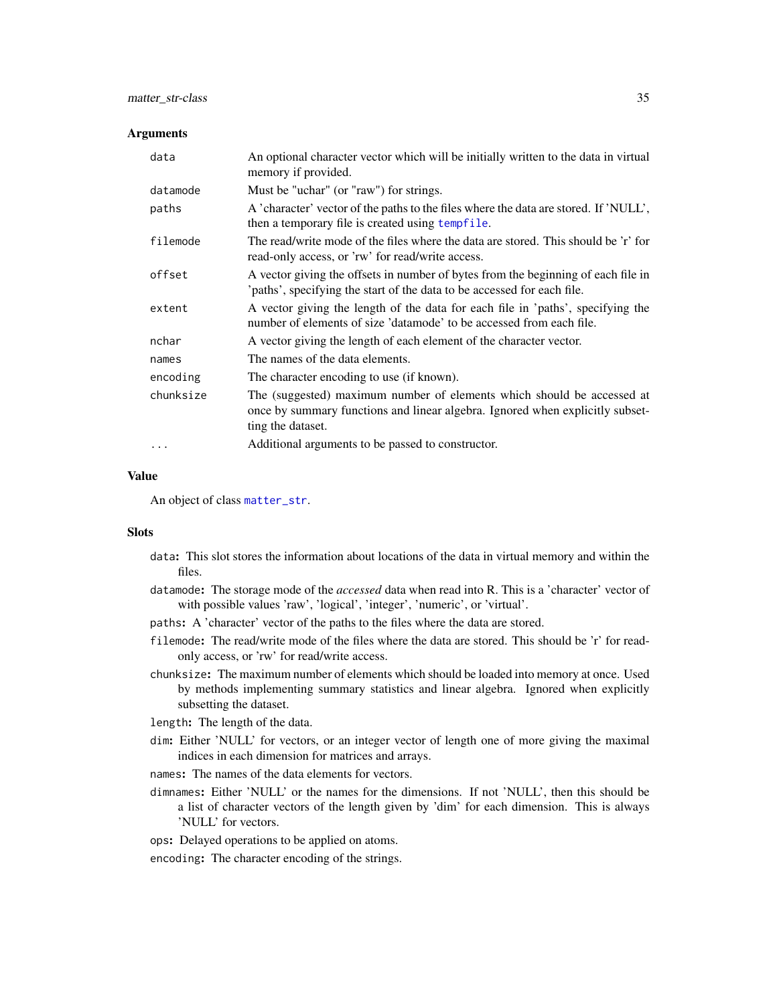#### <span id="page-34-0"></span>**Arguments**

| data      | An optional character vector which will be initially written to the data in virtual<br>memory if provided.                                                                   |
|-----------|------------------------------------------------------------------------------------------------------------------------------------------------------------------------------|
| datamode  | Must be "uchar" (or "raw") for strings.                                                                                                                                      |
| paths     | A 'character' vector of the paths to the files where the data are stored. If 'NULL',<br>then a temporary file is created using tempfile.                                     |
| filemode  | The read/write mode of the files where the data are stored. This should be 'r' for<br>read-only access, or 'rw' for read/write access.                                       |
| offset    | A vector giving the offsets in number of bytes from the beginning of each file in<br>'paths', specifying the start of the data to be accessed for each file.                 |
| extent    | A vector giving the length of the data for each file in 'paths', specifying the<br>number of elements of size 'datamode' to be accessed from each file.                      |
| nchar     | A vector giving the length of each element of the character vector.                                                                                                          |
| names     | The names of the data elements.                                                                                                                                              |
| encoding  | The character encoding to use (if known).                                                                                                                                    |
| chunksize | The (suggested) maximum number of elements which should be accessed at<br>once by summary functions and linear algebra. Ignored when explicitly subset-<br>ting the dataset. |
| $\ddotsc$ | Additional arguments to be passed to constructor.                                                                                                                            |

## Value

An object of class [matter\\_str](#page-33-1).

## **Slots**

- data: This slot stores the information about locations of the data in virtual memory and within the files.
- datamode: The storage mode of the *accessed* data when read into R. This is a 'character' vector of with possible values 'raw', 'logical', 'integer', 'numeric', or 'virtual'.
- paths: A 'character' vector of the paths to the files where the data are stored.
- filemode: The read/write mode of the files where the data are stored. This should be 'r' for readonly access, or 'rw' for read/write access.
- chunksize: The maximum number of elements which should be loaded into memory at once. Used by methods implementing summary statistics and linear algebra. Ignored when explicitly subsetting the dataset.
- length: The length of the data.
- dim: Either 'NULL' for vectors, or an integer vector of length one of more giving the maximal indices in each dimension for matrices and arrays.
- names: The names of the data elements for vectors.
- dimnames: Either 'NULL' or the names for the dimensions. If not 'NULL', then this should be a list of character vectors of the length given by 'dim' for each dimension. This is always 'NULL' for vectors.
- ops: Delayed operations to be applied on atoms.
- encoding: The character encoding of the strings.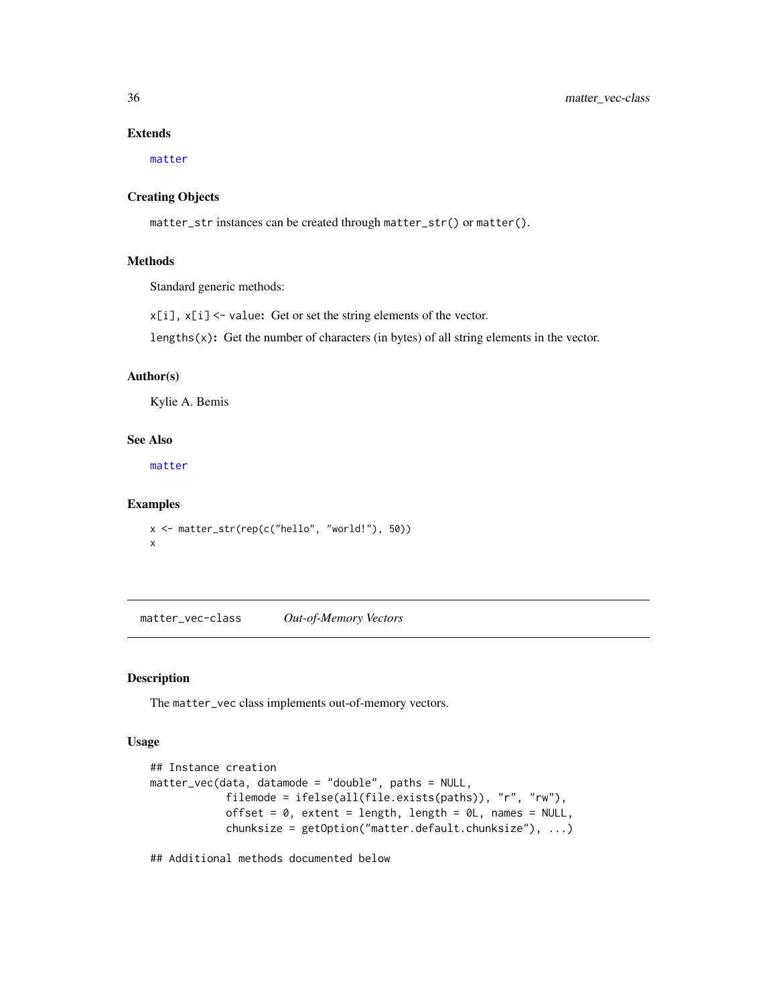## Extends

[matter](#page-19-1)

#### Creating Objects

matter\_str instances can be created through matter\_str() or matter().

#### Methods

Standard generic methods:

x[i], x[i] <- value: Get or set the string elements of the vector.

lengths $(x)$ : Get the number of characters (in bytes) of all string elements in the vector.

## Author(s)

Kylie A. Bemis

## See Also

[matter](#page-19-1)

#### Examples

x <- matter\_str(rep(c("hello", "world!"), 50)) x

<span id="page-35-1"></span>matter\_vec-class *Out-of-Memory Vectors*

## Description

The matter\_vec class implements out-of-memory vectors.

#### Usage

```
## Instance creation
matter_vec(data, datamode = "double", paths = NULL,
            filemode = ifelse(all(file.exists(paths)), "r", "rw"),
            offset = 0, extent = length, length = 0L, names = NULL,
            chunksize = getOption("matter.default.chunksize"), ...)
```
## Additional methods documented below

<span id="page-35-0"></span>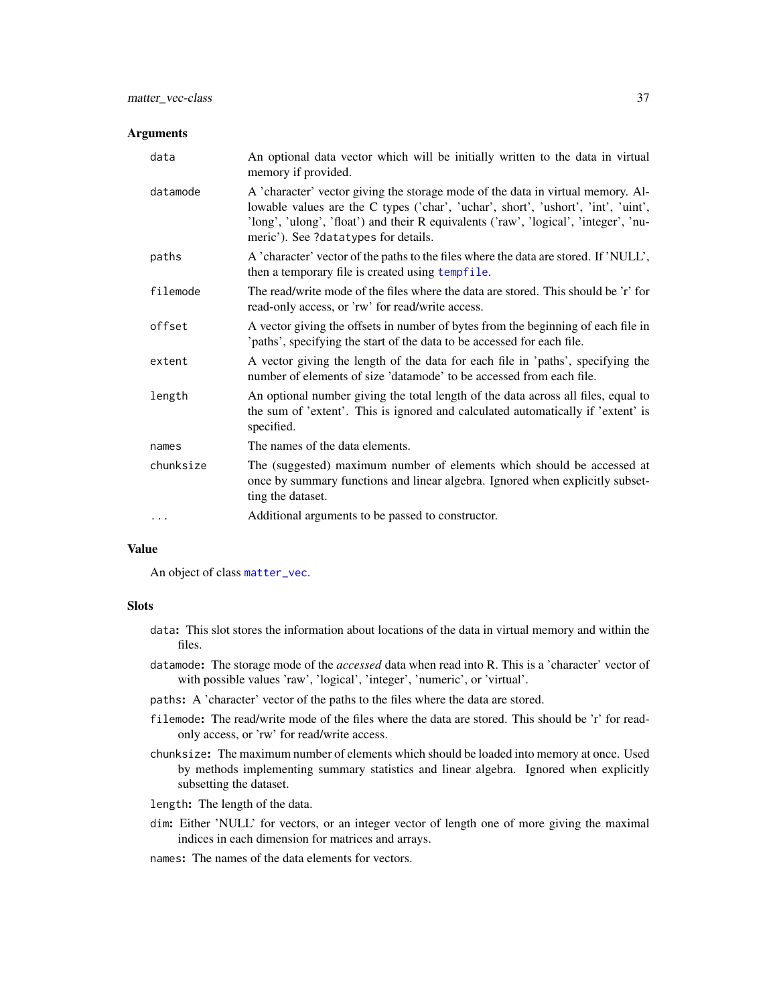#### <span id="page-36-0"></span>**Arguments**

| data      | An optional data vector which will be initially written to the data in virtual<br>memory if provided.                                                                                                                                                                                                |
|-----------|------------------------------------------------------------------------------------------------------------------------------------------------------------------------------------------------------------------------------------------------------------------------------------------------------|
| datamode  | A 'character' vector giving the storage mode of the data in virtual memory. Al-<br>lowable values are the C types ('char', 'uchar', short', 'ushort', 'int', 'uint',<br>'long', 'ulong', 'float') and their R equivalents ('raw', 'logical', 'integer', 'nu-<br>meric'). See ?datatypes for details. |
| paths     | A 'character' vector of the paths to the files where the data are stored. If 'NULL',<br>then a temporary file is created using tempfile.                                                                                                                                                             |
| filemode  | The read/write mode of the files where the data are stored. This should be 'r' for<br>read-only access, or 'rw' for read/write access.                                                                                                                                                               |
| offset    | A vector giving the offsets in number of bytes from the beginning of each file in<br>'paths', specifying the start of the data to be accessed for each file.                                                                                                                                         |
| extent    | A vector giving the length of the data for each file in 'paths', specifying the<br>number of elements of size 'datamode' to be accessed from each file.                                                                                                                                              |
| length    | An optional number giving the total length of the data across all files, equal to<br>the sum of 'extent'. This is ignored and calculated automatically if 'extent' is<br>specified.                                                                                                                  |
| names     | The names of the data elements.                                                                                                                                                                                                                                                                      |
| chunksize | The (suggested) maximum number of elements which should be accessed at<br>once by summary functions and linear algebra. Ignored when explicitly subset-<br>ting the dataset.                                                                                                                         |
| $\cdots$  | Additional arguments to be passed to constructor.                                                                                                                                                                                                                                                    |

## Value

An object of class [matter\\_vec](#page-35-1).

#### Slots

- data: This slot stores the information about locations of the data in virtual memory and within the files.
- datamode: The storage mode of the *accessed* data when read into R. This is a 'character' vector of with possible values 'raw', 'logical', 'integer', 'numeric', or 'virtual'.
- paths: A 'character' vector of the paths to the files where the data are stored.
- filemode: The read/write mode of the files where the data are stored. This should be 'r' for readonly access, or 'rw' for read/write access.
- chunksize: The maximum number of elements which should be loaded into memory at once. Used by methods implementing summary statistics and linear algebra. Ignored when explicitly subsetting the dataset.
- length: The length of the data.
- dim: Either 'NULL' for vectors, or an integer vector of length one of more giving the maximal indices in each dimension for matrices and arrays.
- names: The names of the data elements for vectors.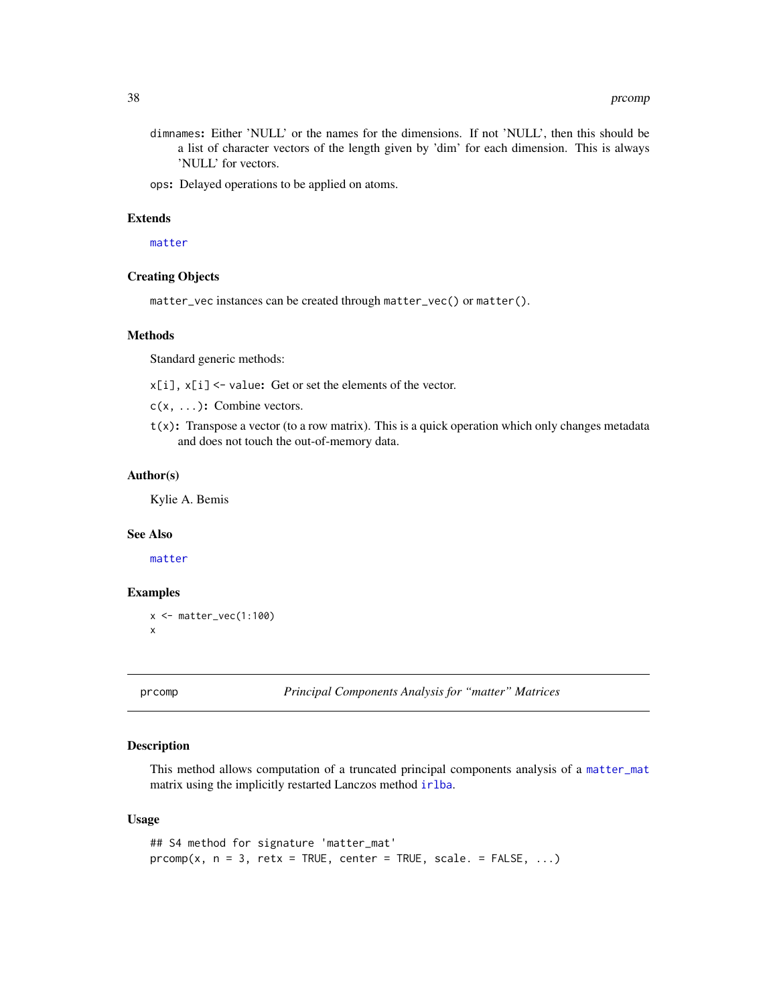- <span id="page-37-0"></span>dimnames: Either 'NULL' or the names for the dimensions. If not 'NULL', then this should be a list of character vectors of the length given by 'dim' for each dimension. This is always 'NULL' for vectors.
- ops: Delayed operations to be applied on atoms.

## Extends

[matter](#page-19-1)

#### Creating Objects

matter\_vec instances can be created through matter\_vec() or matter().

#### Methods

Standard generic methods:

x[i], x[i] <- value: Get or set the elements of the vector.

c(x, ...): Combine vectors.

 $t(x)$ : Transpose a vector (to a row matrix). This is a quick operation which only changes metadata and does not touch the out-of-memory data.

#### Author(s)

Kylie A. Bemis

#### See Also

[matter](#page-19-1)

## Examples

```
x \leftarrow \text{matter\_vec}(1:100)x
```
<span id="page-37-1"></span>

prcomp *Principal Components Analysis for "matter" Matrices*

#### Description

This method allows computation of a truncated principal components analysis of a [matter\\_mat](#page-31-1) matrix using the implicitly restarted Lanczos method [irlba](#page-0-0).

#### Usage

```
## S4 method for signature 'matter_mat'
prcomp(x, n = 3, retx = TRUE, center = TRUE, scale. = FALSE, ...)
```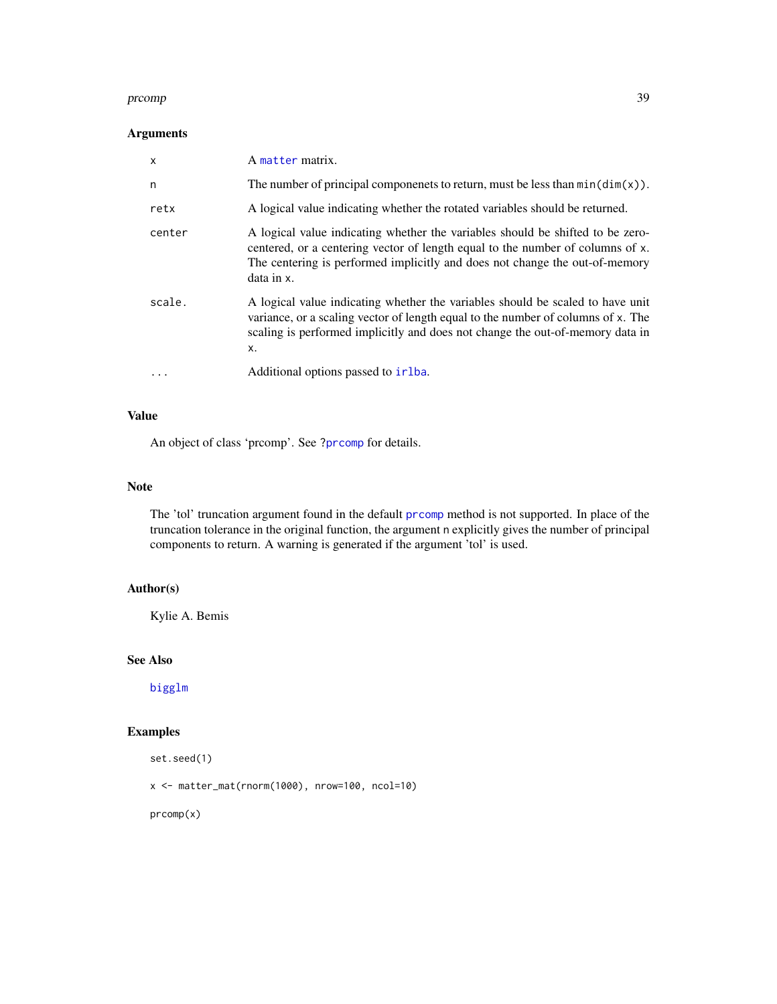#### <span id="page-38-0"></span>prcomp 39

## Arguments

| $\mathsf{x}$ | A matter matrix.                                                                                                                                                                                                                                              |
|--------------|---------------------------------------------------------------------------------------------------------------------------------------------------------------------------------------------------------------------------------------------------------------|
| n            | The number of principal componenets to return, must be less than $min(dim(x))$ .                                                                                                                                                                              |
| retx         | A logical value indicating whether the rotated variables should be returned.                                                                                                                                                                                  |
| center       | A logical value indicating whether the variables should be shifted to be zero-<br>centered, or a centering vector of length equal to the number of columns of x.<br>The centering is performed implicitly and does not change the out-of-memory<br>data in x. |
| scale.       | A logical value indicating whether the variables should be scaled to have unit<br>variance, or a scaling vector of length equal to the number of columns of x. The<br>scaling is performed implicitly and does not change the out-of-memory data in<br>X.     |
| $\cdots$     | Additional options passed to irlba.                                                                                                                                                                                                                           |

## Value

An object of class 'prcomp'. See [?prcomp](#page-37-1) for details.

#### Note

The 'tol' truncation argument found in the default [prcomp](#page-37-1) method is not supported. In place of the truncation tolerance in the original function, the argument n explicitly gives the number of principal components to return. A warning is generated if the argument 'tol' is used.

## Author(s)

Kylie A. Bemis

## See Also

[bigglm](#page-3-2)

## Examples

set.seed(1)

x <- matter\_mat(rnorm(1000), nrow=100, ncol=10)

prcomp(x)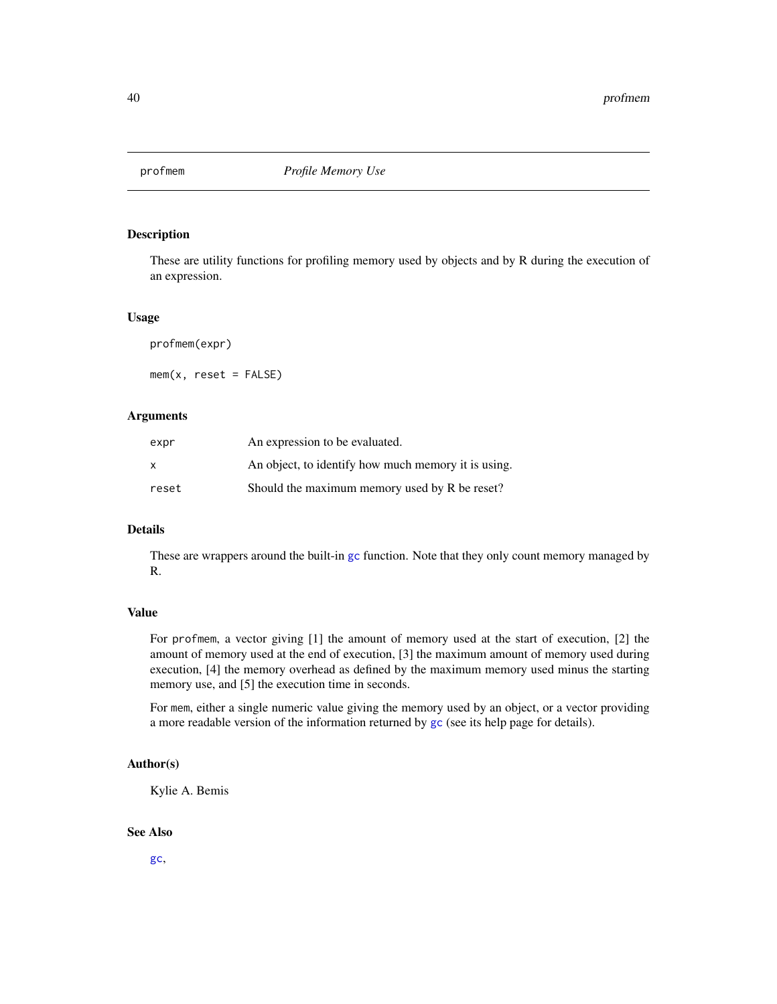<span id="page-39-0"></span>

#### Description

These are utility functions for profiling memory used by objects and by R during the execution of an expression.

#### Usage

profmem(expr)

 $mem(x, reset = FALSE)$ 

## Arguments

| expr  | An expression to be evaluated.                      |
|-------|-----------------------------------------------------|
| X     | An object, to identify how much memory it is using. |
| reset | Should the maximum memory used by R be reset?       |

## Details

These are wrappers around the built-in [gc](#page-0-0) function. Note that they only count memory managed by R.

## Value

For profmem, a vector giving [1] the amount of memory used at the start of execution, [2] the amount of memory used at the end of execution, [3] the maximum amount of memory used during execution, [4] the memory overhead as defined by the maximum memory used minus the starting memory use, and [5] the execution time in seconds.

For mem, either a single numeric value giving the memory used by an object, or a vector providing a more readable version of the information returned by [gc](#page-0-0) (see its help page for details).

#### Author(s)

Kylie A. Bemis

## See Also

[gc](#page-0-0),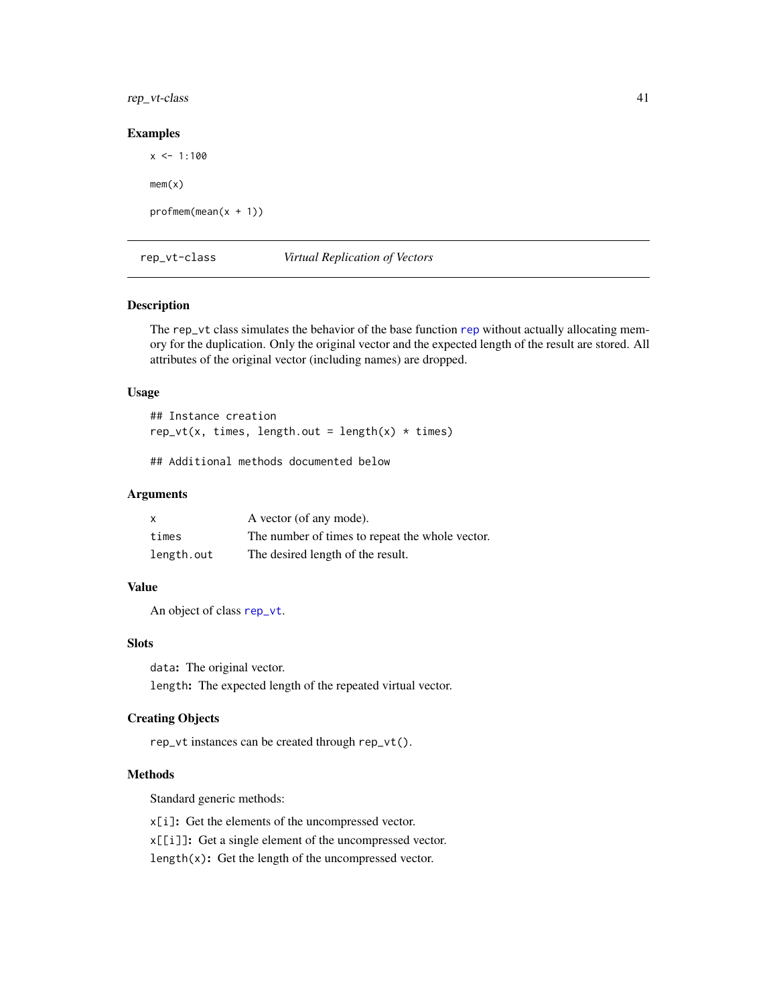<span id="page-40-0"></span>rep\_vt-class 41

#### Examples

 $x \le -1:100$  $mem(x)$  $profmem(mean(x + 1))$ 

<span id="page-40-1"></span>rep\_vt-class *Virtual Replication of Vectors*

## Description

The rep\_vt class simulates the behavior of the base function [rep](#page-0-0) without actually allocating memory for the duplication. Only the original vector and the expected length of the result are stored. All attributes of the original vector (including names) are dropped.

#### Usage

## Instance creation  $rep_vt(x, times, length.out = length(x) * times)$ 

## Additional methods documented below

## Arguments

| X          | A vector (of any mode).                         |
|------------|-------------------------------------------------|
| times      | The number of times to repeat the whole vector. |
| length.out | The desired length of the result.               |

## Value

An object of class [rep\\_vt](#page-40-1).

## Slots

data: The original vector.

length: The expected length of the repeated virtual vector.

## Creating Objects

rep\_vt instances can be created through rep\_vt().

## Methods

Standard generic methods:

x[i]: Get the elements of the uncompressed vector.

x[[i]]: Get a single element of the uncompressed vector.

length(x): Get the length of the uncompressed vector.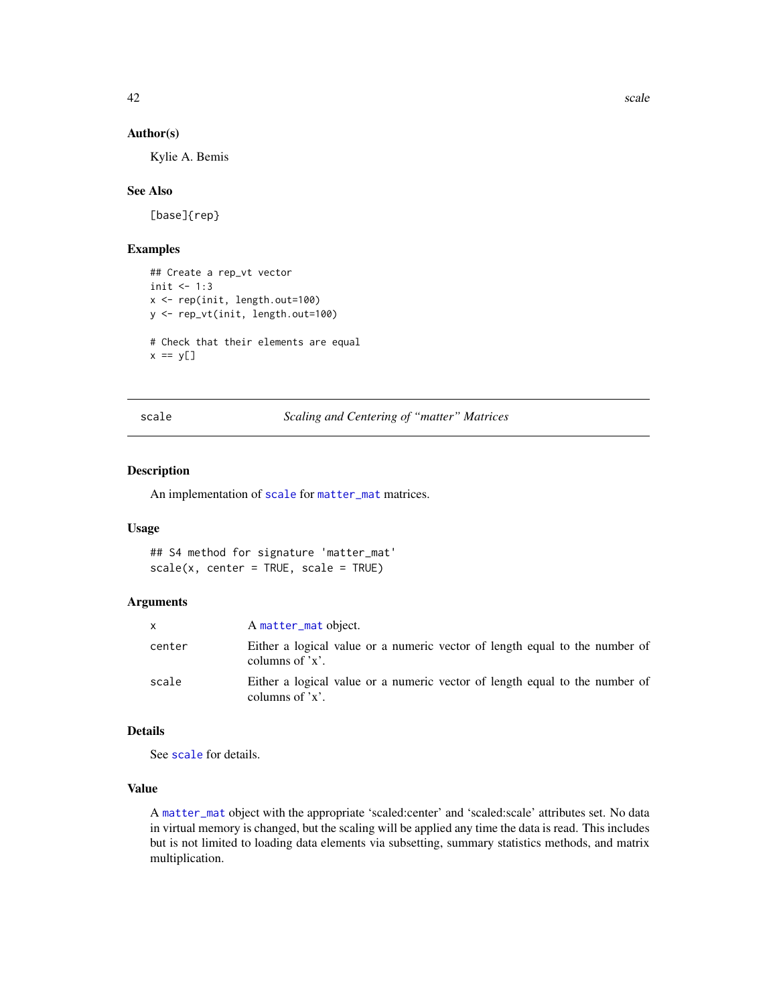<span id="page-41-0"></span>

#### Author(s)

Kylie A. Bemis

#### See Also

[base]{rep}

## Examples

```
## Create a rep_vt vector
init <-1:3x <- rep(init, length.out=100)
y <- rep_vt(init, length.out=100)
# Check that their elements are equal
x == y[]
```
<span id="page-41-1"></span>scale *Scaling and Centering of "matter" Matrices*

## Description

An implementation of [scale](#page-41-1) for [matter\\_mat](#page-31-1) matrices.

#### Usage

```
## S4 method for signature 'matter_mat'
scale(x, center = TRUE, scale = TRUE)
```
## Arguments

| x      | A matter_mat object.                                                                            |
|--------|-------------------------------------------------------------------------------------------------|
| center | Either a logical value or a numeric vector of length equal to the number of<br>columns of $x$ . |
| scale  | Either a logical value or a numeric vector of length equal to the number of<br>columns of $x$ . |

## Details

See [scale](#page-41-1) for details.

## Value

A [matter\\_mat](#page-31-1) object with the appropriate 'scaled:center' and 'scaled:scale' attributes set. No data in virtual memory is changed, but the scaling will be applied any time the data is read. This includes but is not limited to loading data elements via subsetting, summary statistics methods, and matrix multiplication.

42 scale scale scale scale scale scale scale scale scale scale scale scale scale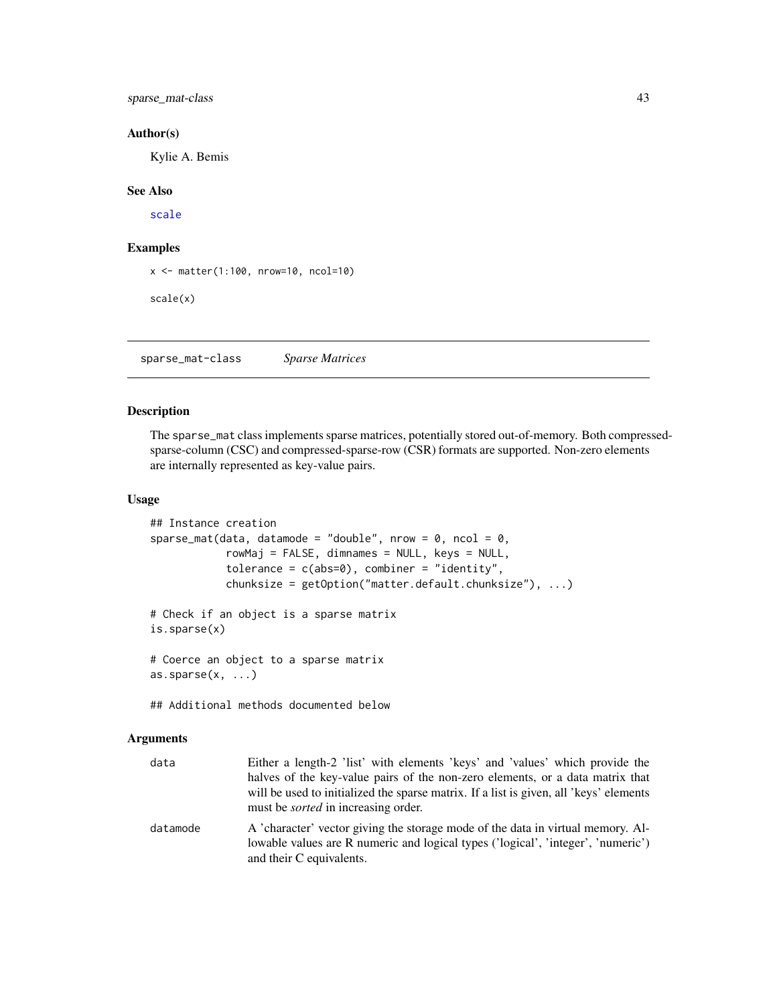<span id="page-42-0"></span>sparse\_mat-class 43

#### Author(s)

Kylie A. Bemis

#### See Also

[scale](#page-41-1)

## Examples

x <- matter(1:100, nrow=10, ncol=10)

scale(x)

<span id="page-42-1"></span>sparse\_mat-class *Sparse Matrices*

## Description

The sparse\_mat class implements sparse matrices, potentially stored out-of-memory. Both compressedsparse-column (CSC) and compressed-sparse-row (CSR) formats are supported. Non-zero elements are internally represented as key-value pairs.

#### Usage

```
## Instance creation
sparse_mat(data, datamode = "double", nrow = 0, ncol = 0,
            rowMaj = FALSE, dimnames = NULL, keys = NULL,
            tolerance = c(abs=0), combiner = "identity",
            chunksize = getOption("matter.default.chunksize"), ...)
# Check if an object is a sparse matrix
is.sparse(x)
# Coerce an object to a sparse matrix
\text{as}.\text{sparse}(x, \ldots)
```
## Additional methods documented below

## Arguments

| data     | Either a length-2 'list' with elements 'keys' and 'values' which provide the                                                                                                                    |
|----------|-------------------------------------------------------------------------------------------------------------------------------------------------------------------------------------------------|
|          | halves of the key-value pairs of the non-zero elements, or a data matrix that                                                                                                                   |
|          | will be used to initialized the sparse matrix. If a list is given, all 'keys' elements<br>must be <i>sorted</i> in increasing order.                                                            |
| datamode | A 'character' vector giving the storage mode of the data in virtual memory. Al-<br>lowable values are R numeric and logical types ('logical', 'integer', 'numeric')<br>and their C equivalents. |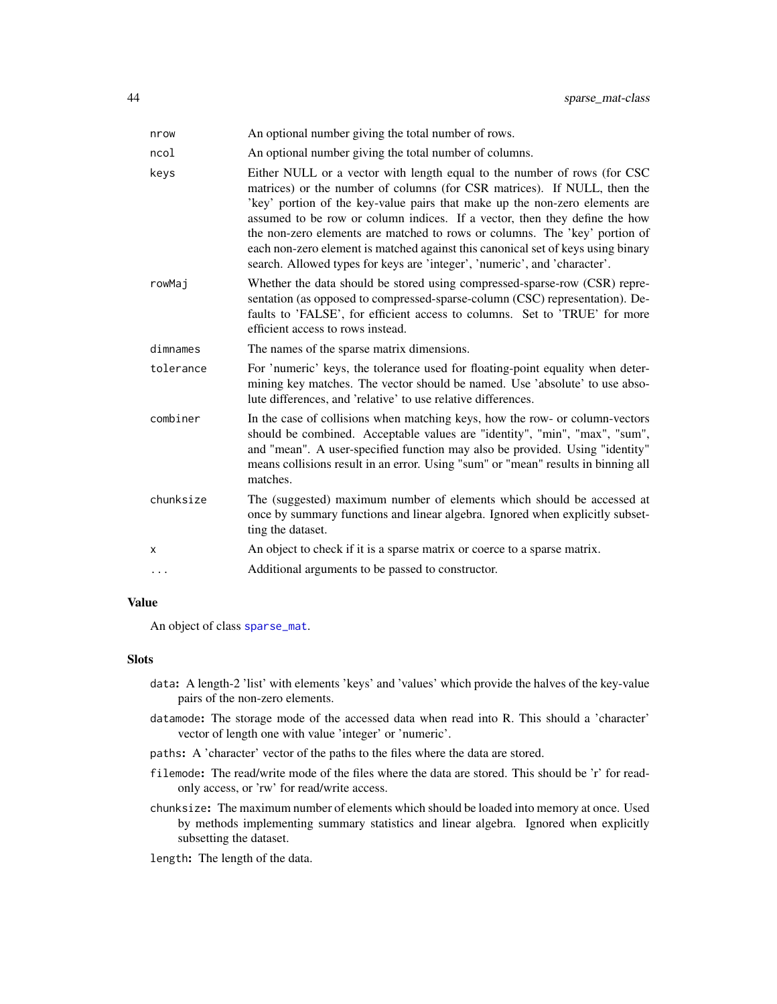<span id="page-43-0"></span>

| nrow      | An optional number giving the total number of rows.                                                                                                                                                                                                                                                                                                                                                                                                                                                                                                               |
|-----------|-------------------------------------------------------------------------------------------------------------------------------------------------------------------------------------------------------------------------------------------------------------------------------------------------------------------------------------------------------------------------------------------------------------------------------------------------------------------------------------------------------------------------------------------------------------------|
| ncol      | An optional number giving the total number of columns.                                                                                                                                                                                                                                                                                                                                                                                                                                                                                                            |
| keys      | Either NULL or a vector with length equal to the number of rows (for CSC)<br>matrices) or the number of columns (for CSR matrices). If NULL, then the<br>'key' portion of the key-value pairs that make up the non-zero elements are<br>assumed to be row or column indices. If a vector, then they define the how<br>the non-zero elements are matched to rows or columns. The 'key' portion of<br>each non-zero element is matched against this canonical set of keys using binary<br>search. Allowed types for keys are 'integer', 'numeric', and 'character'. |
| rowMai    | Whether the data should be stored using compressed-sparse-row (CSR) repre-<br>sentation (as opposed to compressed-sparse-column (CSC) representation). De-<br>faults to 'FALSE', for efficient access to columns. Set to 'TRUE' for more<br>efficient access to rows instead.                                                                                                                                                                                                                                                                                     |
| dimnames  | The names of the sparse matrix dimensions.                                                                                                                                                                                                                                                                                                                                                                                                                                                                                                                        |
| tolerance | For 'numeric' keys, the tolerance used for floating-point equality when deter-<br>mining key matches. The vector should be named. Use 'absolute' to use abso-<br>lute differences, and 'relative' to use relative differences.                                                                                                                                                                                                                                                                                                                                    |
| combiner  | In the case of collisions when matching keys, how the row- or column-vectors<br>should be combined. Acceptable values are "identity", "min", "max", "sum",<br>and "mean". A user-specified function may also be provided. Using "identity"<br>means collisions result in an error. Using "sum" or "mean" results in binning all<br>matches.                                                                                                                                                                                                                       |
| chunksize | The (suggested) maximum number of elements which should be accessed at<br>once by summary functions and linear algebra. Ignored when explicitly subset-<br>ting the dataset.                                                                                                                                                                                                                                                                                                                                                                                      |
| X         | An object to check if it is a sparse matrix or coerce to a sparse matrix.                                                                                                                                                                                                                                                                                                                                                                                                                                                                                         |
| .         | Additional arguments to be passed to constructor.                                                                                                                                                                                                                                                                                                                                                                                                                                                                                                                 |

#### Value

An object of class [sparse\\_mat](#page-42-1).

#### Slots

- data: A length-2 'list' with elements 'keys' and 'values' which provide the halves of the key-value pairs of the non-zero elements.
- datamode: The storage mode of the accessed data when read into R. This should a 'character' vector of length one with value 'integer' or 'numeric'.
- paths: A 'character' vector of the paths to the files where the data are stored.
- filemode: The read/write mode of the files where the data are stored. This should be 'r' for readonly access, or 'rw' for read/write access.
- chunksize: The maximum number of elements which should be loaded into memory at once. Used by methods implementing summary statistics and linear algebra. Ignored when explicitly subsetting the dataset.

length: The length of the data.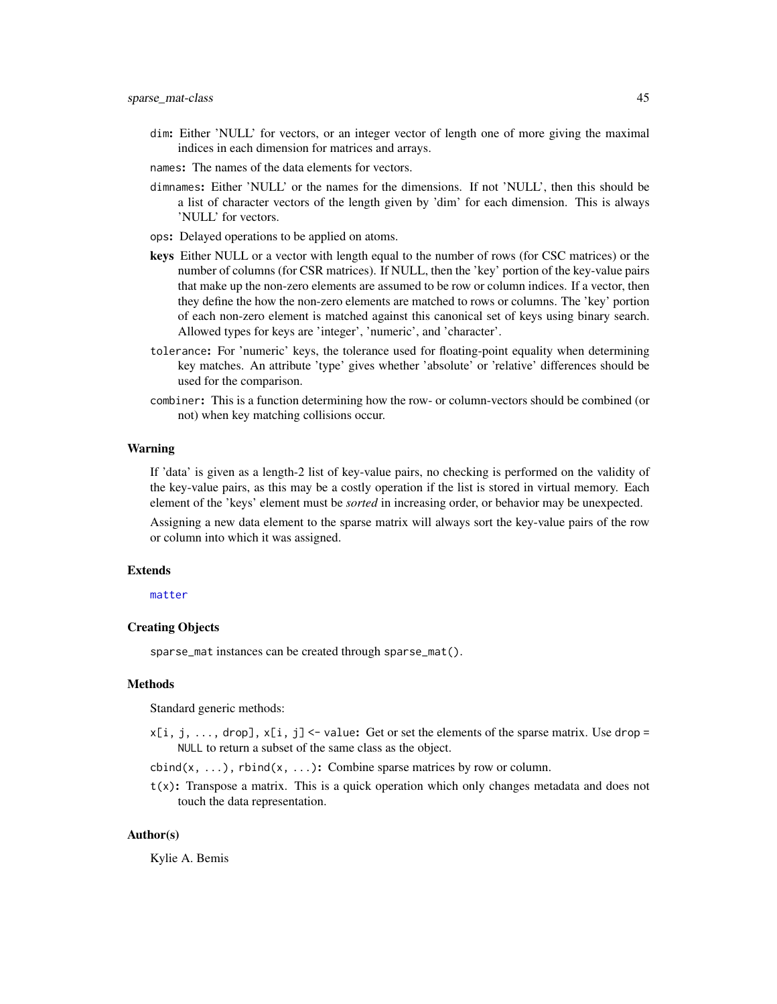- <span id="page-44-0"></span>dim: Either 'NULL' for vectors, or an integer vector of length one of more giving the maximal indices in each dimension for matrices and arrays.
- names: The names of the data elements for vectors.
- dimnames: Either 'NULL' or the names for the dimensions. If not 'NULL', then this should be a list of character vectors of the length given by 'dim' for each dimension. This is always 'NULL' for vectors.
- ops: Delayed operations to be applied on atoms.
- keys Either NULL or a vector with length equal to the number of rows (for CSC matrices) or the number of columns (for CSR matrices). If NULL, then the 'key' portion of the key-value pairs that make up the non-zero elements are assumed to be row or column indices. If a vector, then they define the how the non-zero elements are matched to rows or columns. The 'key' portion of each non-zero element is matched against this canonical set of keys using binary search. Allowed types for keys are 'integer', 'numeric', and 'character'.
- tolerance: For 'numeric' keys, the tolerance used for floating-point equality when determining key matches. An attribute 'type' gives whether 'absolute' or 'relative' differences should be used for the comparison.
- combiner: This is a function determining how the row- or column-vectors should be combined (or not) when key matching collisions occur.

#### Warning

If 'data' is given as a length-2 list of key-value pairs, no checking is performed on the validity of the key-value pairs, as this may be a costly operation if the list is stored in virtual memory. Each element of the 'keys' element must be *sorted* in increasing order, or behavior may be unexpected.

Assigning a new data element to the sparse matrix will always sort the key-value pairs of the row or column into which it was assigned.

#### Extends

[matter](#page-19-1)

## Creating Objects

sparse\_mat instances can be created through sparse\_mat().

#### Methods

Standard generic methods:

 $x[i, j, \ldots, drop], x[i, j]$  <- value: Get or set the elements of the sparse matrix. Use drop = NULL to return a subset of the same class as the object.

 $\text{cbind}(x, \ldots)$ ,  $\text{rbind}(x, \ldots)$ : Combine sparse matrices by row or column.

 $t(x)$ : Transpose a matrix. This is a quick operation which only changes metadata and does not touch the data representation.

#### Author(s)

Kylie A. Bemis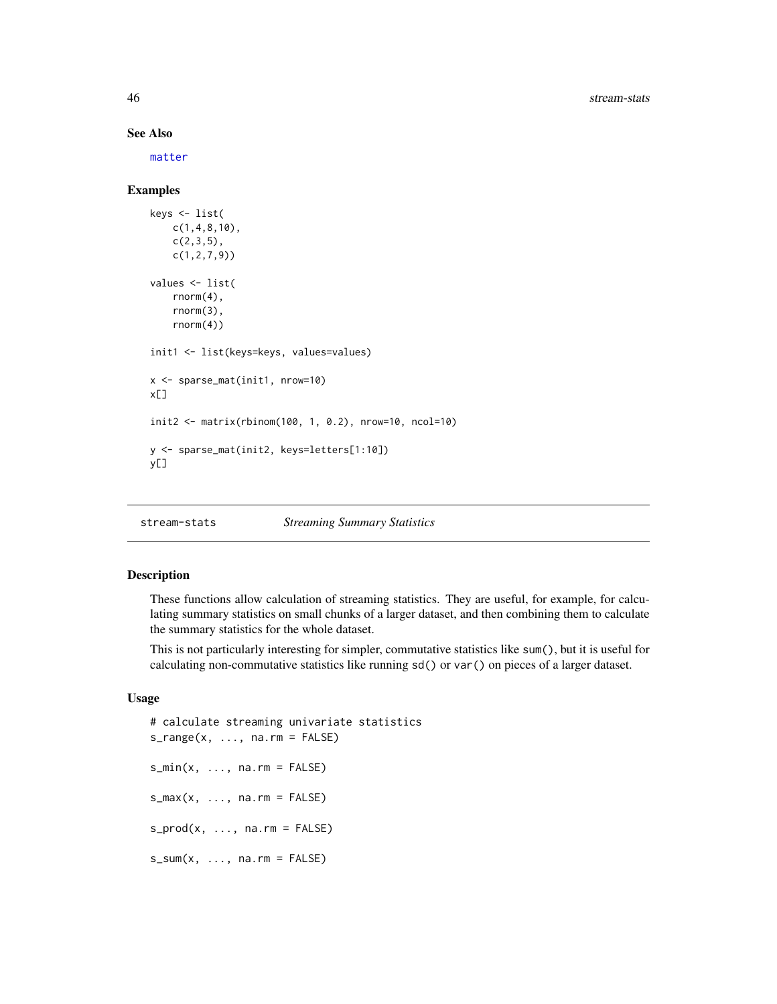#### See Also

[matter](#page-19-1)

#### Examples

```
keys <- list(
   c(1,4,8,10),
   c(2,3,5),
   c(1,2,7,9))
values <- list(
   rnorm(4),
   rnorm(3),
   rnorm(4))
init1 <- list(keys=keys, values=values)
x <- sparse_mat(init1, nrow=10)
x[]
init2 <- matrix(rbinom(100, 1, 0.2), nrow=10, ncol=10)
y <- sparse_mat(init2, keys=letters[1:10])
y[]
```
stream-stats *Streaming Summary Statistics*

#### <span id="page-45-1"></span>Description

These functions allow calculation of streaming statistics. They are useful, for example, for calculating summary statistics on small chunks of a larger dataset, and then combining them to calculate the summary statistics for the whole dataset.

This is not particularly interesting for simpler, commutative statistics like sum(), but it is useful for calculating non-commutative statistics like running sd() or var() on pieces of a larger dataset.

## Usage

```
# calculate streaming univariate statistics
s_range(x, \dots, na.rm = FALSE)
s_min(x, ..., na.rm = FALSE)
s_max(x, ..., na.rm = FALSE)s\_prod(x, ..., na.rm = FALSE)s\_sum(x, ..., na.rm = FALSE)
```
<span id="page-45-0"></span>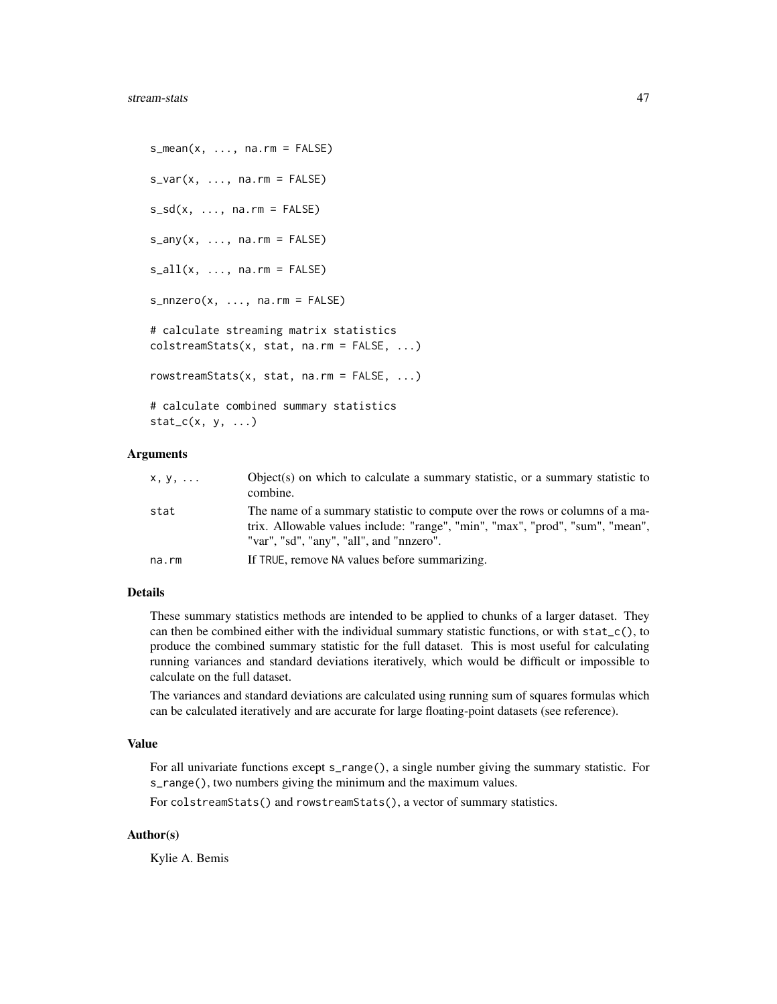```
s_mean(x, ..., na.rm = FALSE)s_var(x, \ldots, na.rm = FALSE)s_s = sd(x, \ldots, na.rm = FALSE)s_{any}(x, \ldots, na.rm = FALSE)s_all(x, ..., na.rm = FALSE)s_n = r \cdot s_n, ..., na.rm = FALSE)
# calculate streaming matrix statistics
colstreamStats(x, stat, na.rm = FALSE, ...)
rowstreamStats(x, stat, na.rm = FALSE, ...)
# calculate combined summary statistics
stat_c(x, y, ...)
```
#### Arguments

| x, y, | Object(s) on which to calculate a summary statistic, or a summary statistic to<br>combine.                                                                                                                |
|-------|-----------------------------------------------------------------------------------------------------------------------------------------------------------------------------------------------------------|
| stat  | The name of a summary statistic to compute over the rows or columns of a ma-<br>trix. Allowable values include: "range", "min", "max", "prod", "sum", "mean",<br>"var", "sd", "any", "all", and "nnzero". |
| na.rm | If TRUE, remove NA values before summarizing.                                                                                                                                                             |

#### Details

These summary statistics methods are intended to be applied to chunks of a larger dataset. They can then be combined either with the individual summary statistic functions, or with  $stat_c()$ , to produce the combined summary statistic for the full dataset. This is most useful for calculating running variances and standard deviations iteratively, which would be difficult or impossible to calculate on the full dataset.

The variances and standard deviations are calculated using running sum of squares formulas which can be calculated iteratively and are accurate for large floating-point datasets (see reference).

#### Value

For all univariate functions except s\_range(), a single number giving the summary statistic. For s\_range(), two numbers giving the minimum and the maximum values.

For colstreamStats() and rowstreamStats(), a vector of summary statistics.

## Author(s)

Kylie A. Bemis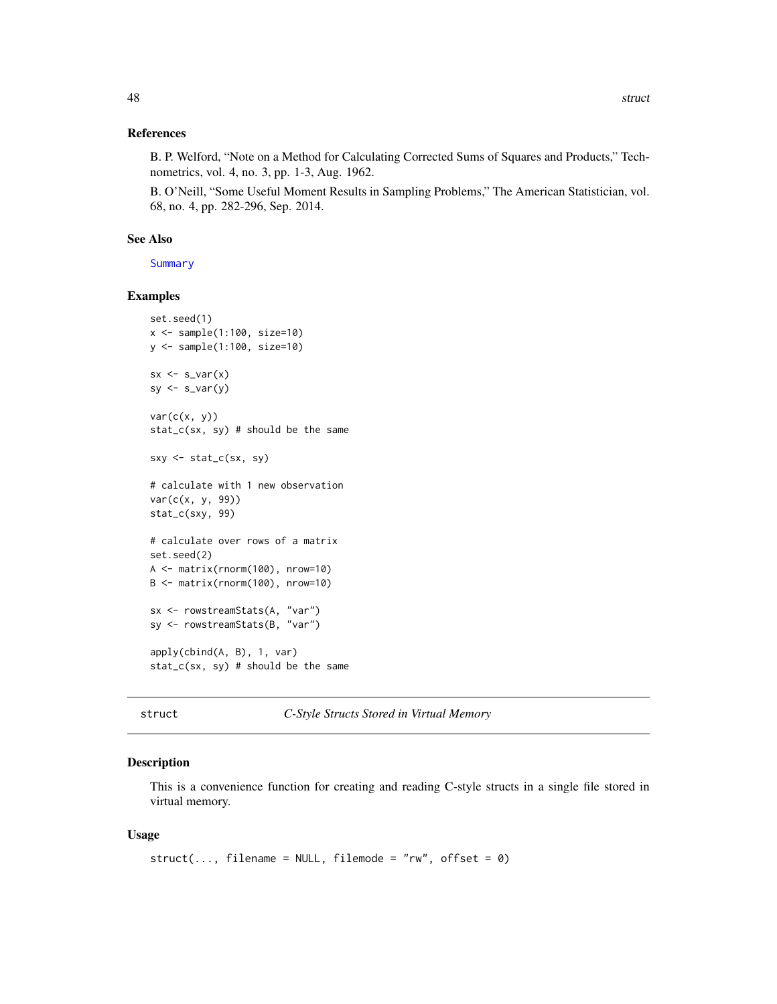#### <span id="page-47-0"></span>References

B. P. Welford, "Note on a Method for Calculating Corrected Sums of Squares and Products," Technometrics, vol. 4, no. 3, pp. 1-3, Aug. 1962.

B. O'Neill, "Some Useful Moment Results in Sampling Problems," The American Statistician, vol. 68, no. 4, pp. 282-296, Sep. 2014.

## See Also

**[Summary](#page-48-1)** 

## Examples

```
set.seed(1)
x <- sample(1:100, size=10)
y <- sample(1:100, size=10)
sx \leftarrow s\_var(x)sy \leftarrow s\_var(y)var(c(x, y))stat_c(sx, sy) # should be the same
sxy \leftarrow stat_c(sx, sy)# calculate with 1 new observation
var(c(x, y, 99))
stat_c(sxy, 99)
# calculate over rows of a matrix
set.seed(2)
A <- matrix(rnorm(100), nrow=10)
B <- matrix(rnorm(100), nrow=10)
sx <- rowstreamStats(A, "var")
sy <- rowstreamStats(B, "var")
apply(cbind(A, B), 1, var)
stat_c(sx, sy) # should be the same
```
struct *C-Style Structs Stored in Virtual Memory*

#### Description

This is a convenience function for creating and reading C-style structs in a single file stored in virtual memory.

#### Usage

```
struct(..., filename = NULL, filemode = "rw", offset = \emptyset)
```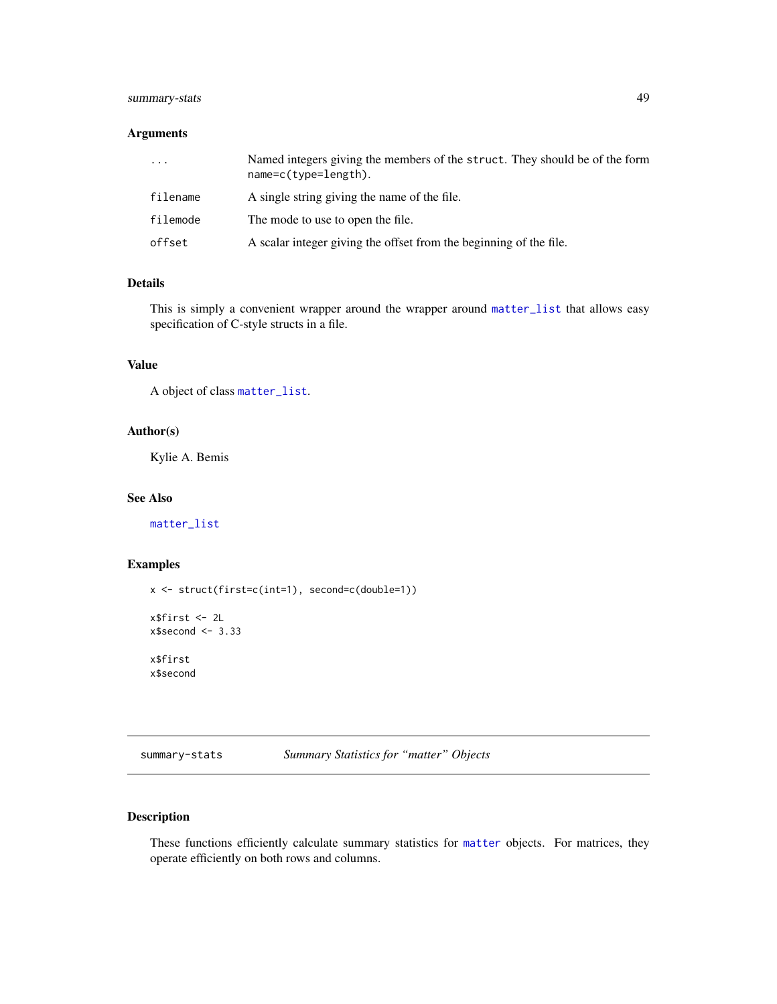## <span id="page-48-0"></span>summary-stats 49

## Arguments

| $\cdots$ | Named integers giving the members of the struct. They should be of the form<br>$name=c(type=length)$ . |
|----------|--------------------------------------------------------------------------------------------------------|
| filename | A single string giving the name of the file.                                                           |
| filemode | The mode to use to open the file.                                                                      |
| offset   | A scalar integer giving the offset from the beginning of the file.                                     |

## Details

This is simply a convenient wrapper around the wrapper around [matter\\_list](#page-29-1) that allows easy specification of C-style structs in a file.

## Value

A object of class [matter\\_list](#page-29-1).

## Author(s)

Kylie A. Bemis

## See Also

[matter\\_list](#page-29-1)

## Examples

x <- struct(first=c(int=1), second=c(double=1))

```
x$first <- 2L
x$second <- 3.33
```
x\$first x\$second

summary-stats *Summary Statistics for "matter" Objects*

## <span id="page-48-1"></span>Description

These functions efficiently calculate summary statistics for [matter](#page-19-1) objects. For matrices, they operate efficiently on both rows and columns.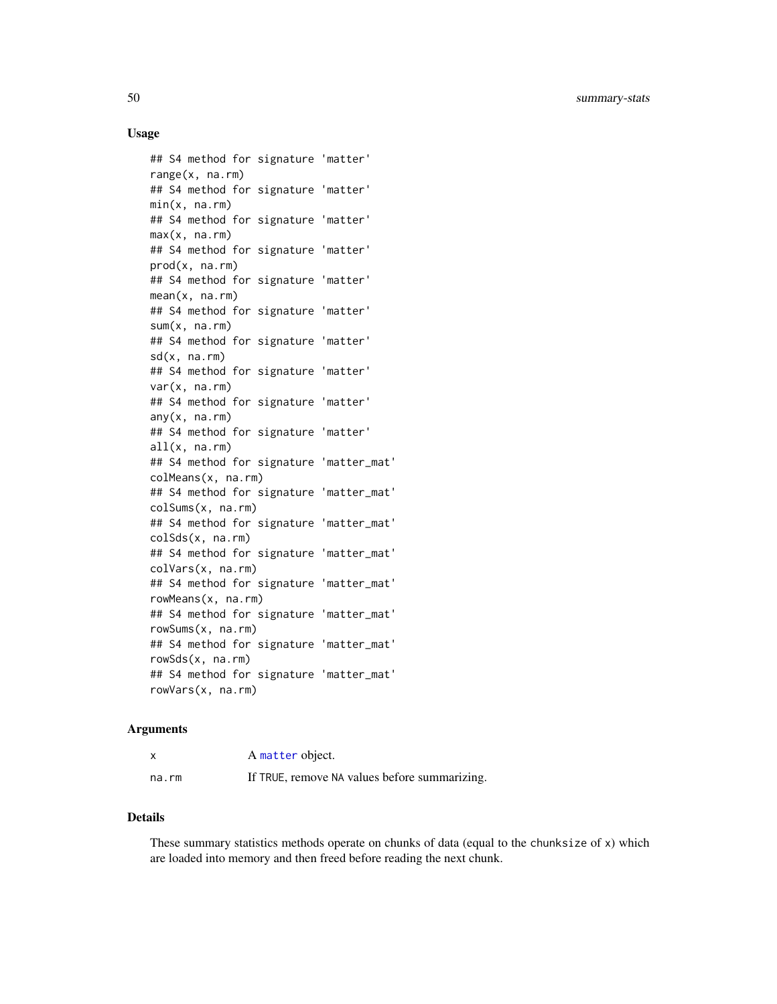## <span id="page-49-0"></span>Usage

```
## S4 method for signature 'matter'
range(x, na.rm)
## S4 method for signature 'matter'
min(x, na.rm)
## S4 method for signature 'matter'
max(x, na.rm)
## S4 method for signature 'matter'
prod(x, na.rm)
## S4 method for signature 'matter'
mean(x, na.rm)
## S4 method for signature 'matter'
sum(x, na.rm)
## S4 method for signature 'matter'
sd(x, na.rm)
## S4 method for signature 'matter'
var(x, na.rm)
## S4 method for signature 'matter'
any(x, na.rm)
## S4 method for signature 'matter'
all(x, na.rm)
## S4 method for signature 'matter_mat'
colMeans(x, na.rm)
## S4 method for signature 'matter_mat'
colSums(x, na.rm)
## S4 method for signature 'matter_mat'
colSds(x, na.rm)
## S4 method for signature 'matter_mat'
colVars(x, na.rm)
## S4 method for signature 'matter_mat'
rowMeans(x, na.rm)
## S4 method for signature 'matter_mat'
rowSums(x, na.rm)
## S4 method for signature 'matter_mat'
rowSds(x, na.rm)
## S4 method for signature 'matter_mat'
rowVars(x, na.rm)
```
#### Arguments

|       | A matter object.                              |
|-------|-----------------------------------------------|
| na.rm | If TRUE, remove NA values before summarizing. |

## Details

These summary statistics methods operate on chunks of data (equal to the chunksize of x) which are loaded into memory and then freed before reading the next chunk.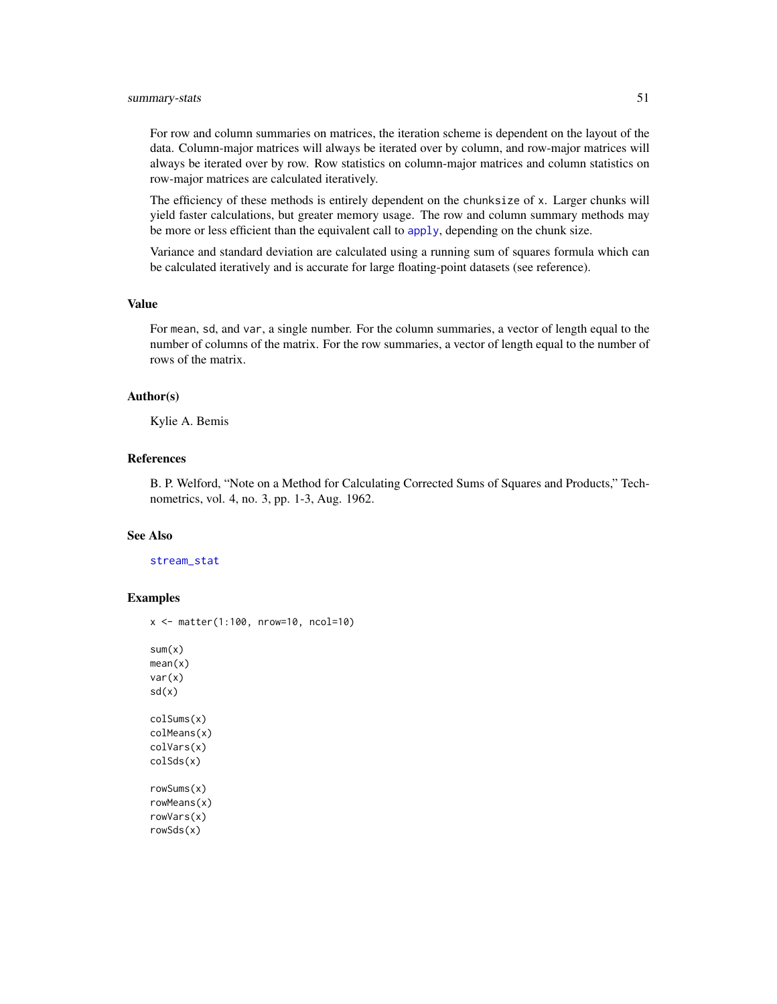<span id="page-50-0"></span>For row and column summaries on matrices, the iteration scheme is dependent on the layout of the data. Column-major matrices will always be iterated over by column, and row-major matrices will always be iterated over by row. Row statistics on column-major matrices and column statistics on row-major matrices are calculated iteratively.

The efficiency of these methods is entirely dependent on the chunksize of x. Larger chunks will yield faster calculations, but greater memory usage. The row and column summary methods may be more or less efficient than the equivalent call to [apply](#page-1-1), depending on the chunk size.

Variance and standard deviation are calculated using a running sum of squares formula which can be calculated iteratively and is accurate for large floating-point datasets (see reference).

#### Value

For mean, sd, and var, a single number. For the column summaries, a vector of length equal to the number of columns of the matrix. For the row summaries, a vector of length equal to the number of rows of the matrix.

## Author(s)

Kylie A. Bemis

## References

B. P. Welford, "Note on a Method for Calculating Corrected Sums of Squares and Products," Technometrics, vol. 4, no. 3, pp. 1-3, Aug. 1962.

## See Also

#### [stream\\_stat](#page-45-1)

#### Examples

```
x <- matter(1:100, nrow=10, ncol=10)
sum(x)mean(x)
var(x)
sd(x)
colSums(x)
colMeans(x)
colVars(x)
colSds(x)
rowSums(x)
rowMeans(x)
rowVars(x)
rowSds(x)
```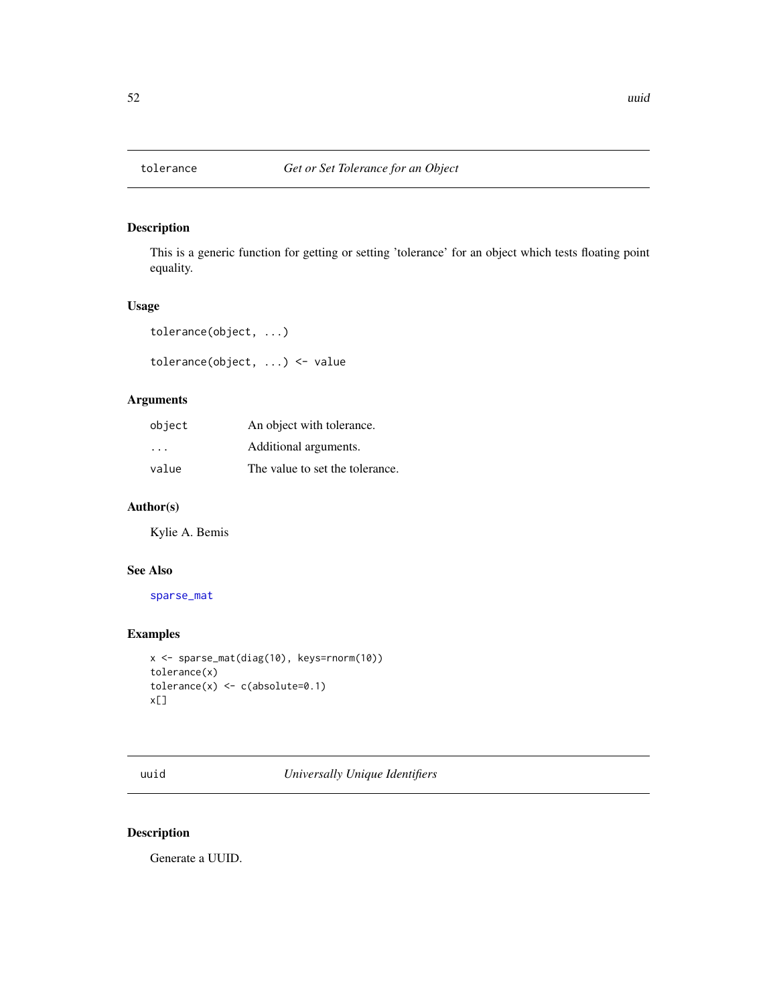## Description

This is a generic function for getting or setting 'tolerance' for an object which tests floating point equality.

## Usage

```
tolerance(object, ...)
```
tolerance(object, ...) <- value

## Arguments

| object                  | An object with tolerance.       |
|-------------------------|---------------------------------|
| $\cdot$ $\cdot$ $\cdot$ | Additional arguments.           |
| value                   | The value to set the tolerance. |

## Author(s)

Kylie A. Bemis

## See Also

[sparse\\_mat](#page-42-1)

## Examples

```
x <- sparse_mat(diag(10), keys=rnorm(10))
tolerance(x)
tolerance(x) \leftarrow c(absolute=0.1)x[]
```
uuid *Universally Unique Identifiers*

## Description

Generate a UUID.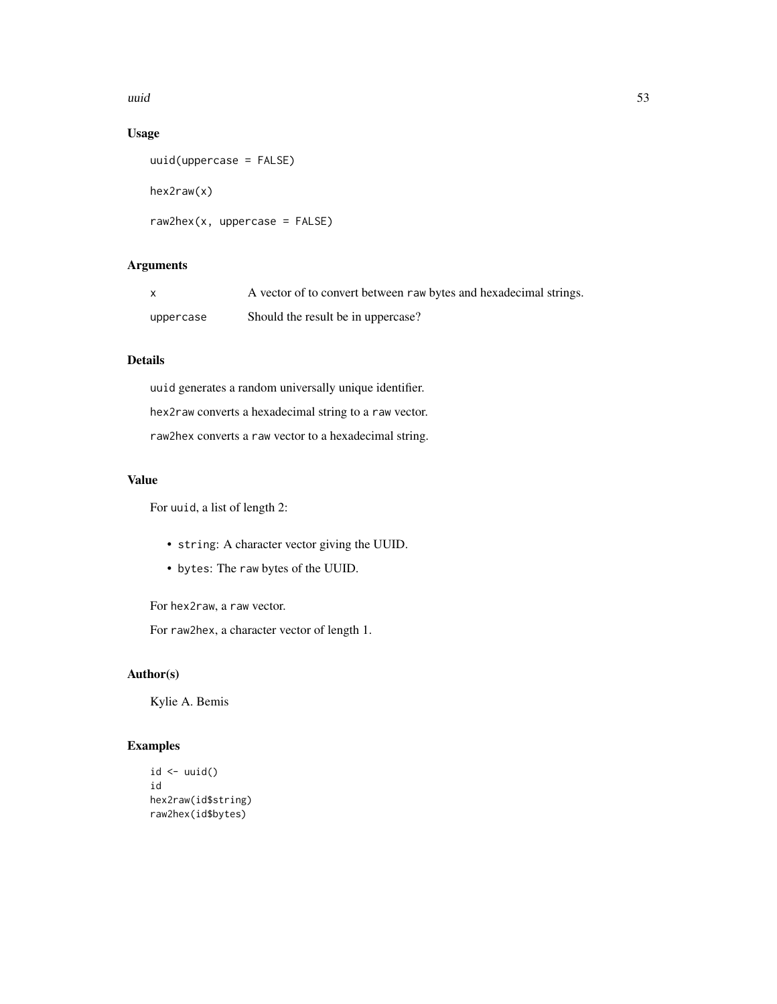uuid 53

## Usage

```
uuid(uppercase = FALSE)
hex2raw(x)
raw2hex(x, uppercase = FALSE)
```
## Arguments

| X         | A vector of to convert between raw bytes and hexadecimal strings. |
|-----------|-------------------------------------------------------------------|
| uppercase | Should the result be in uppercase?                                |

## Details

uuid generates a random universally unique identifier. hex2raw converts a hexadecimal string to a raw vector. raw2hex converts a raw vector to a hexadecimal string.

## Value

For uuid, a list of length 2:

- string: A character vector giving the UUID.
- bytes: The raw bytes of the UUID.

For hex2raw, a raw vector.

For raw2hex, a character vector of length 1.

## Author(s)

Kylie A. Bemis

## Examples

```
id \leftarrow \text{uuid}()id
hex2raw(id$string)
raw2hex(id$bytes)
```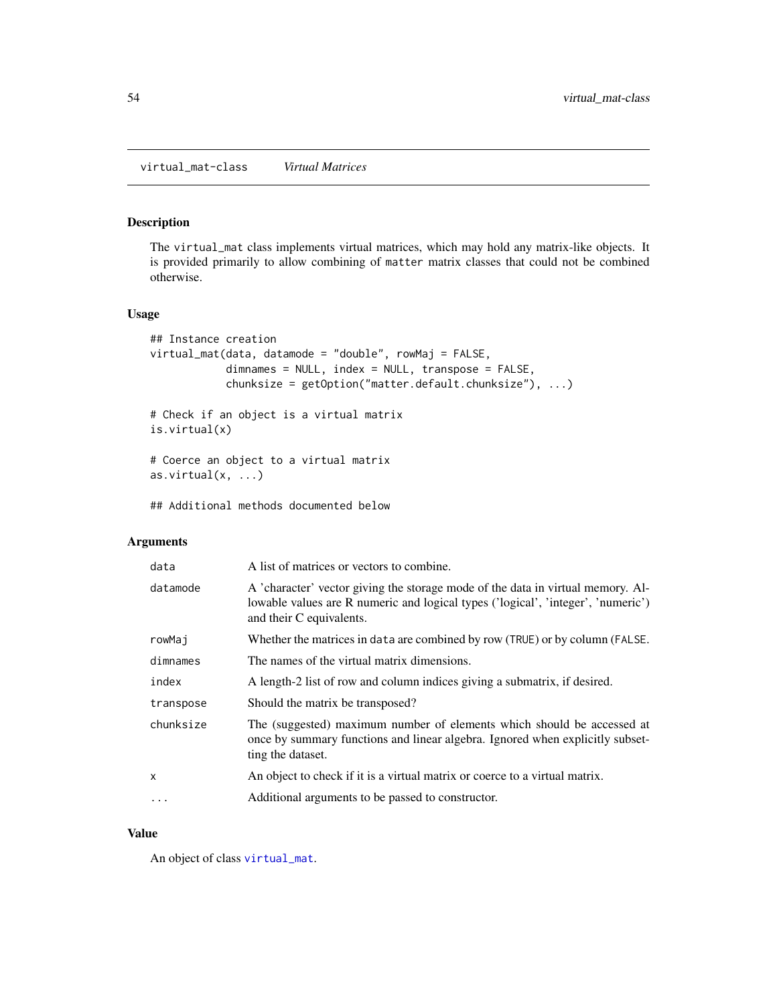## <span id="page-53-1"></span><span id="page-53-0"></span>Description

The virtual\_mat class implements virtual matrices, which may hold any matrix-like objects. It is provided primarily to allow combining of matter matrix classes that could not be combined otherwise.

## Usage

```
## Instance creation
virtual_mat(data, datamode = "double", rowMaj = FALSE,
            dimnames = NULL, index = NULL, transpose = FALSE,
            chunksize = getOption("matter.default.chunksize"), ...)
# Check if an object is a virtual matrix
is.virtual(x)
# Coerce an object to a virtual matrix
as.virtual(x, \ldots)## Additional methods documented below
```
#### Arguments

| data      | A list of matrices or vectors to combine.                                                                                                                                                       |
|-----------|-------------------------------------------------------------------------------------------------------------------------------------------------------------------------------------------------|
| datamode  | A 'character' vector giving the storage mode of the data in virtual memory. Al-<br>lowable values are R numeric and logical types ('logical', 'integer', 'numeric')<br>and their C equivalents. |
| rowMaj    | Whether the matrices in data are combined by row (TRUE) or by column (FALSE.                                                                                                                    |
| dimnames  | The names of the virtual matrix dimensions.                                                                                                                                                     |
| index     | A length-2 list of row and column indices giving a submatrix, if desired.                                                                                                                       |
| transpose | Should the matrix be transposed?                                                                                                                                                                |
| chunksize | The (suggested) maximum number of elements which should be accessed at<br>once by summary functions and linear algebra. Ignored when explicitly subset-<br>ting the dataset.                    |
| X         | An object to check if it is a virtual matrix or coerce to a virtual matrix.                                                                                                                     |
| $\cdot$   | Additional arguments to be passed to constructor.                                                                                                                                               |

#### Value

An object of class [virtual\\_mat](#page-53-1).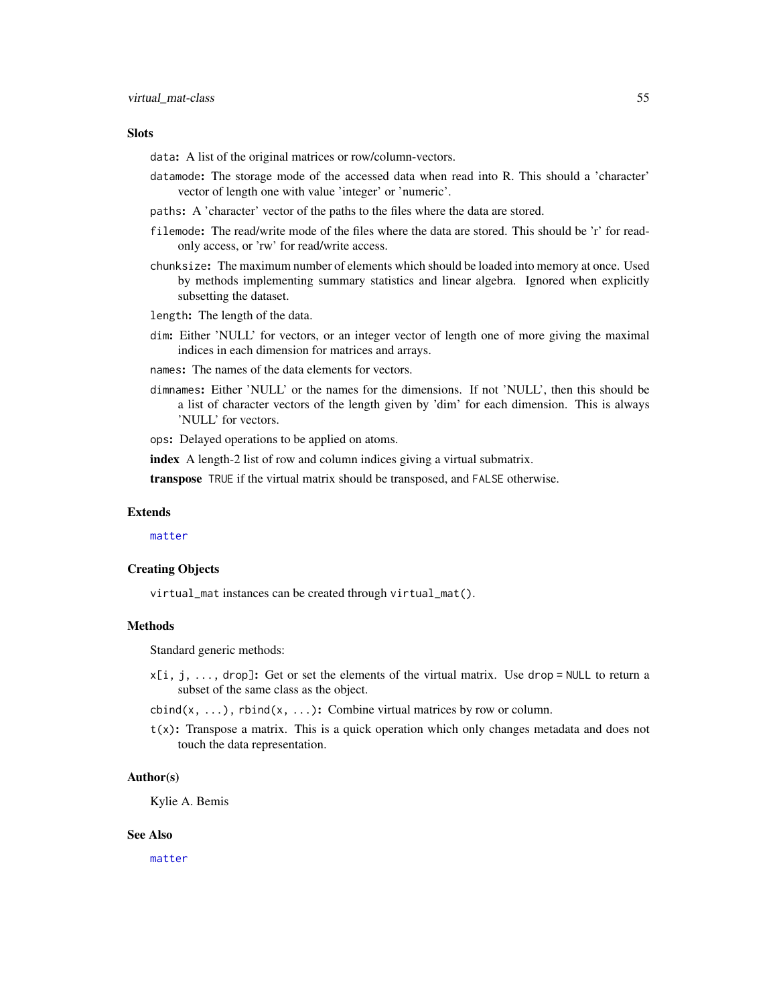#### <span id="page-54-0"></span>**Slots**

data: A list of the original matrices or row/column-vectors.

- datamode: The storage mode of the accessed data when read into R. This should a 'character' vector of length one with value 'integer' or 'numeric'.
- paths: A 'character' vector of the paths to the files where the data are stored.
- filemode: The read/write mode of the files where the data are stored. This should be 'r' for readonly access, or 'rw' for read/write access.
- chunksize: The maximum number of elements which should be loaded into memory at once. Used by methods implementing summary statistics and linear algebra. Ignored when explicitly subsetting the dataset.
- length: The length of the data.
- dim: Either 'NULL' for vectors, or an integer vector of length one of more giving the maximal indices in each dimension for matrices and arrays.
- names: The names of the data elements for vectors.
- dimnames: Either 'NULL' or the names for the dimensions. If not 'NULL', then this should be a list of character vectors of the length given by 'dim' for each dimension. This is always 'NULL' for vectors.

ops: Delayed operations to be applied on atoms.

index A length-2 list of row and column indices giving a virtual submatrix.

transpose TRUE if the virtual matrix should be transposed, and FALSE otherwise.

#### Extends

[matter](#page-19-1)

#### Creating Objects

virtual\_mat instances can be created through virtual\_mat().

#### Methods

Standard generic methods:

- $x[i, j, \ldots]$ , drop]: Get or set the elements of the virtual matrix. Use drop = NULL to return a subset of the same class as the object.
- cbind(x, ...), rbind(x, ...): Combine virtual matrices by row or column.
- $t(x)$ : Transpose a matrix. This is a quick operation which only changes metadata and does not touch the data representation.

#### Author(s)

Kylie A. Bemis

#### See Also

[matter](#page-19-1)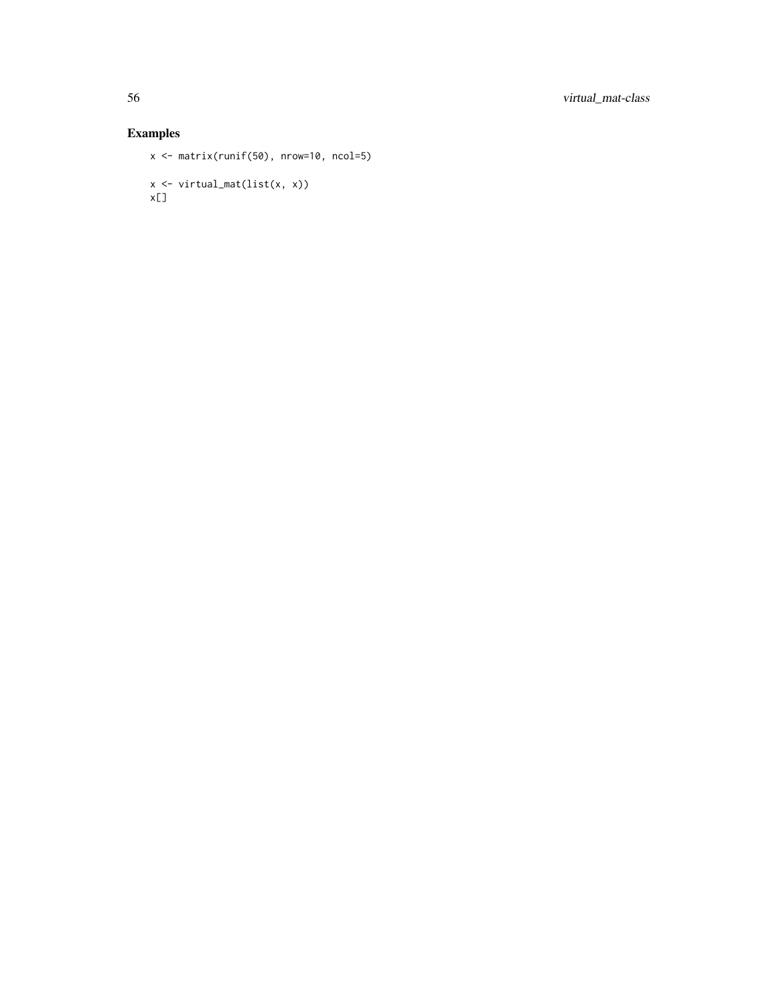## Examples

```
x <- matrix(runif(50), nrow=10, ncol=5)
x <- virtual_mat(list(x, x))
x[]
```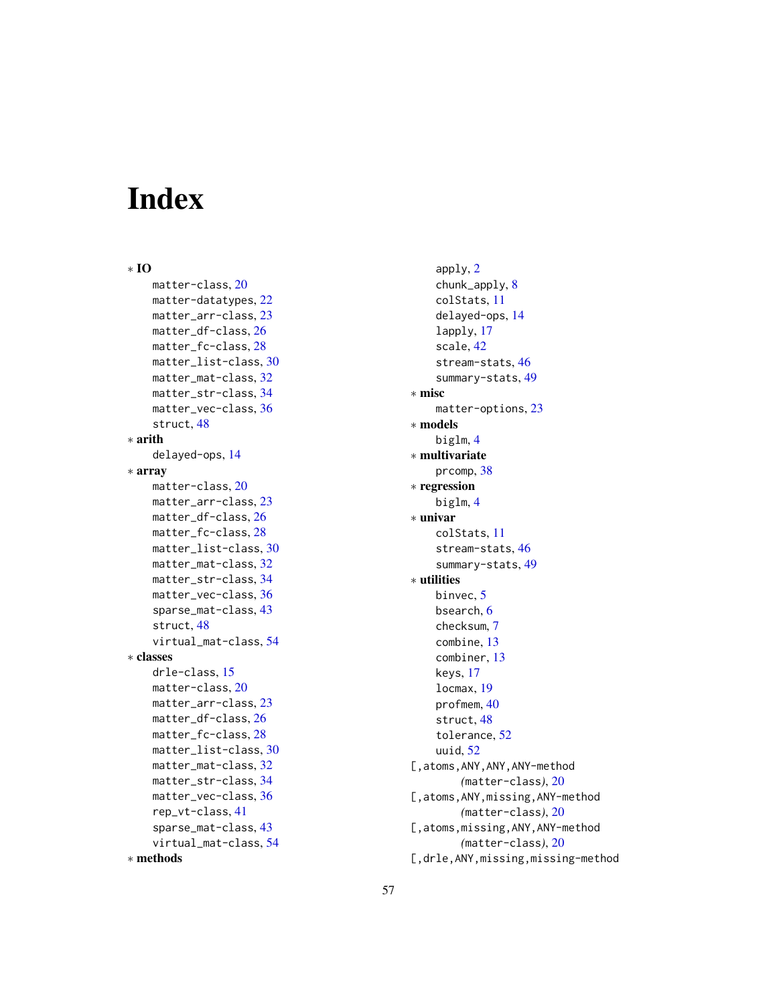# <span id="page-56-0"></span>Index

∗ IO matter-class, [20](#page-19-0) matter-datatypes, [22](#page-21-0) matter\_arr-class, [23](#page-22-0) matter\_df-class, [26](#page-25-0) matter\_fc-class, [28](#page-27-0) matter\_list-class, [30](#page-29-0) matter\_mat-class, [32](#page-31-0) matter\_str-class, [34](#page-33-0) matter\_vec-class, [36](#page-35-0) struct, [48](#page-47-0) ∗ arith delayed-ops, [14](#page-13-0) ∗ array matter-class, [20](#page-19-0) matter\_arr-class, [23](#page-22-0) matter\_df-class, [26](#page-25-0) matter\_fc-class, [28](#page-27-0) matter\_list-class, [30](#page-29-0) matter\_mat-class, [32](#page-31-0) matter\_str-class, [34](#page-33-0) matter\_vec-class, [36](#page-35-0) sparse\_mat-class, [43](#page-42-0) struct, [48](#page-47-0) virtual\_mat-class, [54](#page-53-0) ∗ classes drle-class, [15](#page-14-0) matter-class, [20](#page-19-0) matter\_arr-class, [23](#page-22-0) matter\_df-class, [26](#page-25-0) matter\_fc-class, [28](#page-27-0) matter\_list-class, [30](#page-29-0) matter\_mat-class, [32](#page-31-0) matter\_str-class, [34](#page-33-0) matter\_vec-class, [36](#page-35-0) rep\_vt-class, [41](#page-40-0) sparse\_mat-class, [43](#page-42-0) virtual\_mat-class, [54](#page-53-0) ∗ methods

apply, [2](#page-1-0) chunk\_apply, [8](#page-7-0) colStats, [11](#page-10-0) delayed-ops, [14](#page-13-0) lapply, [17](#page-16-0) scale, [42](#page-41-0) stream-stats, [46](#page-45-0) summary-stats, [49](#page-48-0) ∗ misc matter-options, [23](#page-22-0) ∗ models biglm, [4](#page-3-0) ∗ multivariate prcomp, [38](#page-37-0) ∗ regression biglm, [4](#page-3-0) ∗ univar colStats, [11](#page-10-0) stream-stats, [46](#page-45-0) summary-stats, [49](#page-48-0) ∗ utilities binvec, [5](#page-4-0) bsearch, [6](#page-5-0) checksum, [7](#page-6-0) combine, [13](#page-12-0) combiner, [13](#page-12-0) keys, [17](#page-16-0) locmax, [19](#page-18-0) profmem, [40](#page-39-0) struct, [48](#page-47-0) tolerance, [52](#page-51-0) uuid, [52](#page-51-0) [,atoms,ANY,ANY,ANY-method *(*matter-class*)*, [20](#page-19-0) [,atoms,ANY,missing,ANY-method *(*matter-class*)*, [20](#page-19-0) [,atoms,missing,ANY,ANY-method *(*matter-class*)*, [20](#page-19-0) [,drle,ANY,missing,missing-method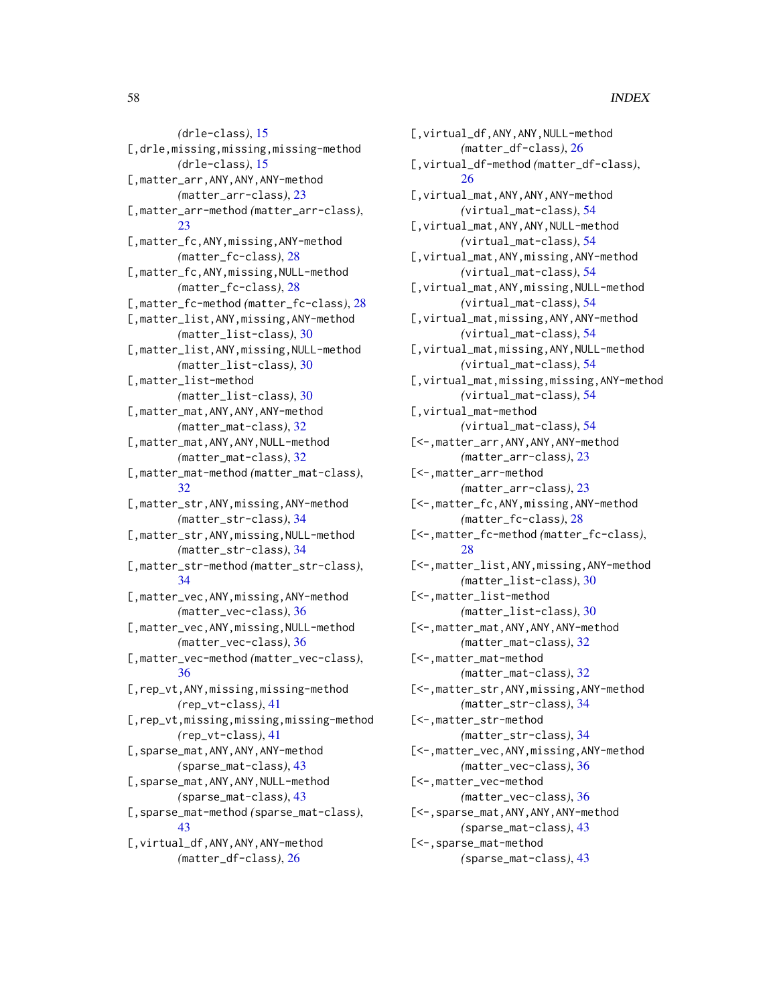*(*drle-class*)*, [15](#page-14-0) [,drle,missing,missing,missing-method *(*drle-class*)*, [15](#page-14-0) [,matter\_arr,ANY,ANY,ANY-method *(*matter\_arr-class*)*, [23](#page-22-0) [,matter\_arr-method *(*matter\_arr-class*)*, [23](#page-22-0) [,matter\_fc,ANY,missing,ANY-method *(*matter\_fc-class*)*, [28](#page-27-0) [,matter\_fc,ANY,missing,NULL-method *(*matter\_fc-class*)*, [28](#page-27-0) [,matter\_fc-method *(*matter\_fc-class*)*, [28](#page-27-0) [,matter\_list,ANY,missing,ANY-method *(*matter\_list-class*)*, [30](#page-29-0) [,matter\_list,ANY,missing,NULL-method *(*matter\_list-class*)*, [30](#page-29-0) [,matter\_list-method *(*matter\_list-class*)*, [30](#page-29-0) [,matter\_mat,ANY,ANY,ANY-method *(*matter\_mat-class*)*, [32](#page-31-0) [,matter\_mat,ANY,ANY,NULL-method *(*matter\_mat-class*)*, [32](#page-31-0) [,matter\_mat-method *(*matter\_mat-class*)*, [32](#page-31-0) [,matter\_str,ANY,missing,ANY-method *(*matter\_str-class*)*, [34](#page-33-0) [,matter\_str,ANY,missing,NULL-method *(*matter\_str-class*)*, [34](#page-33-0) [,matter\_str-method *(*matter\_str-class*)*, [34](#page-33-0) [,matter\_vec,ANY,missing,ANY-method *(*matter\_vec-class*)*, [36](#page-35-0) [,matter\_vec,ANY,missing,NULL-method *(*matter\_vec-class*)*, [36](#page-35-0) [,matter\_vec-method *(*matter\_vec-class*)*, [36](#page-35-0) [,rep\_vt,ANY,missing,missing-method *(*rep\_vt-class*)*, [41](#page-40-0) [,rep\_vt,missing,missing,missing-method *(*rep\_vt-class*)*, [41](#page-40-0) [,sparse\_mat,ANY,ANY,ANY-method *(*sparse\_mat-class*)*, [43](#page-42-0) [,sparse\_mat,ANY,ANY,NULL-method *(*sparse\_mat-class*)*, [43](#page-42-0) [,sparse\_mat-method *(*sparse\_mat-class*)*, [43](#page-42-0) [,virtual\_df,ANY,ANY,ANY-method *(*matter\_df-class*)*, [26](#page-25-0)

[,virtual\_df,ANY,ANY,NULL-method *(*matter\_df-class*)*, [26](#page-25-0) [,virtual\_df-method *(*matter\_df-class*)*, [26](#page-25-0) [,virtual\_mat,ANY,ANY,ANY-method *(*virtual\_mat-class*)*, [54](#page-53-0) [,virtual\_mat,ANY,ANY,NULL-method *(*virtual\_mat-class*)*, [54](#page-53-0) [,virtual\_mat,ANY,missing,ANY-method *(*virtual\_mat-class*)*, [54](#page-53-0) [,virtual\_mat,ANY,missing,NULL-method *(*virtual\_mat-class*)*, [54](#page-53-0) [,virtual\_mat,missing,ANY,ANY-method *(*virtual\_mat-class*)*, [54](#page-53-0) [,virtual\_mat,missing,ANY,NULL-method *(*virtual\_mat-class*)*, [54](#page-53-0) [,virtual\_mat,missing,missing,ANY-method *(*virtual\_mat-class*)*, [54](#page-53-0) [,virtual\_mat-method *(*virtual\_mat-class*)*, [54](#page-53-0) [<-,matter\_arr,ANY,ANY,ANY-method *(*matter\_arr-class*)*, [23](#page-22-0) [<-,matter\_arr-method *(*matter\_arr-class*)*, [23](#page-22-0) [<-,matter\_fc,ANY,missing,ANY-method *(*matter\_fc-class*)*, [28](#page-27-0) [<-,matter\_fc-method *(*matter\_fc-class*)*, [28](#page-27-0) [<-,matter\_list,ANY,missing,ANY-method *(*matter\_list-class*)*, [30](#page-29-0) [<-,matter\_list-method *(*matter\_list-class*)*, [30](#page-29-0) [<-,matter\_mat,ANY,ANY,ANY-method *(*matter\_mat-class*)*, [32](#page-31-0) [<-,matter\_mat-method *(*matter\_mat-class*)*, [32](#page-31-0) [<-,matter\_str,ANY,missing,ANY-method *(*matter\_str-class*)*, [34](#page-33-0) [<-,matter\_str-method *(*matter\_str-class*)*, [34](#page-33-0) [<-,matter\_vec,ANY,missing,ANY-method *(*matter\_vec-class*)*, [36](#page-35-0) [<-,matter\_vec-method *(*matter\_vec-class*)*, [36](#page-35-0) [<-,sparse\_mat,ANY,ANY,ANY-method *(*sparse\_mat-class*)*, [43](#page-42-0) [<-,sparse\_mat-method *(*sparse\_mat-class*)*, [43](#page-42-0)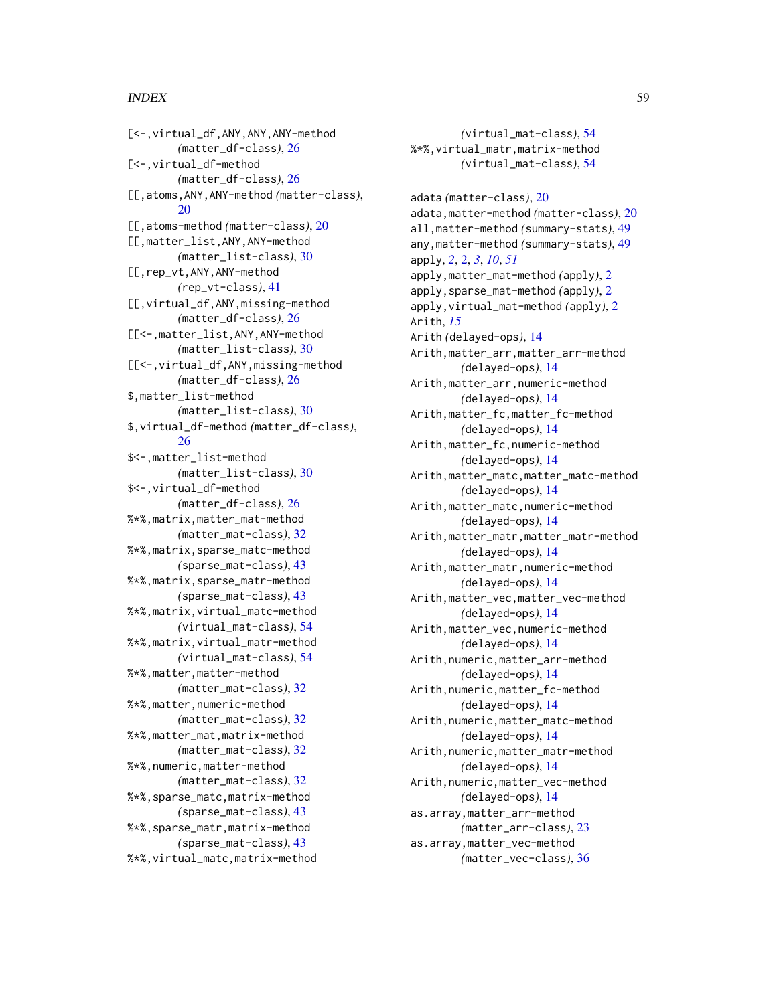#### INDEX 59

[<-,virtual\_df,ANY,ANY,ANY-method *(*matter\_df-class*)*, [26](#page-25-0) [<-,virtual\_df-method *(*matter\_df-class*)*, [26](#page-25-0) [[,atoms,ANY,ANY-method *(*matter-class*)*, [20](#page-19-0) [[,atoms-method *(*matter-class*)*, [20](#page-19-0) [[,matter\_list,ANY,ANY-method *(*matter\_list-class*)*, [30](#page-29-0) [[,rep\_vt,ANY,ANY-method *(*rep\_vt-class*)*, [41](#page-40-0) [[,virtual\_df,ANY,missing-method *(*matter\_df-class*)*, [26](#page-25-0) [[<-,matter\_list,ANY,ANY-method *(*matter\_list-class*)*, [30](#page-29-0) [[<-,virtual\_df,ANY,missing-method *(*matter\_df-class*)*, [26](#page-25-0) \$,matter\_list-method *(*matter\_list-class*)*, [30](#page-29-0) \$,virtual\_df-method *(*matter\_df-class*)*, [26](#page-25-0) \$<-,matter\_list-method *(*matter\_list-class*)*, [30](#page-29-0) \$<-,virtual\_df-method *(*matter\_df-class*)*, [26](#page-25-0) %\*%,matrix,matter\_mat-method *(*matter\_mat-class*)*, [32](#page-31-0) %\*%,matrix,sparse\_matc-method *(*sparse\_mat-class*)*, [43](#page-42-0) %\*%,matrix,sparse\_matr-method *(*sparse\_mat-class*)*, [43](#page-42-0) %\*%,matrix,virtual\_matc-method *(*virtual\_mat-class*)*, [54](#page-53-0) %\*%,matrix,virtual\_matr-method *(*virtual\_mat-class*)*, [54](#page-53-0) %\*%,matter,matter-method *(*matter\_mat-class*)*, [32](#page-31-0) %\*%,matter,numeric-method *(*matter\_mat-class*)*, [32](#page-31-0) %\*%,matter\_mat,matrix-method *(*matter\_mat-class*)*, [32](#page-31-0) %\*%,numeric,matter-method *(*matter\_mat-class*)*, [32](#page-31-0) %\*%,sparse\_matc,matrix-method *(*sparse\_mat-class*)*, [43](#page-42-0) %\*%,sparse\_matr,matrix-method *(*sparse\_mat-class*)*, [43](#page-42-0) %\*%,virtual\_matc,matrix-method

*(*virtual\_mat-class*)*, [54](#page-53-0) %\*%,virtual\_matr,matrix-method *(*virtual\_mat-class*)*, [54](#page-53-0) adata *(*matter-class*)*, [20](#page-19-0) adata,matter-method *(*matter-class*)*, [20](#page-19-0) all,matter-method *(*summary-stats*)*, [49](#page-48-0) any,matter-method *(*summary-stats*)*, [49](#page-48-0) apply, *[2](#page-1-0)*, [2,](#page-1-0) *[3](#page-2-0)*, *[10](#page-9-0)*, *[51](#page-50-0)* apply,matter\_mat-method *(*apply*)*, [2](#page-1-0) apply,sparse\_mat-method *(*apply*)*, [2](#page-1-0) apply,virtual\_mat-method *(*apply*)*, [2](#page-1-0) Arith, *[15](#page-14-0)* Arith *(*delayed-ops*)*, [14](#page-13-0) Arith,matter\_arr,matter\_arr-method *(*delayed-ops*)*, [14](#page-13-0) Arith,matter\_arr,numeric-method *(*delayed-ops*)*, [14](#page-13-0) Arith,matter\_fc,matter\_fc-method *(*delayed-ops*)*, [14](#page-13-0) Arith,matter\_fc,numeric-method *(*delayed-ops*)*, [14](#page-13-0) Arith,matter\_matc,matter\_matc-method *(*delayed-ops*)*, [14](#page-13-0) Arith,matter\_matc,numeric-method *(*delayed-ops*)*, [14](#page-13-0) Arith,matter\_matr,matter\_matr-method *(*delayed-ops*)*, [14](#page-13-0) Arith,matter\_matr,numeric-method *(*delayed-ops*)*, [14](#page-13-0) Arith,matter\_vec,matter\_vec-method *(*delayed-ops*)*, [14](#page-13-0) Arith,matter\_vec,numeric-method *(*delayed-ops*)*, [14](#page-13-0) Arith,numeric,matter\_arr-method *(*delayed-ops*)*, [14](#page-13-0) Arith,numeric,matter\_fc-method *(*delayed-ops*)*, [14](#page-13-0) Arith,numeric,matter\_matc-method *(*delayed-ops*)*, [14](#page-13-0) Arith,numeric,matter\_matr-method *(*delayed-ops*)*, [14](#page-13-0) Arith,numeric,matter\_vec-method *(*delayed-ops*)*, [14](#page-13-0) as.array,matter\_arr-method *(*matter\_arr-class*)*, [23](#page-22-0) as.array,matter\_vec-method *(*matter\_vec-class*)*, [36](#page-35-0)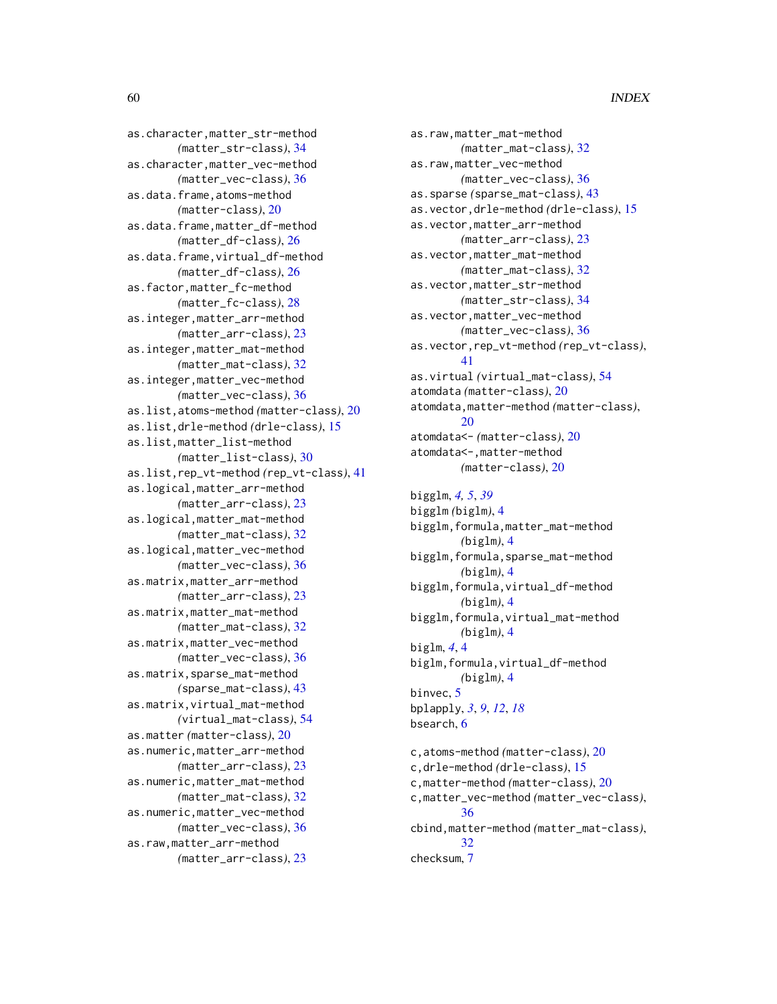as.character,matter\_str-method *(*matter\_str-class*)*, [34](#page-33-0) as.character,matter\_vec-method *(*matter\_vec-class*)*, [36](#page-35-0) as.data.frame,atoms-method *(*matter-class*)*, [20](#page-19-0) as.data.frame,matter\_df-method *(*matter\_df-class*)*, [26](#page-25-0) as.data.frame,virtual\_df-method *(*matter\_df-class*)*, [26](#page-25-0) as.factor,matter\_fc-method *(*matter\_fc-class*)*, [28](#page-27-0) as.integer,matter\_arr-method *(*matter\_arr-class*)*, [23](#page-22-0) as.integer,matter\_mat-method *(*matter\_mat-class*)*, [32](#page-31-0) as.integer,matter\_vec-method *(*matter\_vec-class*)*, [36](#page-35-0) as.list,atoms-method *(*matter-class*)*, [20](#page-19-0) as.list,drle-method *(*drle-class*)*, [15](#page-14-0) as.list,matter\_list-method *(*matter\_list-class*)*, [30](#page-29-0) as.list,rep\_vt-method *(*rep\_vt-class*)*, [41](#page-40-0) as.logical,matter\_arr-method *(*matter\_arr-class*)*, [23](#page-22-0) as.logical,matter\_mat-method *(*matter\_mat-class*)*, [32](#page-31-0) as.logical,matter\_vec-method *(*matter\_vec-class*)*, [36](#page-35-0) as.matrix,matter\_arr-method *(*matter\_arr-class*)*, [23](#page-22-0) as.matrix,matter\_mat-method *(*matter\_mat-class*)*, [32](#page-31-0) as.matrix,matter\_vec-method *(*matter\_vec-class*)*, [36](#page-35-0) as.matrix,sparse\_mat-method *(*sparse\_mat-class*)*, [43](#page-42-0) as.matrix,virtual\_mat-method *(*virtual\_mat-class*)*, [54](#page-53-0) as.matter *(*matter-class*)*, [20](#page-19-0) as.numeric,matter\_arr-method *(*matter\_arr-class*)*, [23](#page-22-0) as.numeric,matter\_mat-method *(*matter\_mat-class*)*, [32](#page-31-0) as.numeric,matter\_vec-method *(*matter\_vec-class*)*, [36](#page-35-0) as.raw,matter\_arr-method *(*matter\_arr-class*)*, [23](#page-22-0)

as.raw,matter\_mat-method *(*matter\_mat-class*)*, [32](#page-31-0) as.raw,matter\_vec-method *(*matter\_vec-class*)*, [36](#page-35-0) as.sparse *(*sparse\_mat-class*)*, [43](#page-42-0) as.vector,drle-method *(*drle-class*)*, [15](#page-14-0) as.vector,matter\_arr-method *(*matter\_arr-class*)*, [23](#page-22-0) as.vector,matter\_mat-method *(*matter\_mat-class*)*, [32](#page-31-0) as.vector,matter\_str-method *(*matter\_str-class*)*, [34](#page-33-0) as.vector,matter\_vec-method *(*matter\_vec-class*)*, [36](#page-35-0) as.vector,rep\_vt-method *(*rep\_vt-class*)*, [41](#page-40-0) as.virtual *(*virtual\_mat-class*)*, [54](#page-53-0) atomdata *(*matter-class*)*, [20](#page-19-0) atomdata,matter-method *(*matter-class*)*, [20](#page-19-0) atomdata<- *(*matter-class*)*, [20](#page-19-0) atomdata<-,matter-method *(*matter-class*)*, [20](#page-19-0)

bigglm, *[4,](#page-3-0) [5](#page-4-0)*, *[39](#page-38-0)* bigglm *(*biglm*)*, [4](#page-3-0) bigglm,formula,matter\_mat-method *(*biglm*)*, [4](#page-3-0) bigglm,formula,sparse\_mat-method *(*biglm*)*, [4](#page-3-0) bigglm,formula,virtual\_df-method *(*biglm*)*, [4](#page-3-0) bigglm,formula,virtual\_mat-method *(*biglm*)*, [4](#page-3-0) biglm, *[4](#page-3-0)*, [4](#page-3-0) biglm,formula,virtual\_df-method *(*biglm*)*, [4](#page-3-0) binvec, [5](#page-4-0) bplapply, *[3](#page-2-0)*, *[9](#page-8-0)*, *[12](#page-11-0)*, *[18](#page-17-0)* bsearch, [6](#page-5-0) c,atoms-method *(*matter-class*)*, [20](#page-19-0) c,drle-method *(*drle-class*)*, [15](#page-14-0) c,matter-method *(*matter-class*)*, [20](#page-19-0)

c,matter\_vec-method *(*matter\_vec-class*)*, [36](#page-35-0) cbind,matter-method *(*matter\_mat-class*)*, [32](#page-31-0) checksum, [7](#page-6-0)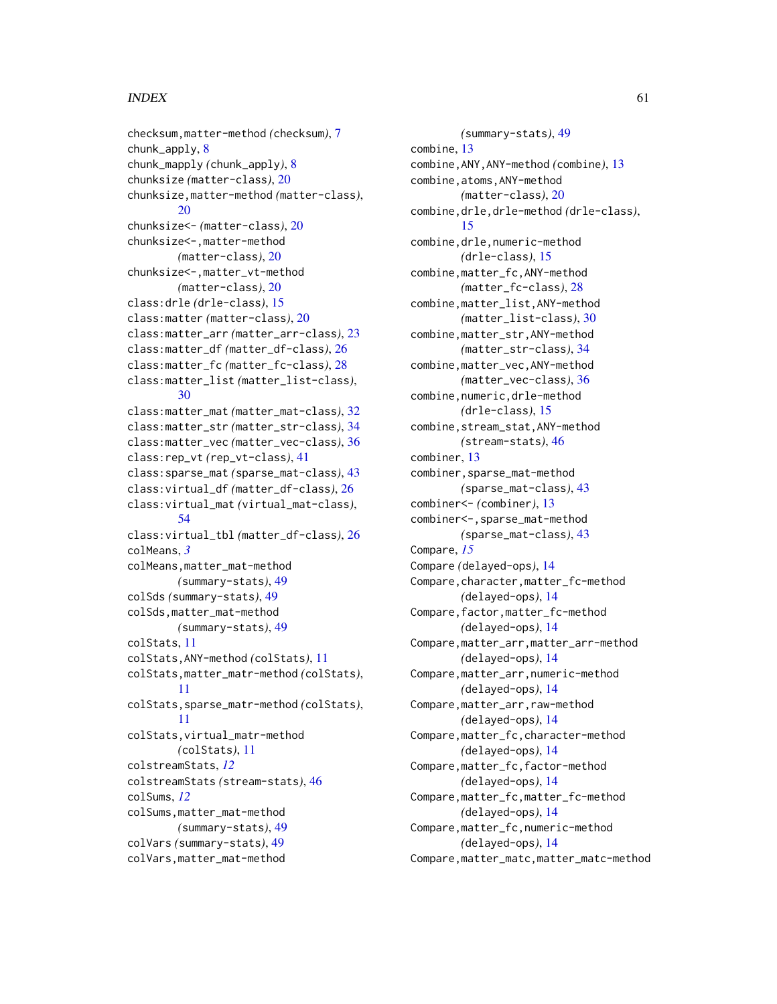#### $I$ NDEX 61

```
checksum,matter-method (checksum), 7
chunk_apply, 8
chunk_mapply (chunk_apply), 8
chunksize (matter-class), 20
chunksize,matter-method (matter-class),
        20
chunksize<- (matter-class), 20
chunksize<-,matter-method
        (matter-class), 20
chunksize<-,matter_vt-method
        (matter-class), 20
class:drle (drle-class), 15
class:matter (matter-class), 20
class:matter_arr (matter_arr-class), 23
class:matter_df (matter_df-class), 26
class:matter_fc (matter_fc-class), 28
class:matter_list (matter_list-class),
        30
class:matter_mat (matter_mat-class), 32
class:matter_str (matter_str-class), 34
class:matter_vec (matter_vec-class), 36
class:rep_vt (rep_vt-class), 41
class:sparse_mat (sparse_mat-class), 43
class:virtual_df (matter_df-class), 26
class:virtual_mat (virtual_mat-class),
        54
class:virtual_tbl (matter_df-class), 26
colMeans, 3
colMeans,matter_mat-method
        (summary-stats), 49
colSds (summary-stats), 49
colSds,matter_mat-method
        (summary-stats), 49
colStats, 11
colStats,ANY-method (colStats), 11
colStats,matter_matr-method (colStats),
        11
colStats,sparse_matr-method (colStats),
        11
colStats,virtual_matr-method
        (colStats), 11
colstreamStats, 12
colstreamStats (stream-stats), 46
colSums, 12
colSums,matter_mat-method
        (summary-stats), 49
colVars (summary-stats), 49
colVars,matter_mat-method
```
*(*summary-stats*)*, [49](#page-48-0) combine, [13](#page-12-0) combine,ANY,ANY-method *(*combine*)*, [13](#page-12-0) combine,atoms,ANY-method *(*matter-class*)*, [20](#page-19-0) combine,drle,drle-method *(*drle-class*)*, [15](#page-14-0) combine,drle,numeric-method *(*drle-class*)*, [15](#page-14-0) combine,matter\_fc,ANY-method *(*matter\_fc-class*)*, [28](#page-27-0) combine,matter\_list,ANY-method *(*matter\_list-class*)*, [30](#page-29-0) combine,matter\_str,ANY-method *(*matter\_str-class*)*, [34](#page-33-0) combine,matter\_vec,ANY-method *(*matter\_vec-class*)*, [36](#page-35-0) combine, numeric, drle-method *(*drle-class*)*, [15](#page-14-0) combine,stream\_stat,ANY-method *(*stream-stats*)*, [46](#page-45-0) combiner, [13](#page-12-0) combiner,sparse\_mat-method *(*sparse\_mat-class*)*, [43](#page-42-0) combiner<- *(*combiner*)*, [13](#page-12-0) combiner<-,sparse\_mat-method *(*sparse\_mat-class*)*, [43](#page-42-0) Compare, *[15](#page-14-0)* Compare *(*delayed-ops*)*, [14](#page-13-0) Compare, character, matter\_fc-method *(*delayed-ops*)*, [14](#page-13-0) Compare,factor,matter\_fc-method *(*delayed-ops*)*, [14](#page-13-0) Compare,matter\_arr,matter\_arr-method *(*delayed-ops*)*, [14](#page-13-0) Compare,matter\_arr,numeric-method *(*delayed-ops*)*, [14](#page-13-0) Compare, matter\_arr, raw-method *(*delayed-ops*)*, [14](#page-13-0) Compare,matter\_fc,character-method *(*delayed-ops*)*, [14](#page-13-0) Compare,matter\_fc,factor-method *(*delayed-ops*)*, [14](#page-13-0) Compare,matter\_fc,matter\_fc-method *(*delayed-ops*)*, [14](#page-13-0) Compare,matter\_fc,numeric-method *(*delayed-ops*)*, [14](#page-13-0) Compare,matter\_matc,matter\_matc-method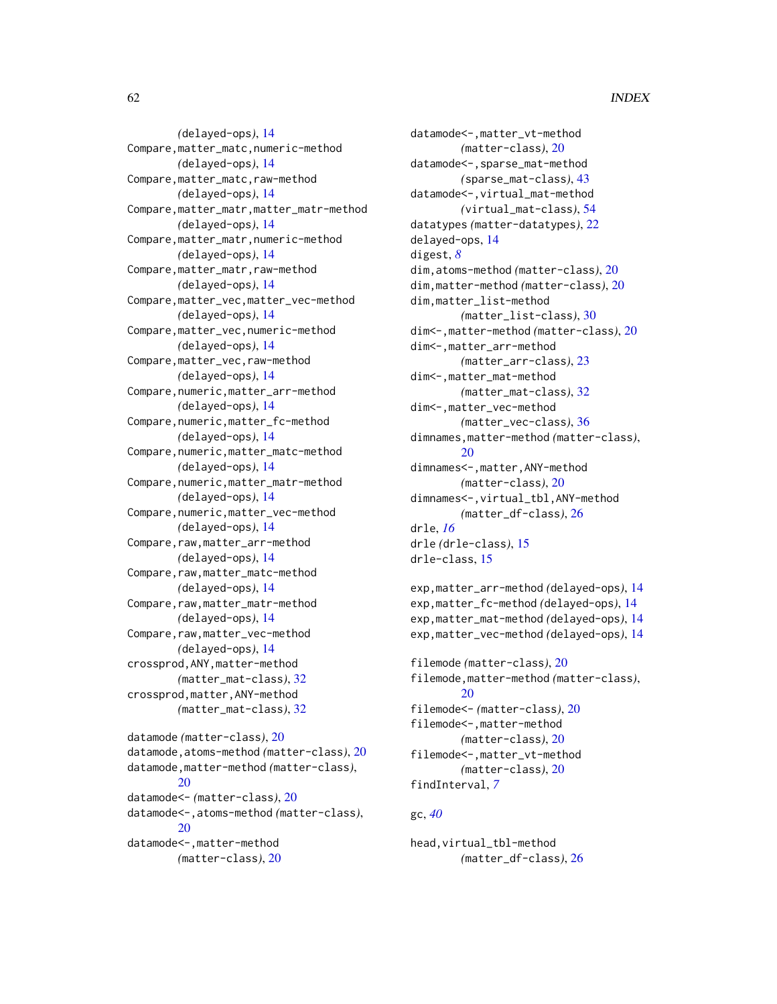*(*delayed-ops*)*, [14](#page-13-0) Compare,matter\_matc,numeric-method *(*delayed-ops*)*, [14](#page-13-0) Compare,matter\_matc,raw-method *(*delayed-ops*)*, [14](#page-13-0) Compare,matter\_matr,matter\_matr-method *(*delayed-ops*)*, [14](#page-13-0) Compare,matter\_matr,numeric-method *(*delayed-ops*)*, [14](#page-13-0) Compare,matter\_matr,raw-method *(*delayed-ops*)*, [14](#page-13-0) Compare,matter\_vec,matter\_vec-method *(*delayed-ops*)*, [14](#page-13-0) Compare,matter\_vec,numeric-method *(*delayed-ops*)*, [14](#page-13-0) Compare,matter\_vec,raw-method *(*delayed-ops*)*, [14](#page-13-0) Compare, numeric, matter\_arr-method *(*delayed-ops*)*, [14](#page-13-0) Compare,numeric,matter\_fc-method *(*delayed-ops*)*, [14](#page-13-0) Compare, numeric, matter\_matc-method *(*delayed-ops*)*, [14](#page-13-0) Compare, numeric, matter\_matr-method *(*delayed-ops*)*, [14](#page-13-0) Compare, numeric, matter\_vec-method *(*delayed-ops*)*, [14](#page-13-0) Compare,raw,matter\_arr-method *(*delayed-ops*)*, [14](#page-13-0) Compare, raw, matter\_matc-method *(*delayed-ops*)*, [14](#page-13-0) Compare, raw, matter\_matr-method *(*delayed-ops*)*, [14](#page-13-0) Compare,raw,matter\_vec-method *(*delayed-ops*)*, [14](#page-13-0) crossprod,ANY,matter-method *(*matter\_mat-class*)*, [32](#page-31-0) crossprod,matter,ANY-method *(*matter\_mat-class*)*, [32](#page-31-0) datamode *(*matter-class*)*, [20](#page-19-0) datamode,atoms-method *(*matter-class*)*, [20](#page-19-0) datamode,matter-method *(*matter-class*)*, [20](#page-19-0) datamode<- *(*matter-class*)*, [20](#page-19-0) datamode<-,atoms-method *(*matter-class*)*,  $20$ datamode<-,matter-method *(*matter-class*)*, [20](#page-19-0)

datamode<-,matter\_vt-method *(*matter-class*)*, [20](#page-19-0) datamode<-,sparse\_mat-method *(*sparse\_mat-class*)*, [43](#page-42-0) datamode<-,virtual\_mat-method *(*virtual\_mat-class*)*, [54](#page-53-0) datatypes *(*matter-datatypes*)*, [22](#page-21-0) delayed-ops, [14](#page-13-0) digest, *[8](#page-7-0)* dim,atoms-method *(*matter-class*)*, [20](#page-19-0) dim,matter-method *(*matter-class*)*, [20](#page-19-0) dim,matter\_list-method *(*matter\_list-class*)*, [30](#page-29-0) dim<-,matter-method *(*matter-class*)*, [20](#page-19-0) dim<-,matter\_arr-method *(*matter\_arr-class*)*, [23](#page-22-0) dim<-,matter\_mat-method *(*matter\_mat-class*)*, [32](#page-31-0) dim<-,matter\_vec-method *(*matter\_vec-class*)*, [36](#page-35-0) dimnames,matter-method *(*matter-class*)*,  $20$ dimnames<-,matter,ANY-method *(*matter-class*)*, [20](#page-19-0) dimnames<-,virtual\_tbl,ANY-method *(*matter\_df-class*)*, [26](#page-25-0) drle, *[16](#page-15-0)* drle *(*drle-class*)*, [15](#page-14-0) drle-class, [15](#page-14-0)

exp,matter\_arr-method *(*delayed-ops*)*, [14](#page-13-0) exp,matter\_fc-method *(*delayed-ops*)*, [14](#page-13-0) exp,matter\_mat-method *(*delayed-ops*)*, [14](#page-13-0) exp,matter\_vec-method *(*delayed-ops*)*, [14](#page-13-0)

```
filemode (matter-class), 20
filemode,matter-method (matter-class),
        20
filemode<- (matter-class), 20
filemode<-,matter-method
        (matter-class), 20
filemode<-,matter_vt-method
        (matter-class), 20
findInterval, 7
```
## gc, *[40](#page-39-0)*

head,virtual\_tbl-method *(*matter\_df-class*)*, [26](#page-25-0)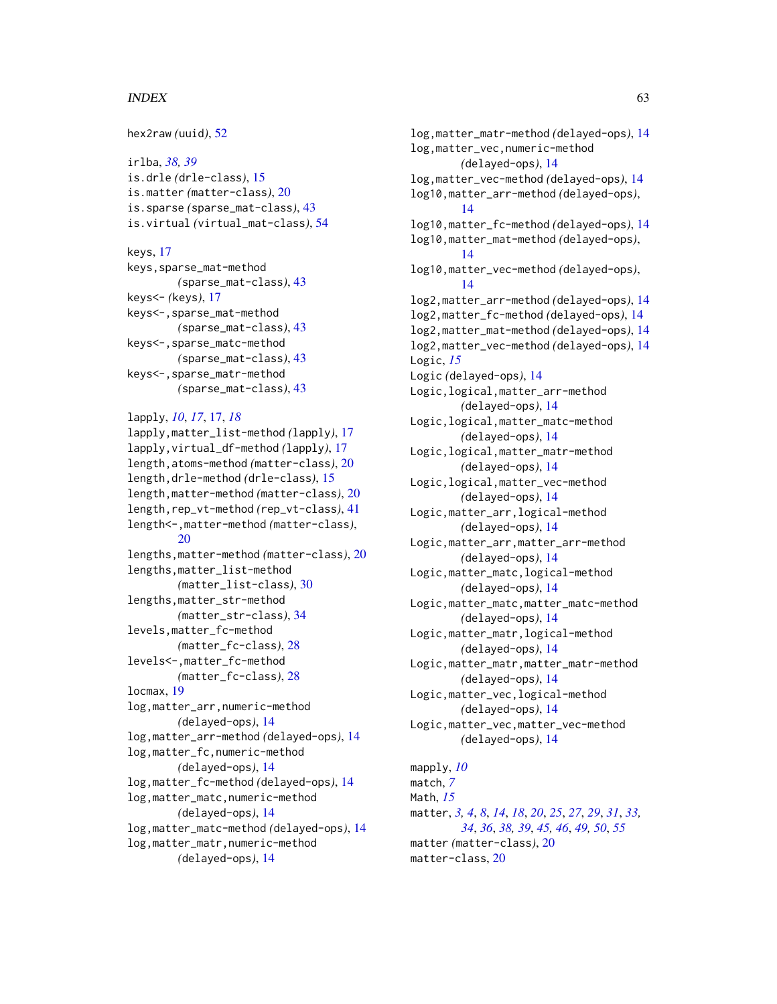#### $I<sub>N</sub>DEX$  63

```
hex2raw (uuid), 52
irlba, 38, 39
is.drle (drle-class), 15
is.matter (matter-class), 20
is.sparse (sparse_mat-class), 43
is.virtual (virtual_mat-class), 54
keys, 17
keys,sparse_mat-method
        (sparse_mat-class), 43
keys<- (keys), 17
keys<-,sparse_mat-method
        (sparse_mat-class), 43
keys<-,sparse_matc-method
        (sparse_mat-class), 43
keys<-,sparse_matr-method
        (sparse_mat-class), 43
lapply, 10, 17, 17, 18
lapply,matter_list-method (lapply), 17
lapply,virtual_df-method (lapply), 17
length,atoms-method (matter-class), 20
length,drle-method (drle-class), 15
length,matter-method (matter-class), 20
length,rep_vt-method (rep_vt-class), 41
length<-,matter-method (matter-class),
        20
lengths,matter-method (matter-class), 20
lengths,matter_list-method
        (matter_list-class), 30
lengths,matter_str-method
        (matter_str-class), 34
levels,matter_fc-method
        (matter_fc-class), 28
levels<-,matter_fc-method
        (matter_fc-class), 28
locmax, 19
log,matter_arr,numeric-method
        (delayed-ops), 14
log,matter_arr-method (delayed-ops), 14
log,matter_fc,numeric-method
        (delayed-ops), 14
log,matter_fc-method (delayed-ops), 14
log,matter_matc,numeric-method
        (delayed-ops), 14
log,matter_matc-method (delayed-ops), 14
log,matter_matr,numeric-method
```
*(*delayed-ops*)*, [14](#page-13-0)

log,matter\_matr-method *(*delayed-ops*)*, [14](#page-13-0) log,matter\_vec,numeric-method *(*delayed-ops*)*, [14](#page-13-0) log,matter\_vec-method *(*delayed-ops*)*, [14](#page-13-0) log10,matter\_arr-method *(*delayed-ops*)*, [14](#page-13-0) log10,matter\_fc-method *(*delayed-ops*)*, [14](#page-13-0) log10,matter\_mat-method *(*delayed-ops*)*, [14](#page-13-0) log10,matter\_vec-method *(*delayed-ops*)*, [14](#page-13-0) log2,matter\_arr-method *(*delayed-ops*)*, [14](#page-13-0) log2,matter\_fc-method *(*delayed-ops*)*, [14](#page-13-0) log2,matter\_mat-method *(*delayed-ops*)*, [14](#page-13-0) log2,matter\_vec-method *(*delayed-ops*)*, [14](#page-13-0) Logic, *[15](#page-14-0)* Logic *(*delayed-ops*)*, [14](#page-13-0) Logic,logical,matter\_arr-method *(*delayed-ops*)*, [14](#page-13-0) Logic,logical,matter\_matc-method *(*delayed-ops*)*, [14](#page-13-0) Logic,logical,matter\_matr-method *(*delayed-ops*)*, [14](#page-13-0) Logic,logical,matter\_vec-method *(*delayed-ops*)*, [14](#page-13-0) Logic,matter\_arr,logical-method *(*delayed-ops*)*, [14](#page-13-0) Logic,matter\_arr,matter\_arr-method *(*delayed-ops*)*, [14](#page-13-0) Logic,matter\_matc,logical-method *(*delayed-ops*)*, [14](#page-13-0) Logic,matter\_matc,matter\_matc-method *(*delayed-ops*)*, [14](#page-13-0) Logic,matter\_matr,logical-method *(*delayed-ops*)*, [14](#page-13-0) Logic,matter\_matr,matter\_matr-method *(*delayed-ops*)*, [14](#page-13-0) Logic,matter\_vec,logical-method *(*delayed-ops*)*, [14](#page-13-0) Logic,matter\_vec,matter\_vec-method *(*delayed-ops*)*, [14](#page-13-0) mapply, *[10](#page-9-0)* match, *[7](#page-6-0)* Math, *[15](#page-14-0)* matter, *[3,](#page-2-0) [4](#page-3-0)*, *[8](#page-7-0)*, *[14](#page-13-0)*, *[18](#page-17-0)*, *[20](#page-19-0)*, *[25](#page-24-0)*, *[27](#page-26-0)*, *[29](#page-28-0)*, *[31](#page-30-0)*, *[33,](#page-32-0) [34](#page-33-0)*, *[36](#page-35-0)*, *[38,](#page-37-0) [39](#page-38-0)*, *[45,](#page-44-0) [46](#page-45-0)*, *[49,](#page-48-0) [50](#page-49-0)*, *[55](#page-54-0)* matter *(*matter-class*)*, [20](#page-19-0)

matter-class, [20](#page-19-0)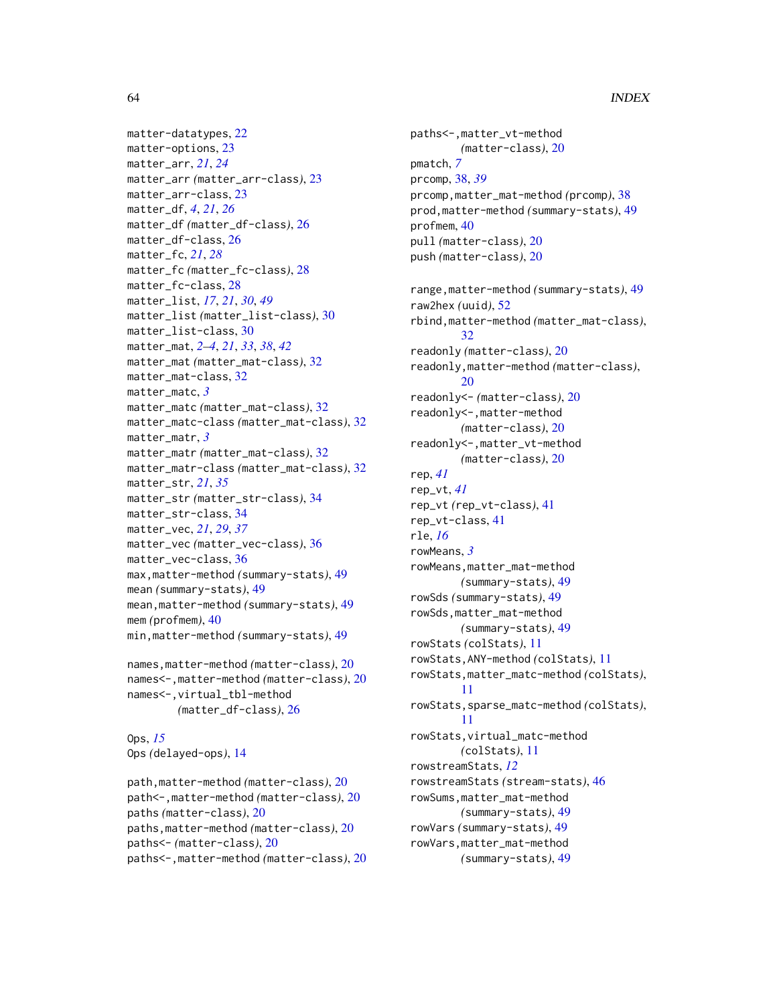```
matter-datatypes, 22
matter-options, 23
matter_arr, 21, 24
matter_arr (matter_arr-class), 23
matter_arr-class, 23
matter_df, 4, 21, 26
matter_df (matter_df-class), 26
matter_df-class, 26
matter_fc, 21, 28
matter_fc (matter_fc-class), 28
matter_fc-class, 28
matter_list, 17, 21, 30, 49
matter_list (matter_list-class), 30
matter_list-class, 30
matter_mat, 2–4, 21, 33, 38, 42
matter_mat (matter_mat-class), 32
matter_mat-class, 32
matter_matc, 3
matter_matc (matter_mat-class), 32
matter_matc-class (matter_mat-class), 32
matter_matr, 3
matter_matr (matter_mat-class), 32
matter_matr-class (matter_mat-class), 32
matter_str, 21, 35
matter_str (matter_str-class), 34
matter_str-class, 34
matter_vec, 21, 29, 37
matter_vec (matter_vec-class), 36
matter_vec-class, 36
max,matter-method (summary-stats), 49
mean (summary-stats), 49
mean,matter-method (summary-stats), 49
mem (profmem), 40
min,matter-method (summary-stats), 49
```

```
names,matter-method (matter-class), 20
names<-,matter-method (matter-class), 20
names<-,virtual_tbl-method
        (matter_df-class), 26
```
Ops, *[15](#page-14-0)* Ops *(*delayed-ops*)*, [14](#page-13-0)

```
path,matter-method (matter-class), 20
path<-,matter-method (matter-class), 20
paths (matter-class), 20
paths,matter-method (matter-class), 20
paths<- (matter-class), 20
paths<-,matter-method (matter-class), 20
```
paths<-,matter\_vt-method *(*matter-class*)*, [20](#page-19-0) pmatch, *[7](#page-6-0)* prcomp, [38,](#page-37-0) *[39](#page-38-0)* prcomp,matter\_mat-method *(*prcomp*)*, [38](#page-37-0) prod,matter-method *(*summary-stats*)*, [49](#page-48-0) profmem, [40](#page-39-0) pull *(*matter-class*)*, [20](#page-19-0) push *(*matter-class*)*, [20](#page-19-0) range,matter-method *(*summary-stats*)*, [49](#page-48-0) raw2hex *(*uuid*)*, [52](#page-51-0) rbind,matter-method *(*matter\_mat-class*)*, [32](#page-31-0) readonly *(*matter-class*)*, [20](#page-19-0) readonly,matter-method *(*matter-class*)*, [20](#page-19-0) readonly<- *(*matter-class*)*, [20](#page-19-0) readonly<-,matter-method *(*matter-class*)*, [20](#page-19-0) readonly<-,matter\_vt-method *(*matter-class*)*, [20](#page-19-0) rep, *[41](#page-40-0)* rep\_vt, *[41](#page-40-0)* rep\_vt *(*rep\_vt-class*)*, [41](#page-40-0) rep\_vt-class, [41](#page-40-0) rle, *[16](#page-15-0)* rowMeans, *[3](#page-2-0)* rowMeans,matter\_mat-method *(*summary-stats*)*, [49](#page-48-0) rowSds *(*summary-stats*)*, [49](#page-48-0) rowSds,matter\_mat-method *(*summary-stats*)*, [49](#page-48-0) rowStats *(*colStats*)*, [11](#page-10-0) rowStats,ANY-method *(*colStats*)*, [11](#page-10-0) rowStats,matter\_matc-method *(*colStats*)*, [11](#page-10-0) rowStats,sparse\_matc-method *(*colStats*)*, [11](#page-10-0) rowStats,virtual\_matc-method *(*colStats*)*, [11](#page-10-0) rowstreamStats, *[12](#page-11-0)* rowstreamStats *(*stream-stats*)*, [46](#page-45-0) rowSums,matter\_mat-method *(*summary-stats*)*, [49](#page-48-0) rowVars *(*summary-stats*)*, [49](#page-48-0) rowVars,matter\_mat-method *(*summary-stats*)*, [49](#page-48-0)